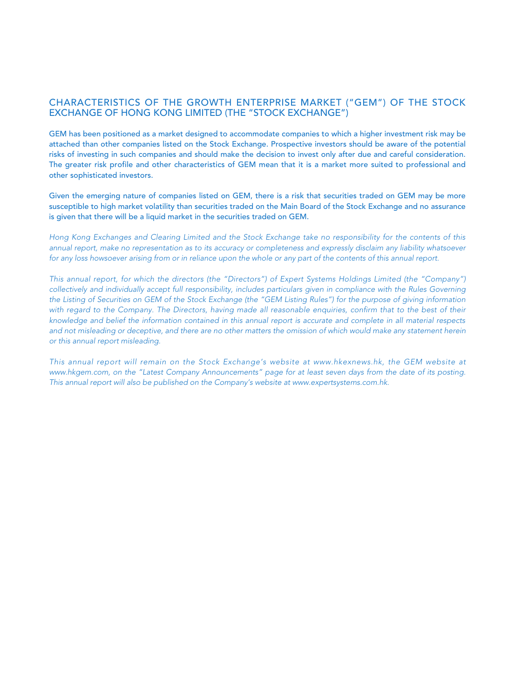# CHARACTERISTICS OF THE GROWTH ENTERPRISE MARKET ("GEM") OF THE STOCK EXCHANGE OF HONG KONG LIMITED (THE "STOCK EXCHANGE")

GEM has been positioned as a market designed to accommodate companies to which a higher investment risk may be attached than other companies listed on the Stock Exchange. Prospective investors should be aware of the potential risks of investing in such companies and should make the decision to invest only after due and careful consideration. The greater risk profile and other characteristics of GEM mean that it is a market more suited to professional and other sophisticated investors.

Given the emerging nature of companies listed on GEM, there is a risk that securities traded on GEM may be more susceptible to high market volatility than securities traded on the Main Board of the Stock Exchange and no assurance is given that there will be a liquid market in the securities traded on GEM.

*Hong Kong Exchanges and Clearing Limited and the Stock Exchange take no responsibility for the contents of this annual report, make no representation as to its accuracy or completeness and expressly disclaim any liability whatsoever for any loss howsoever arising from or in reliance upon the whole or any part of the contents of this annual report.*

*This annual report, for which the directors (the "Directors") of Expert Systems Holdings Limited (the "Company") collectively and individually accept full responsibility, includes particulars given in compliance with the Rules Governing the Listing of Securities on GEM of the Stock Exchange (the "GEM Listing Rules") for the purpose of giving information with regard to the Company. The Directors, having made all reasonable enquiries, confirm that to the best of their knowledge and belief the information contained in this annual report is accurate and complete in all material respects and not misleading or deceptive, and there are no other matters the omission of which would make any statement herein or this annual report misleading.*

*This annual report will remain on the Stock Exchange's website at www.hkexnews.hk, the GEM website at*  www.hkgem.com, on the "Latest Company Announcements" page for at least seven days from the date of its posting. *This annual report will also be published on the Company's website at www.expertsystems.com.hk.*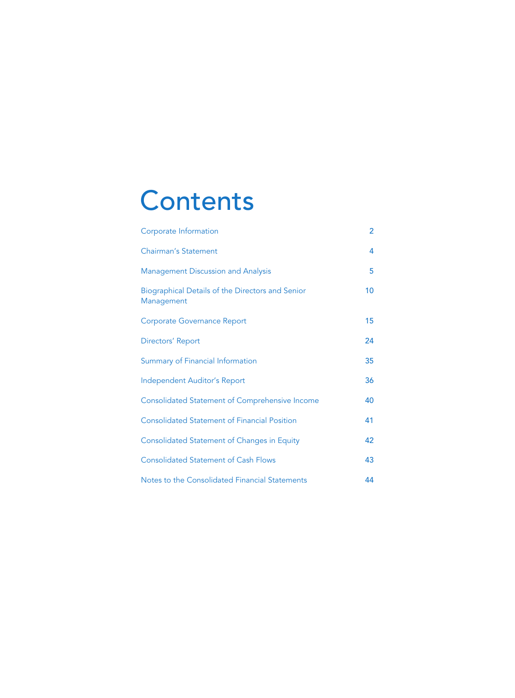# **Contents**

| Corporate Information                                          | $\overline{2}$ |
|----------------------------------------------------------------|----------------|
| <b>Chairman's Statement</b>                                    | 4              |
| <b>Management Discussion and Analysis</b>                      | 5              |
| Biographical Details of the Directors and Senior<br>Management | 10             |
| <b>Corporate Governance Report</b>                             | 15             |
| Directors' Report                                              | 24             |
| Summary of Financial Information                               | 35             |
| Independent Auditor's Report                                   | 36             |
| <b>Consolidated Statement of Comprehensive Income</b>          | 40             |
| <b>Consolidated Statement of Financial Position</b>            | 41             |
| <b>Consolidated Statement of Changes in Equity</b>             | 42             |
| <b>Consolidated Statement of Cash Flows</b>                    | 43             |
| Notes to the Consolidated Financial Statements                 | 44             |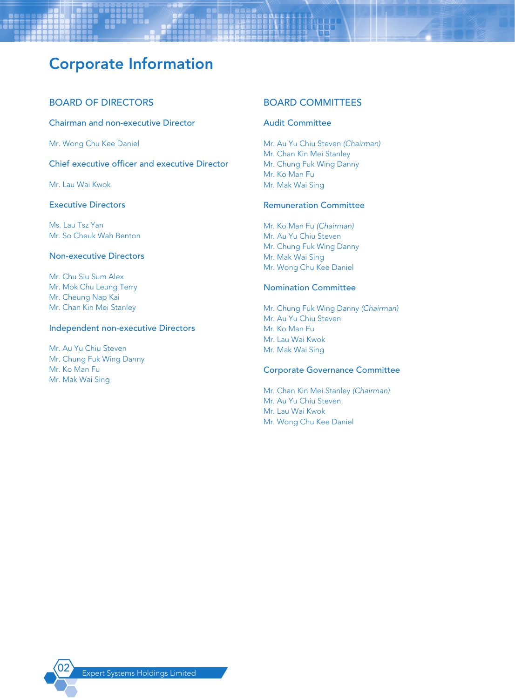# Corporate Information

# BOARD OF DIRECTORS

Chairman and non-executive Director

Mr. Wong Chu Kee Daniel

Chief executive officer and executive Director

Mr. Lau Wai Kwok

### Executive Directors

Ms. Lau Tsz Yan Mr. So Cheuk Wah Benton

### Non-executive Directors

Mr. Chu Siu Sum Alex Mr. Mok Chu Leung Terry Mr. Cheung Nap Kai Mr. Chan Kin Mei Stanley

#### Independent non-executive Directors

Mr. Au Yu Chiu Steven Mr. Chung Fuk Wing Danny Mr. Ko Man Fu Mr. Mak Wai Sing

### BOARD COMMITTEES

#### Audit Committee

Mr. Au Yu Chiu Steven *(Chairman)* Mr. Chan Kin Mei Stanley Mr. Chung Fuk Wing Danny Mr. Ko Man Fu Mr. Mak Wai Sing

#### Remuneration Committee

Mr. Ko Man Fu *(Chairman)* Mr. Au Yu Chiu Steven Mr. Chung Fuk Wing Danny Mr. Mak Wai Sing Mr. Wong Chu Kee Daniel

#### Nomination Committee

Mr. Chung Fuk Wing Danny *(Chairman)* Mr. Au Yu Chiu Steven Mr. Ko Man Fu Mr. Lau Wai Kwok Mr. Mak Wai Sing

#### Corporate Governance Committee

Mr. Chan Kin Mei Stanley *(Chairman)* Mr. Au Yu Chiu Steven Mr. Lau Wai Kwok Mr. Wong Chu Kee Daniel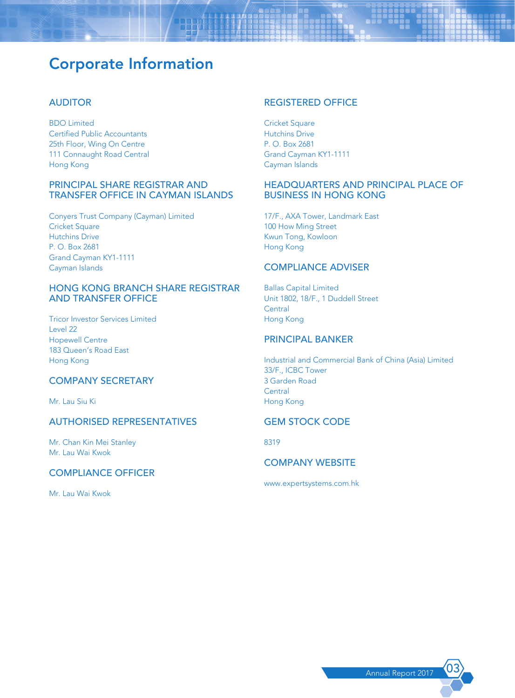# Corporate Information

# AUDITOR

BDO Limited Certified Public Accountants 25th Floor, Wing On Centre 111 Connaught Road Central Hong Kong

### PRINCIPAL SHARE REGISTRAR AND TRANSFER OFFICE IN CAYMAN ISLANDS

Conyers Trust Company (Cayman) Limited **Cricket Square** Hutchins Drive P. O. Box 2681 Grand Cayman KY1-1111 Cayman Islands

### HONG KONG BRANCH SHARE REGISTRAR AND TRANSFER OFFICE

Tricor Investor Services Limited Level 22 Hopewell Centre 183 Queen's Road East Hong Kong

# COMPANY SECRETARY

Mr. Lau Siu Ki

# AUTHORISED REPRESENTATIVES

Mr. Chan Kin Mei Stanley Mr. Lau Wai Kwok

### COMPLIANCE OFFICER

Mr. Lau Wai Kwok

#### REGISTERED OFFICE

**Cricket Square** Hutchins Drive P. O. Box 2681 Grand Cayman KY1-1111 Cayman Islands

### HEADQUARTERS AND PRINCIPAL PLACE OF BUSINESS IN HONG KONG

17/F., AXA Tower, Landmark East 100 How Ming Street Kwun Tong, Kowloon Hong Kong

#### COMPLIANCE ADVISER

Ballas Capital Limited Unit 1802, 18/F., 1 Duddell Street **Central** Hong Kong

# PRINCIPAL BANKER

Industrial and Commercial Bank of China (Asia) Limited 33/F., ICBC Tower 3 Garden Road **Central** Hong Kong

# GEM STOCK CODE

8319

# COMPANY WEBSITE

www.expertsystems.com.hk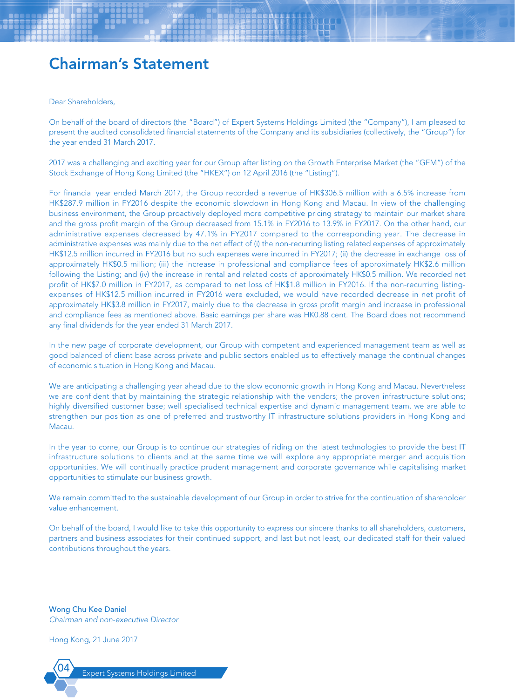# Chairman's Statement

Dear Shareholders,

On behalf of the board of directors (the "Board") of Expert Systems Holdings Limited (the "Company"), I am pleased to present the audited consolidated financial statements of the Company and its subsidiaries (collectively, the "Group") for the year ended 31 March 2017.

2017 was a challenging and exciting year for our Group after listing on the Growth Enterprise Market (the "GEM") of the Stock Exchange of Hong Kong Limited (the "HKEX") on 12 April 2016 (the "Listing").

For financial year ended March 2017, the Group recorded a revenue of HK\$306.5 million with a 6.5% increase from HK\$287.9 million in FY2016 despite the economic slowdown in Hong Kong and Macau. In view of the challenging business environment, the Group proactively deployed more competitive pricing strategy to maintain our market share and the gross profit margin of the Group decreased from 15.1% in FY2016 to 13.9% in FY2017. On the other hand, our administrative expenses decreased by 47.1% in FY2017 compared to the corresponding year. The decrease in administrative expenses was mainly due to the net effect of (i) the non-recurring listing related expenses of approximately HK\$12.5 million incurred in FY2016 but no such expenses were incurred in FY2017; (ii) the decrease in exchange loss of approximately HK\$0.5 million; (iii) the increase in professional and compliance fees of approximately HK\$2.6 million following the Listing; and (iv) the increase in rental and related costs of approximately HK\$0.5 million. We recorded net profit of HK\$7.0 million in FY2017, as compared to net loss of HK\$1.8 million in FY2016. If the non-recurring listingexpenses of HK\$12.5 million incurred in FY2016 were excluded, we would have recorded decrease in net profit of approximately HK\$3.8 million in FY2017, mainly due to the decrease in gross profit margin and increase in professional and compliance fees as mentioned above. Basic earnings per share was HK0.88 cent. The Board does not recommend any final dividends for the year ended 31 March 2017.

In the new page of corporate development, our Group with competent and experienced management team as well as good balanced of client base across private and public sectors enabled us to effectively manage the continual changes of economic situation in Hong Kong and Macau.

We are anticipating a challenging year ahead due to the slow economic growth in Hong Kong and Macau. Nevertheless we are confident that by maintaining the strategic relationship with the vendors; the proven infrastructure solutions; highly diversified customer base; well specialised technical expertise and dynamic management team, we are able to strengthen our position as one of preferred and trustworthy IT infrastructure solutions providers in Hong Kong and **Macau.** 

In the year to come, our Group is to continue our strategies of riding on the latest technologies to provide the best IT infrastructure solutions to clients and at the same time we will explore any appropriate merger and acquisition opportunities. We will continually practice prudent management and corporate governance while capitalising market opportunities to stimulate our business growth.

We remain committed to the sustainable development of our Group in order to strive for the continuation of shareholder value enhancement.

On behalf of the board, I would like to take this opportunity to express our sincere thanks to all shareholders, customers, partners and business associates for their continued support, and last but not least, our dedicated staff for their valued contributions throughout the years.

Wong Chu Kee Daniel *Chairman and non-executive Director*

Hong Kong, 21 June 2017

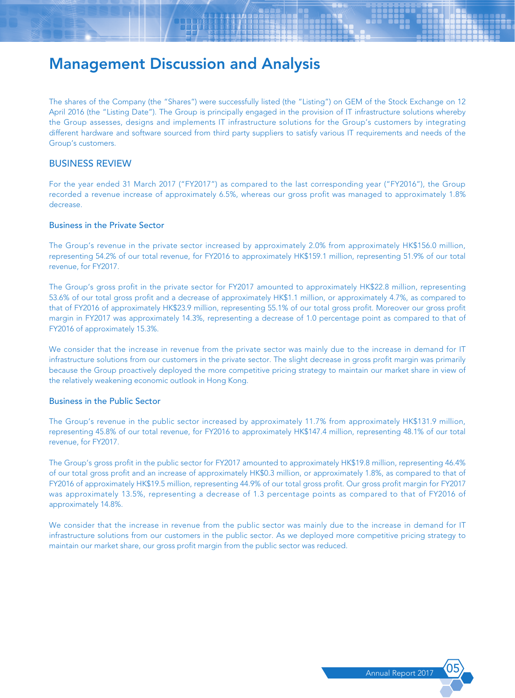The shares of the Company (the "Shares") were successfully listed (the "Listing") on GEM of the Stock Exchange on 12 April 2016 (the "Listing Date"). The Group is principally engaged in the provision of IT infrastructure solutions whereby the Group assesses, designs and implements IT infrastructure solutions for the Group's customers by integrating different hardware and software sourced from third party suppliers to satisfy various IT requirements and needs of the Group's customers.

### BUSINESS REVIEW

For the year ended 31 March 2017 ("FY2017") as compared to the last corresponding year ("FY2016"), the Group recorded a revenue increase of approximately 6.5%, whereas our gross profit was managed to approximately 1.8% decrease.

#### Business in the Private Sector

The Group's revenue in the private sector increased by approximately 2.0% from approximately HK\$156.0 million, representing 54.2% of our total revenue, for FY2016 to approximately HK\$159.1 million, representing 51.9% of our total revenue, for FY2017.

The Group's gross profit in the private sector for FY2017 amounted to approximately HK\$22.8 million, representing 53.6% of our total gross profit and a decrease of approximately HK\$1.1 million, or approximately 4.7%, as compared to that of FY2016 of approximately HK\$23.9 million, representing 55.1% of our total gross profit. Moreover our gross profit margin in FY2017 was approximately 14.3%, representing a decrease of 1.0 percentage point as compared to that of FY2016 of approximately 15.3%.

We consider that the increase in revenue from the private sector was mainly due to the increase in demand for IT infrastructure solutions from our customers in the private sector. The slight decrease in gross profit margin was primarily because the Group proactively deployed the more competitive pricing strategy to maintain our market share in view of the relatively weakening economic outlook in Hong Kong.

#### Business in the Public Sector

The Group's revenue in the public sector increased by approximately 11.7% from approximately HK\$131.9 million, representing 45.8% of our total revenue, for FY2016 to approximately HK\$147.4 million, representing 48.1% of our total revenue, for FY2017.

The Group's gross profit in the public sector for FY2017 amounted to approximately HK\$19.8 million, representing 46.4% of our total gross profit and an increase of approximately HK\$0.3 million, or approximately 1.8%, as compared to that of FY2016 of approximately HK\$19.5 million, representing 44.9% of our total gross profit. Our gross profit margin for FY2017 was approximately 13.5%, representing a decrease of 1.3 percentage points as compared to that of FY2016 of approximately 14.8%.

We consider that the increase in revenue from the public sector was mainly due to the increase in demand for IT infrastructure solutions from our customers in the public sector. As we deployed more competitive pricing strategy to maintain our market share, our gross profit margin from the public sector was reduced.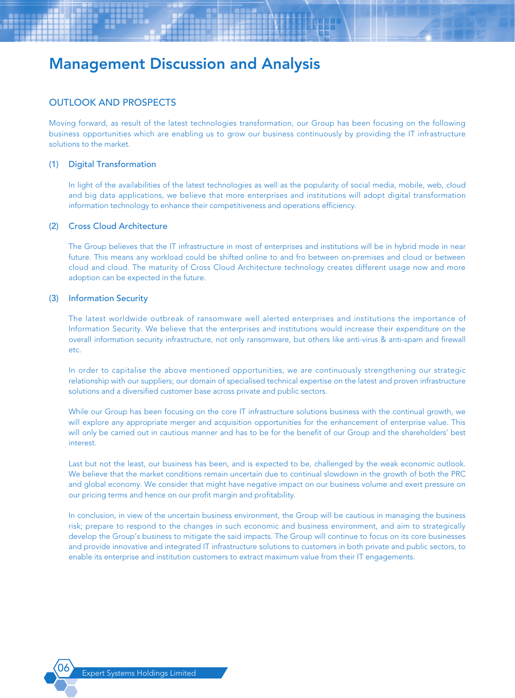### OUTLOOK AND PROSPECTS

Moving forward, as result of the latest technologies transformation, our Group has been focusing on the following business opportunities which are enabling us to grow our business continuously by providing the IT infrastructure solutions to the market.

#### (1) Digital Transformation

In light of the availabilities of the latest technologies as well as the popularity of social media, mobile, web, cloud and big data applications, we believe that more enterprises and institutions will adopt digital transformation information technology to enhance their competitiveness and operations efficiency.

#### (2) Cross Cloud Architecture

The Group believes that the IT infrastructure in most of enterprises and institutions will be in hybrid mode in near future. This means any workload could be shifted online to and fro between on-premises and cloud or between cloud and cloud. The maturity of Cross Cloud Architecture technology creates different usage now and more adoption can be expected in the future.

#### (3) Information Security

The latest worldwide outbreak of ransomware well alerted enterprises and institutions the importance of Information Security. We believe that the enterprises and institutions would increase their expenditure on the overall information security infrastructure, not only ransomware, but others like anti-virus & anti-spam and firewall etc.

In order to capitalise the above mentioned opportunities, we are continuously strengthening our strategic relationship with our suppliers; our domain of specialised technical expertise on the latest and proven infrastructure solutions and a diversified customer base across private and public sectors.

While our Group has been focusing on the core IT infrastructure solutions business with the continual growth, we will explore any appropriate merger and acquisition opportunities for the enhancement of enterprise value. This will only be carried out in cautious manner and has to be for the benefit of our Group and the shareholders' best interest.

Last but not the least, our business has been, and is expected to be, challenged by the weak economic outlook. We believe that the market conditions remain uncertain due to continual slowdown in the growth of both the PRC and global economy. We consider that might have negative impact on our business volume and exert pressure on our pricing terms and hence on our profit margin and profitability.

In conclusion, in view of the uncertain business environment, the Group will be cautious in managing the business risk; prepare to respond to the changes in such economic and business environment, and aim to strategically develop the Group's business to mitigate the said impacts. The Group will continue to focus on its core businesses and provide innovative and integrated IT infrastructure solutions to customers in both private and public sectors, to enable its enterprise and institution customers to extract maximum value from their IT engagements.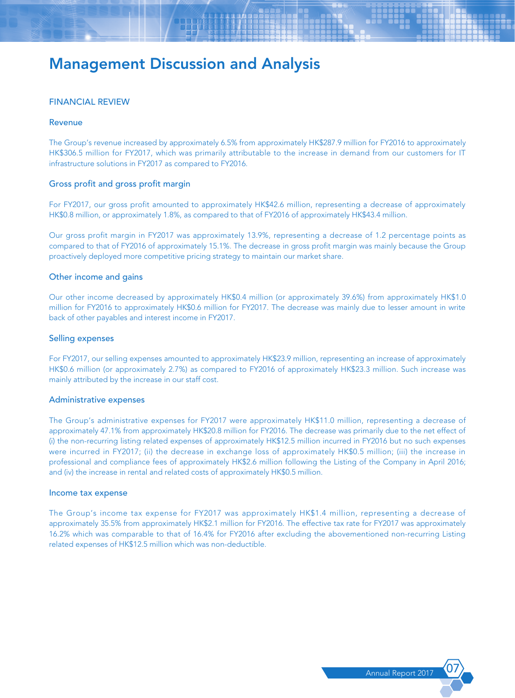#### FINANCIAL REVIEW

#### Revenue

The Group's revenue increased by approximately 6.5% from approximately HK\$287.9 million for FY2016 to approximately HK\$306.5 million for FY2017, which was primarily attributable to the increase in demand from our customers for IT infrastructure solutions in FY2017 as compared to FY2016.

#### Gross profit and gross profit margin

For FY2017, our gross profit amounted to approximately HK\$42.6 million, representing a decrease of approximately HK\$0.8 million, or approximately 1.8%, as compared to that of FY2016 of approximately HK\$43.4 million.

Our gross profit margin in FY2017 was approximately 13.9%, representing a decrease of 1.2 percentage points as compared to that of FY2016 of approximately 15.1%. The decrease in gross profit margin was mainly because the Group proactively deployed more competitive pricing strategy to maintain our market share.

#### Other income and gains

Our other income decreased by approximately HK\$0.4 million (or approximately 39.6%) from approximately HK\$1.0 million for FY2016 to approximately HK\$0.6 million for FY2017. The decrease was mainly due to lesser amount in write back of other payables and interest income in FY2017.

#### Selling expenses

For FY2017, our selling expenses amounted to approximately HK\$23.9 million, representing an increase of approximately HK\$0.6 million (or approximately 2.7%) as compared to FY2016 of approximately HK\$23.3 million. Such increase was mainly attributed by the increase in our staff cost.

#### Administrative expenses

The Group's administrative expenses for FY2017 were approximately HK\$11.0 million, representing a decrease of approximately 47.1% from approximately HK\$20.8 million for FY2016. The decrease was primarily due to the net effect of (i) the non-recurring listing related expenses of approximately HK\$12.5 million incurred in FY2016 but no such expenses were incurred in FY2017; (ii) the decrease in exchange loss of approximately HK\$0.5 million; (iii) the increase in professional and compliance fees of approximately HK\$2.6 million following the Listing of the Company in April 2016; and (iv) the increase in rental and related costs of approximately HK\$0.5 million.

#### Income tax expense

The Group's income tax expense for FY2017 was approximately HK\$1.4 million, representing a decrease of approximately 35.5% from approximately HK\$2.1 million for FY2016. The effective tax rate for FY2017 was approximately 16.2% which was comparable to that of 16.4% for FY2016 after excluding the abovementioned non-recurring Listing related expenses of HK\$12.5 million which was non-deductible.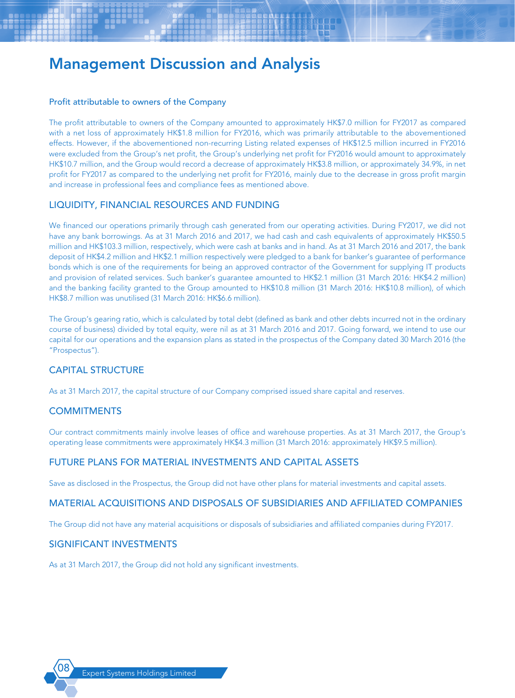#### Profit attributable to owners of the Company

The profit attributable to owners of the Company amounted to approximately HK\$7.0 million for FY2017 as compared with a net loss of approximately HK\$1.8 million for FY2016, which was primarily attributable to the abovementioned effects. However, if the abovementioned non-recurring Listing related expenses of HK\$12.5 million incurred in FY2016 were excluded from the Group's net profit, the Group's underlying net profit for FY2016 would amount to approximately HK\$10.7 million, and the Group would record a decrease of approximately HK\$3.8 million, or approximately 34.9%, in net profit for FY2017 as compared to the underlying net profit for FY2016, mainly due to the decrease in gross profit margin and increase in professional fees and compliance fees as mentioned above.

# LIQUIDITY, FINANCIAL RESOURCES AND FUNDING

We financed our operations primarily through cash generated from our operating activities. During FY2017, we did not have any bank borrowings. As at 31 March 2016 and 2017, we had cash and cash equivalents of approximately HK\$50.5 million and HK\$103.3 million, respectively, which were cash at banks and in hand. As at 31 March 2016 and 2017, the bank deposit of HK\$4.2 million and HK\$2.1 million respectively were pledged to a bank for banker's guarantee of performance bonds which is one of the requirements for being an approved contractor of the Government for supplying IT products and provision of related services. Such banker's guarantee amounted to HK\$2.1 million (31 March 2016: HK\$4.2 million) and the banking facility granted to the Group amounted to HK\$10.8 million (31 March 2016: HK\$10.8 million), of which HK\$8.7 million was unutilised (31 March 2016: HK\$6.6 million).

The Group's gearing ratio, which is calculated by total debt (defined as bank and other debts incurred not in the ordinary course of business) divided by total equity, were nil as at 31 March 2016 and 2017. Going forward, we intend to use our capital for our operations and the expansion plans as stated in the prospectus of the Company dated 30 March 2016 (the "Prospectus").

# CAPITAL STRUCTURE

As at 31 March 2017, the capital structure of our Company comprised issued share capital and reserves.

### **COMMITMENTS**

Our contract commitments mainly involve leases of office and warehouse properties. As at 31 March 2017, the Group's operating lease commitments were approximately HK\$4.3 million (31 March 2016: approximately HK\$9.5 million).

### FUTURE PLANS FOR MATERIAL INVESTMENTS AND CAPITAL ASSETS

Save as disclosed in the Prospectus, the Group did not have other plans for material investments and capital assets.

### MATERIAL ACQUISITIONS AND DISPOSALS OF SUBSIDIARIES AND AFFILIATED COMPANIES

The Group did not have any material acquisitions or disposals of subsidiaries and affiliated companies during FY2017.

### SIGNIFICANT INVESTMENTS

As at 31 March 2017, the Group did not hold any significant investments.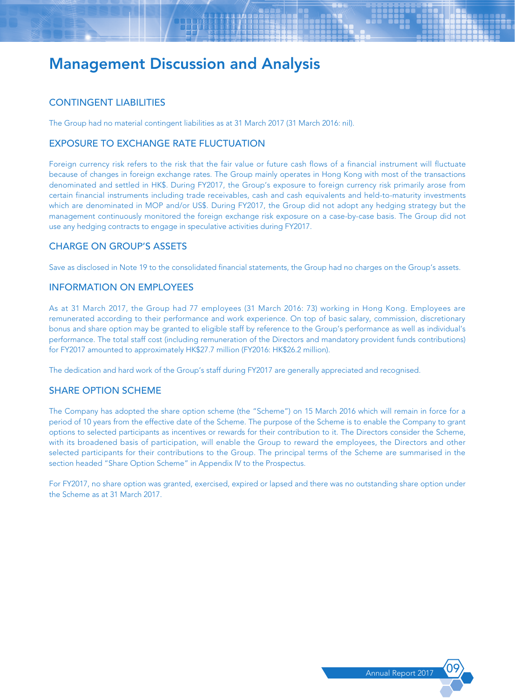# CONTINGENT LIABILITIES

The Group had no material contingent liabilities as at 31 March 2017 (31 March 2016: nil).

# EXPOSURE TO EXCHANGE RATE FLUCTUATION

Foreign currency risk refers to the risk that the fair value or future cash flows of a financial instrument will fluctuate because of changes in foreign exchange rates. The Group mainly operates in Hong Kong with most of the transactions denominated and settled in HK\$. During FY2017, the Group's exposure to foreign currency risk primarily arose from certain financial instruments including trade receivables, cash and cash equivalents and held-to-maturity investments which are denominated in MOP and/or US\$. During FY2017, the Group did not adopt any hedging strategy but the management continuously monitored the foreign exchange risk exposure on a case-by-case basis. The Group did not use any hedging contracts to engage in speculative activities during FY2017.

# CHARGE ON GROUP'S ASSETS

Save as disclosed in Note 19 to the consolidated financial statements, the Group had no charges on the Group's assets.

# INFORMATION ON EMPLOYEES

As at 31 March 2017, the Group had 77 employees (31 March 2016: 73) working in Hong Kong. Employees are remunerated according to their performance and work experience. On top of basic salary, commission, discretionary bonus and share option may be granted to eligible staff by reference to the Group's performance as well as individual's performance. The total staff cost (including remuneration of the Directors and mandatory provident funds contributions) for FY2017 amounted to approximately HK\$27.7 million (FY2016: HK\$26.2 million).

The dedication and hard work of the Group's staff during FY2017 are generally appreciated and recognised.

# SHARE OPTION SCHEME

The Company has adopted the share option scheme (the "Scheme") on 15 March 2016 which will remain in force for a period of 10 years from the effective date of the Scheme. The purpose of the Scheme is to enable the Company to grant options to selected participants as incentives or rewards for their contribution to it. The Directors consider the Scheme, with its broadened basis of participation, will enable the Group to reward the employees, the Directors and other selected participants for their contributions to the Group. The principal terms of the Scheme are summarised in the section headed "Share Option Scheme" in Appendix IV to the Prospectus.

For FY2017, no share option was granted, exercised, expired or lapsed and there was no outstanding share option under the Scheme as at 31 March 2017.

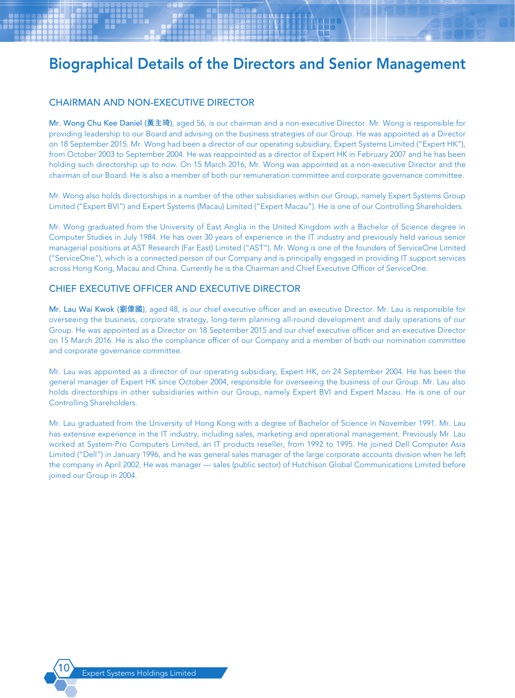# CHAIRMAN AND NON-EXECUTIVE DIRECTOR

Mr. Wong Chu Kee Daniel (**黃主琦**), aged 56, is our chairman and a non-executive Director. Mr. Wong is responsible for providing leadership to our Board and advising on the business strategies of our Group. He was appointed as a Director on 18 September 2015. Mr. Wong had been a director of our operating subsidiary, Expert Systems Limited ("Expert HK"), from October 2003 to September 2004. He was reappointed as a director of Expert HK in February 2007 and he has been holding such directorship up to now. On 15 March 2016, Mr. Wong was appointed as a non-executive Director and the chairman of our Board. He is also a member of both our remuneration committee and corporate governance committee.

Mr. Wong also holds directorships in a number of the other subsidiaries within our Group, namely Expert Systems Group Limited ("Expert BVI") and Expert Systems (Macau) Limited ("Expert Macau"). He is one of our Controlling Shareholders.

Mr. Wong graduated from the University of East Anglia in the United Kingdom with a Bachelor of Science degree in Computer Studies in July 1984. He has over 30 years of experience in the IT industry and previously held various senior managerial positions at AST Research (Far East) Limited ("AST"). Mr. Wong is one of the founders of ServiceOne Limited ("ServiceOne"), which is a connected person of our Company and is principally engaged in providing IT support services across Hong Kong, Macau and China. Currently he is the Chairman and Chief Executive Officer of ServiceOne.

### CHIEF EXECUTIVE OFFICER AND EXECUTIVE DIRECTOR

Mr. Lau Wai Kwok (**劉偉國**), aged 48, is our chief executive officer and an executive Director. Mr. Lau is responsible for overseeing the business, corporate strategy, long-term planning all-round development and daily operations of our Group. He was appointed as a Director on 18 September 2015 and our chief executive officer and an executive Director on 15 March 2016. He is also the compliance officer of our Company and a member of both our nomination committee and corporate governance committee.

Mr. Lau was appointed as a director of our operating subsidiary, Expert HK, on 24 September 2004. He has been the general manager of Expert HK since October 2004, responsible for overseeing the business of our Group. Mr. Lau also holds directorships in other subsidiaries within our Group, namely Expert BVI and Expert Macau. He is one of our Controlling Shareholders.

Mr. Lau graduated from the University of Hong Kong with a degree of Bachelor of Science in November 1991. Mr. Lau has extensive experience in the IT industry, including sales, marketing and operational management. Previously Mr. Lau worked at System-Pro Computers Limited, an IT products reseller, from 1992 to 1995. He joined Dell Computer Asia Limited ("Dell") in January 1996, and he was general sales manager of the large corporate accounts division when he left the company in April 2002. He was manager — sales (public sector) of Hutchison Global Communications Limited before joined our Group in 2004.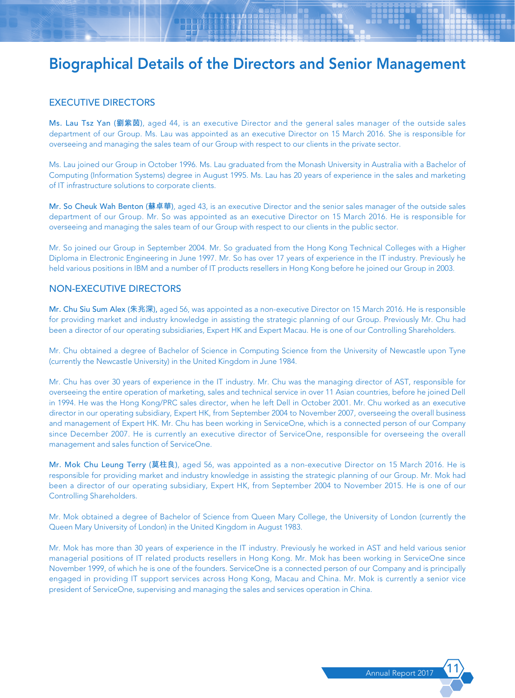### EXECUTIVE DIRECTORS

Ms. Lau Tsz Yan (**劉紫茵**), aged 44, is an executive Director and the general sales manager of the outside sales department of our Group. Ms. Lau was appointed as an executive Director on 15 March 2016. She is responsible for overseeing and managing the sales team of our Group with respect to our clients in the private sector.

Ms. Lau joined our Group in October 1996. Ms. Lau graduated from the Monash University in Australia with a Bachelor of Computing (Information Systems) degree in August 1995. Ms. Lau has 20 years of experience in the sales and marketing of IT infrastructure solutions to corporate clients.

Mr. So Cheuk Wah Benton (**蘇卓華**), aged 43, is an executive Director and the senior sales manager of the outside sales department of our Group. Mr. So was appointed as an executive Director on 15 March 2016. He is responsible for overseeing and managing the sales team of our Group with respect to our clients in the public sector.

Mr. So joined our Group in September 2004. Mr. So graduated from the Hong Kong Technical Colleges with a Higher Diploma in Electronic Engineering in June 1997. Mr. So has over 17 years of experience in the IT industry. Previously he held various positions in IBM and a number of IT products resellers in Hong Kong before he joined our Group in 2003.

### NON-EXECUTIVE DIRECTORS

Mr. Chu Siu Sum Alex (**朱兆深**), aged 56, was appointed as a non-executive Director on 15 March 2016. He is responsible for providing market and industry knowledge in assisting the strategic planning of our Group. Previously Mr. Chu had been a director of our operating subsidiaries, Expert HK and Expert Macau. He is one of our Controlling Shareholders.

Mr. Chu obtained a degree of Bachelor of Science in Computing Science from the University of Newcastle upon Tyne (currently the Newcastle University) in the United Kingdom in June 1984.

Mr. Chu has over 30 years of experience in the IT industry. Mr. Chu was the managing director of AST, responsible for overseeing the entire operation of marketing, sales and technical service in over 11 Asian countries, before he joined Dell in 1994. He was the Hong Kong/PRC sales director, when he left Dell in October 2001. Mr. Chu worked as an executive director in our operating subsidiary, Expert HK, from September 2004 to November 2007, overseeing the overall business and management of Expert HK. Mr. Chu has been working in ServiceOne, which is a connected person of our Company since December 2007. He is currently an executive director of ServiceOne, responsible for overseeing the overall management and sales function of ServiceOne.

Mr. Mok Chu Leung Terry (**莫柱良**), aged 56, was appointed as a non-executive Director on 15 March 2016. He is responsible for providing market and industry knowledge in assisting the strategic planning of our Group. Mr. Mok had been a director of our operating subsidiary, Expert HK, from September 2004 to November 2015. He is one of our Controlling Shareholders.

Mr. Mok obtained a degree of Bachelor of Science from Queen Mary College, the University of London (currently the Queen Mary University of London) in the United Kingdom in August 1983.

Mr. Mok has more than 30 years of experience in the IT industry. Previously he worked in AST and held various senior managerial positions of IT related products resellers in Hong Kong. Mr. Mok has been working in ServiceOne since November 1999, of which he is one of the founders. ServiceOne is a connected person of our Company and is principally engaged in providing IT support services across Hong Kong, Macau and China. Mr. Mok is currently a senior vice president of ServiceOne, supervising and managing the sales and services operation in China.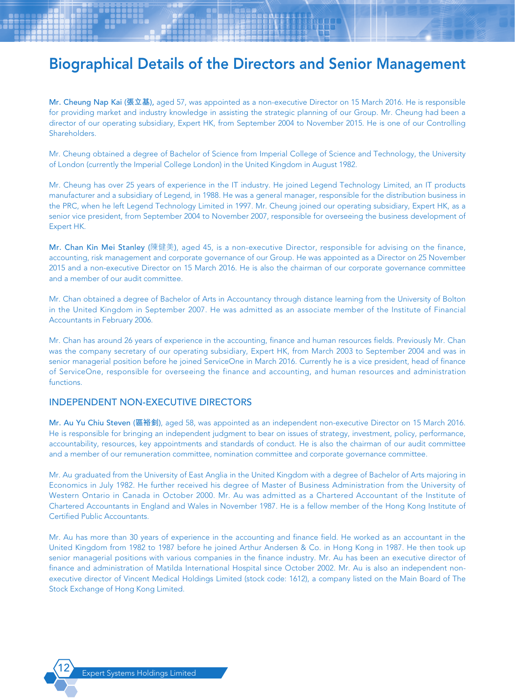Mr. Cheung Nap Kai (**張立基**), aged 57, was appointed as a non-executive Director on 15 March 2016. He is responsible for providing market and industry knowledge in assisting the strategic planning of our Group. Mr. Cheung had been a director of our operating subsidiary, Expert HK, from September 2004 to November 2015. He is one of our Controlling Shareholders.

Mr. Cheung obtained a degree of Bachelor of Science from Imperial College of Science and Technology, the University of London (currently the Imperial College London) in the United Kingdom in August 1982.

Mr. Cheung has over 25 years of experience in the IT industry. He joined Legend Technology Limited, an IT products manufacturer and a subsidiary of Legend, in 1988. He was a general manager, responsible for the distribution business in the PRC, when he left Legend Technology Limited in 1997. Mr. Cheung joined our operating subsidiary, Expert HK, as a senior vice president, from September 2004 to November 2007, responsible for overseeing the business development of Expert HK.

Mr. Chan Kin Mei Stanley (陳健美), aged 45, is a non-executive Director, responsible for advising on the finance, accounting, risk management and corporate governance of our Group. He was appointed as a Director on 25 November 2015 and a non-executive Director on 15 March 2016. He is also the chairman of our corporate governance committee and a member of our audit committee.

Mr. Chan obtained a degree of Bachelor of Arts in Accountancy through distance learning from the University of Bolton in the United Kingdom in September 2007. He was admitted as an associate member of the Institute of Financial Accountants in February 2006.

Mr. Chan has around 26 years of experience in the accounting, finance and human resources fields. Previously Mr. Chan was the company secretary of our operating subsidiary, Expert HK, from March 2003 to September 2004 and was in senior managerial position before he joined ServiceOne in March 2016. Currently he is a vice president, head of finance of ServiceOne, responsible for overseeing the finance and accounting, and human resources and administration functions.

### INDEPENDENT NON-EXECUTIVE DIRECTORS

Mr. Au Yu Chiu Steven (**區裕釗**), aged 58, was appointed as an independent non-executive Director on 15 March 2016. He is responsible for bringing an independent judgment to bear on issues of strategy, investment, policy, performance, accountability, resources, key appointments and standards of conduct. He is also the chairman of our audit committee and a member of our remuneration committee, nomination committee and corporate governance committee.

Mr. Au graduated from the University of East Anglia in the United Kingdom with a degree of Bachelor of Arts majoring in Economics in July 1982. He further received his degree of Master of Business Administration from the University of Western Ontario in Canada in October 2000. Mr. Au was admitted as a Chartered Accountant of the Institute of Chartered Accountants in England and Wales in November 1987. He is a fellow member of the Hong Kong Institute of Certified Public Accountants.

Mr. Au has more than 30 years of experience in the accounting and finance field. He worked as an accountant in the United Kingdom from 1982 to 1987 before he joined Arthur Andersen & Co. in Hong Kong in 1987. He then took up senior managerial positions with various companies in the finance industry. Mr. Au has been an executive director of finance and administration of Matilda International Hospital since October 2002. Mr. Au is also an independent nonexecutive director of Vincent Medical Holdings Limited (stock code: 1612), a company listed on the Main Board of The Stock Exchange of Hong Kong Limited.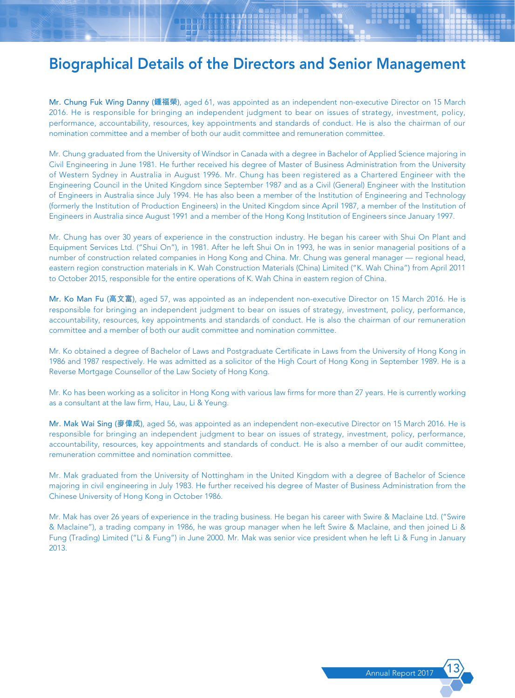Mr. Chung Fuk Wing Danny (**鍾福榮**), aged 61, was appointed as an independent non-executive Director on 15 March 2016. He is responsible for bringing an independent judgment to bear on issues of strategy, investment, policy, performance, accountability, resources, key appointments and standards of conduct. He is also the chairman of our nomination committee and a member of both our audit committee and remuneration committee.

Mr. Chung graduated from the University of Windsor in Canada with a degree in Bachelor of Applied Science majoring in Civil Engineering in June 1981. He further received his degree of Master of Business Administration from the University of Western Sydney in Australia in August 1996. Mr. Chung has been registered as a Chartered Engineer with the Engineering Council in the United Kingdom since September 1987 and as a Civil (General) Engineer with the Institution of Engineers in Australia since July 1994. He has also been a member of the Institution of Engineering and Technology (formerly the Institution of Production Engineers) in the United Kingdom since April 1987, a member of the Institution of Engineers in Australia since August 1991 and a member of the Hong Kong Institution of Engineers since January 1997.

Mr. Chung has over 30 years of experience in the construction industry. He began his career with Shui On Plant and Equipment Services Ltd. ("Shui On"), in 1981. After he left Shui On in 1993, he was in senior managerial positions of a number of construction related companies in Hong Kong and China. Mr. Chung was general manager — regional head, eastern region construction materials in K. Wah Construction Materials (China) Limited ("K. Wah China") from April 2011 to October 2015, responsible for the entire operations of K. Wah China in eastern region of China.

Mr. Ko Man Fu (**高文富**), aged 57, was appointed as an independent non-executive Director on 15 March 2016. He is responsible for bringing an independent judgment to bear on issues of strategy, investment, policy, performance, accountability, resources, key appointments and standards of conduct. He is also the chairman of our remuneration committee and a member of both our audit committee and nomination committee.

Mr. Ko obtained a degree of Bachelor of Laws and Postgraduate Certificate in Laws from the University of Hong Kong in 1986 and 1987 respectively. He was admitted as a solicitor of the High Court of Hong Kong in September 1989. He is a Reverse Mortgage Counsellor of the Law Society of Hong Kong.

Mr. Ko has been working as a solicitor in Hong Kong with various law firms for more than 27 years. He is currently working as a consultant at the law firm, Hau, Lau, Li & Yeung.

Mr. Mak Wai Sing (**麥偉成**), aged 56, was appointed as an independent non-executive Director on 15 March 2016. He is responsible for bringing an independent judgment to bear on issues of strategy, investment, policy, performance, accountability, resources, key appointments and standards of conduct. He is also a member of our audit committee, remuneration committee and nomination committee.

Mr. Mak graduated from the University of Nottingham in the United Kingdom with a degree of Bachelor of Science majoring in civil engineering in July 1983. He further received his degree of Master of Business Administration from the Chinese University of Hong Kong in October 1986.

Mr. Mak has over 26 years of experience in the trading business. He began his career with Swire & Maclaine Ltd. ("Swire & Maclaine"), a trading company in 1986, he was group manager when he left Swire & Maclaine, and then joined Li & Fung (Trading) Limited ("Li & Fung") in June 2000. Mr. Mak was senior vice president when he left Li & Fung in January 2013.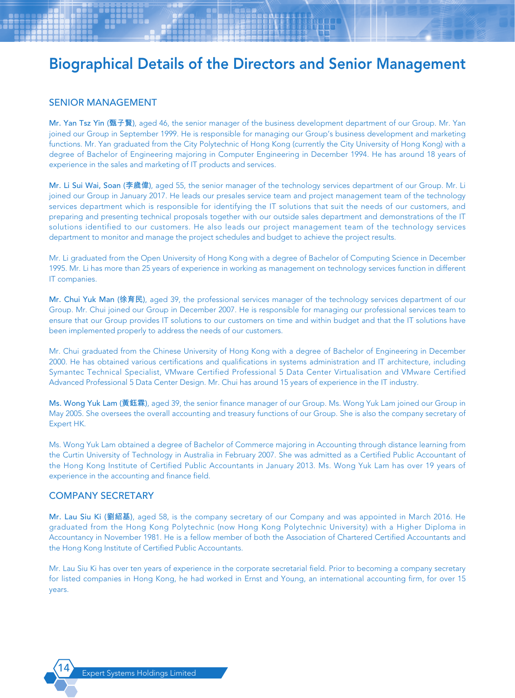### SENIOR MANAGEMENT

Mr. Yan Tsz Yin (**甄子賢**), aged 46, the senior manager of the business development department of our Group. Mr. Yan joined our Group in September 1999. He is responsible for managing our Group's business development and marketing functions. Mr. Yan graduated from the City Polytechnic of Hong Kong (currently the City University of Hong Kong) with a degree of Bachelor of Engineering majoring in Computer Engineering in December 1994. He has around 18 years of experience in the sales and marketing of IT products and services.

Mr. Li Sui Wai, Soan (**李歲偉**), aged 55, the senior manager of the technology services department of our Group. Mr. Li joined our Group in January 2017. He leads our presales service team and project management team of the technology services department which is responsible for identifying the IT solutions that suit the needs of our customers, and preparing and presenting technical proposals together with our outside sales department and demonstrations of the IT solutions identified to our customers. He also leads our project management team of the technology services department to monitor and manage the project schedules and budget to achieve the project results.

Mr. Li graduated from the Open University of Hong Kong with a degree of Bachelor of Computing Science in December 1995. Mr. Li has more than 25 years of experience in working as management on technology services function in different IT companies.

Mr. Chui Yuk Man (**徐育民**), aged 39, the professional services manager of the technology services department of our Group. Mr. Chui joined our Group in December 2007. He is responsible for managing our professional services team to ensure that our Group provides IT solutions to our customers on time and within budget and that the IT solutions have been implemented properly to address the needs of our customers.

Mr. Chui graduated from the Chinese University of Hong Kong with a degree of Bachelor of Engineering in December 2000. He has obtained various certifications and qualifications in systems administration and IT architecture, including Symantec Technical Specialist, VMware Certified Professional 5 Data Center Virtualisation and VMware Certified Advanced Professional 5 Data Center Design. Mr. Chui has around 15 years of experience in the IT industry.

Ms. Wong Yuk Lam (**黃鈺霖**), aged 39, the senior finance manager of our Group. Ms. Wong Yuk Lam joined our Group in May 2005. She oversees the overall accounting and treasury functions of our Group. She is also the company secretary of Expert HK.

Ms. Wong Yuk Lam obtained a degree of Bachelor of Commerce majoring in Accounting through distance learning from the Curtin University of Technology in Australia in February 2007. She was admitted as a Certified Public Accountant of the Hong Kong Institute of Certified Public Accountants in January 2013. Ms. Wong Yuk Lam has over 19 years of experience in the accounting and finance field.

#### COMPANY SECRETARY

Mr. Lau Siu Ki (**劉紹基**), aged 58, is the company secretary of our Company and was appointed in March 2016. He graduated from the Hong Kong Polytechnic (now Hong Kong Polytechnic University) with a Higher Diploma in Accountancy in November 1981. He is a fellow member of both the Association of Chartered Certified Accountants and the Hong Kong Institute of Certified Public Accountants.

Mr. Lau Siu Ki has over ten years of experience in the corporate secretarial field. Prior to becoming a company secretary for listed companies in Hong Kong, he had worked in Ernst and Young, an international accounting firm, for over 15 years.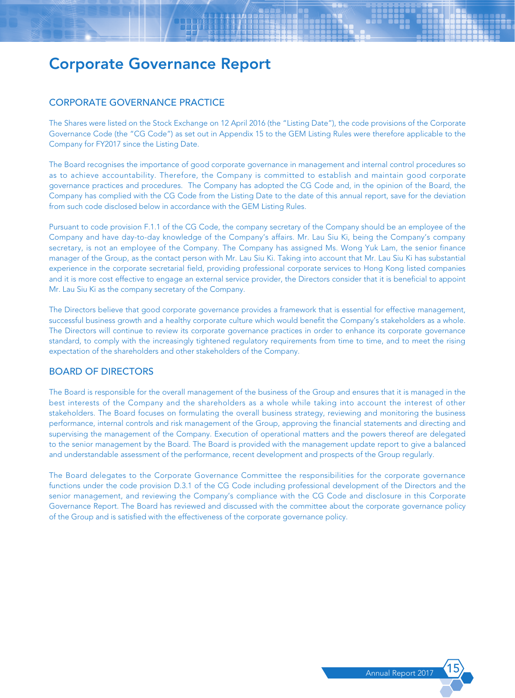# CORPORATE GOVERNANCE PRACTICE

The Shares were listed on the Stock Exchange on 12 April 2016 (the "Listing Date"), the code provisions of the Corporate Governance Code (the "CG Code") as set out in Appendix 15 to the GEM Listing Rules were therefore applicable to the Company for FY2017 since the Listing Date.

The Board recognises the importance of good corporate governance in management and internal control procedures so as to achieve accountability. Therefore, the Company is committed to establish and maintain good corporate governance practices and procedures. The Company has adopted the CG Code and, in the opinion of the Board, the Company has complied with the CG Code from the Listing Date to the date of this annual report, save for the deviation from such code disclosed below in accordance with the GEM Listing Rules.

Pursuant to code provision F.1.1 of the CG Code, the company secretary of the Company should be an employee of the Company and have day-to-day knowledge of the Company's affairs. Mr. Lau Siu Ki, being the Company's company secretary, is not an employee of the Company. The Company has assigned Ms. Wong Yuk Lam, the senior finance manager of the Group, as the contact person with Mr. Lau Siu Ki. Taking into account that Mr. Lau Siu Ki has substantial experience in the corporate secretarial field, providing professional corporate services to Hong Kong listed companies and it is more cost effective to engage an external service provider, the Directors consider that it is beneficial to appoint Mr. Lau Siu Ki as the company secretary of the Company.

The Directors believe that good corporate governance provides a framework that is essential for effective management, successful business growth and a healthy corporate culture which would benefit the Company's stakeholders as a whole. The Directors will continue to review its corporate governance practices in order to enhance its corporate governance standard, to comply with the increasingly tightened regulatory requirements from time to time, and to meet the rising expectation of the shareholders and other stakeholders of the Company.

# BOARD OF DIRECTORS

The Board is responsible for the overall management of the business of the Group and ensures that it is managed in the best interests of the Company and the shareholders as a whole while taking into account the interest of other stakeholders. The Board focuses on formulating the overall business strategy, reviewing and monitoring the business performance, internal controls and risk management of the Group, approving the financial statements and directing and supervising the management of the Company. Execution of operational matters and the powers thereof are delegated to the senior management by the Board. The Board is provided with the management update report to give a balanced and understandable assessment of the performance, recent development and prospects of the Group regularly.

The Board delegates to the Corporate Governance Committee the responsibilities for the corporate governance functions under the code provision D.3.1 of the CG Code including professional development of the Directors and the senior management, and reviewing the Company's compliance with the CG Code and disclosure in this Corporate Governance Report. The Board has reviewed and discussed with the committee about the corporate governance policy of the Group and is satisfied with the effectiveness of the corporate governance policy.

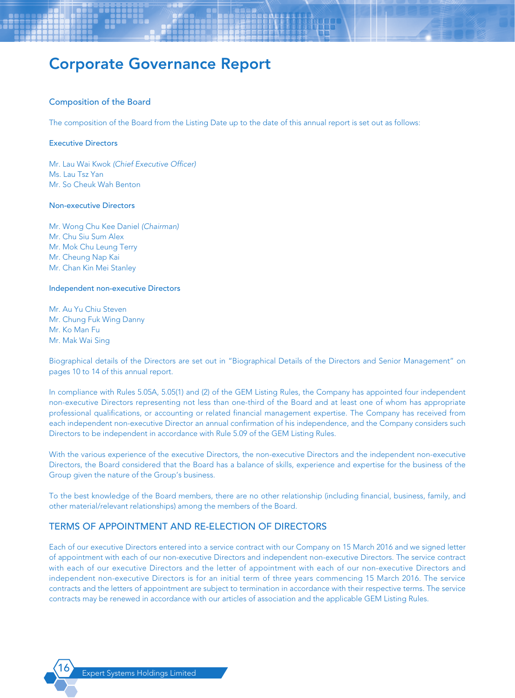#### Composition of the Board

The composition of the Board from the Listing Date up to the date of this annual report is set out as follows:

#### Executive Directors

Mr. Lau Wai Kwok *(Chief Executive Officer)* Ms. Lau Tsz Yan Mr. So Cheuk Wah Benton

#### Non-executive Directors

Mr. Wong Chu Kee Daniel *(Chairman)* Mr. Chu Siu Sum Alex Mr. Mok Chu Leung Terry Mr. Cheung Nap Kai Mr. Chan Kin Mei Stanley

#### Independent non-executive Directors

Mr. Au Yu Chiu Steven Mr. Chung Fuk Wing Danny Mr. Ko Man Fu Mr. Mak Wai Sing

Biographical details of the Directors are set out in "Biographical Details of the Directors and Senior Management" on pages 10 to 14 of this annual report.

In compliance with Rules 5.05A, 5.05(1) and (2) of the GEM Listing Rules, the Company has appointed four independent non-executive Directors representing not less than one-third of the Board and at least one of whom has appropriate professional qualifications, or accounting or related financial management expertise. The Company has received from each independent non-executive Director an annual confirmation of his independence, and the Company considers such Directors to be independent in accordance with Rule 5.09 of the GEM Listing Rules.

With the various experience of the executive Directors, the non-executive Directors and the independent non-executive Directors, the Board considered that the Board has a balance of skills, experience and expertise for the business of the Group given the nature of the Group's business.

To the best knowledge of the Board members, there are no other relationship (including financial, business, family, and other material/relevant relationships) among the members of the Board.

### TERMS OF APPOINTMENT AND RE-ELECTION OF DIRECTORS

Each of our executive Directors entered into a service contract with our Company on 15 March 2016 and we signed letter of appointment with each of our non-executive Directors and independent non-executive Directors. The service contract with each of our executive Directors and the letter of appointment with each of our non-executive Directors and independent non-executive Directors is for an initial term of three years commencing 15 March 2016. The service contracts and the letters of appointment are subject to termination in accordance with their respective terms. The service contracts may be renewed in accordance with our articles of association and the applicable GEM Listing Rules.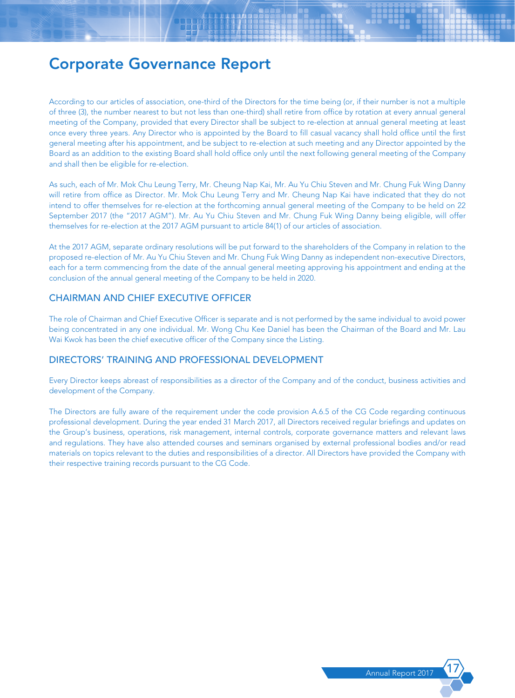According to our articles of association, one-third of the Directors for the time being (or, if their number is not a multiple of three (3), the number nearest to but not less than one-third) shall retire from office by rotation at every annual general meeting of the Company, provided that every Director shall be subject to re-election at annual general meeting at least once every three years. Any Director who is appointed by the Board to fill casual vacancy shall hold office until the first general meeting after his appointment, and be subject to re-election at such meeting and any Director appointed by the Board as an addition to the existing Board shall hold office only until the next following general meeting of the Company and shall then be eligible for re-election.

As such, each of Mr. Mok Chu Leung Terry, Mr. Cheung Nap Kai, Mr. Au Yu Chiu Steven and Mr. Chung Fuk Wing Danny will retire from office as Director. Mr. Mok Chu Leung Terry and Mr. Cheung Nap Kai have indicated that they do not intend to offer themselves for re-election at the forthcoming annual general meeting of the Company to be held on 22 September 2017 (the "2017 AGM"). Mr. Au Yu Chiu Steven and Mr. Chung Fuk Wing Danny being eligible, will offer themselves for re-election at the 2017 AGM pursuant to article 84(1) of our articles of association.

At the 2017 AGM, separate ordinary resolutions will be put forward to the shareholders of the Company in relation to the proposed re-election of Mr. Au Yu Chiu Steven and Mr. Chung Fuk Wing Danny as independent non-executive Directors, each for a term commencing from the date of the annual general meeting approving his appointment and ending at the conclusion of the annual general meeting of the Company to be held in 2020.

# CHAIRMAN AND CHIEF EXECUTIVE OFFICER

The role of Chairman and Chief Executive Officer is separate and is not performed by the same individual to avoid power being concentrated in any one individual. Mr. Wong Chu Kee Daniel has been the Chairman of the Board and Mr. Lau Wai Kwok has been the chief executive officer of the Company since the Listing.

### DIRECTORS' TRAINING AND PROFESSIONAL DEVELOPMENT

Every Director keeps abreast of responsibilities as a director of the Company and of the conduct, business activities and development of the Company.

The Directors are fully aware of the requirement under the code provision A.6.5 of the CG Code regarding continuous professional development. During the year ended 31 March 2017, all Directors received regular briefings and updates on the Group's business, operations, risk management, internal controls, corporate governance matters and relevant laws and regulations. They have also attended courses and seminars organised by external professional bodies and/or read materials on topics relevant to the duties and responsibilities of a director. All Directors have provided the Company with their respective training records pursuant to the CG Code.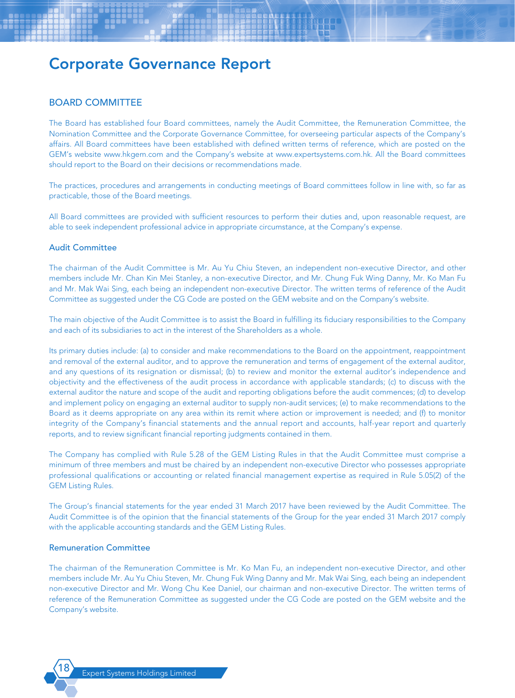# BOARD COMMITTEE

The Board has established four Board committees, namely the Audit Committee, the Remuneration Committee, the Nomination Committee and the Corporate Governance Committee, for overseeing particular aspects of the Company's affairs. All Board committees have been established with defined written terms of reference, which are posted on the GEM's website www.hkgem.com and the Company's website at www.expertsystems.com.hk. All the Board committees should report to the Board on their decisions or recommendations made.

The practices, procedures and arrangements in conducting meetings of Board committees follow in line with, so far as practicable, those of the Board meetings.

All Board committees are provided with sufficient resources to perform their duties and, upon reasonable request, are able to seek independent professional advice in appropriate circumstance, at the Company's expense.

#### Audit Committee

The chairman of the Audit Committee is Mr. Au Yu Chiu Steven, an independent non-executive Director, and other members include Mr. Chan Kin Mei Stanley, a non-executive Director, and Mr. Chung Fuk Wing Danny, Mr. Ko Man Fu and Mr. Mak Wai Sing, each being an independent non-executive Director. The written terms of reference of the Audit Committee as suggested under the CG Code are posted on the GEM website and on the Company's website.

The main objective of the Audit Committee is to assist the Board in fulfilling its fiduciary responsibilities to the Company and each of its subsidiaries to act in the interest of the Shareholders as a whole.

Its primary duties include: (a) to consider and make recommendations to the Board on the appointment, reappointment and removal of the external auditor, and to approve the remuneration and terms of engagement of the external auditor, and any questions of its resignation or dismissal; (b) to review and monitor the external auditor's independence and objectivity and the effectiveness of the audit process in accordance with applicable standards; (c) to discuss with the external auditor the nature and scope of the audit and reporting obligations before the audit commences; (d) to develop and implement policy on engaging an external auditor to supply non-audit services; (e) to make recommendations to the Board as it deems appropriate on any area within its remit where action or improvement is needed; and (f) to monitor integrity of the Company's financial statements and the annual report and accounts, half-year report and quarterly reports, and to review significant financial reporting judgments contained in them.

The Company has complied with Rule 5.28 of the GEM Listing Rules in that the Audit Committee must comprise a minimum of three members and must be chaired by an independent non-executive Director who possesses appropriate professional qualifications or accounting or related financial management expertise as required in Rule 5.05(2) of the GEM Listing Rules.

The Group's financial statements for the year ended 31 March 2017 have been reviewed by the Audit Committee. The Audit Committee is of the opinion that the financial statements of the Group for the year ended 31 March 2017 comply with the applicable accounting standards and the GEM Listing Rules.

#### Remuneration Committee

The chairman of the Remuneration Committee is Mr. Ko Man Fu, an independent non-executive Director, and other members include Mr. Au Yu Chiu Steven, Mr. Chung Fuk Wing Danny and Mr. Mak Wai Sing, each being an independent non-executive Director and Mr. Wong Chu Kee Daniel, our chairman and non-executive Director. The written terms of reference of the Remuneration Committee as suggested under the CG Code are posted on the GEM website and the Company's website.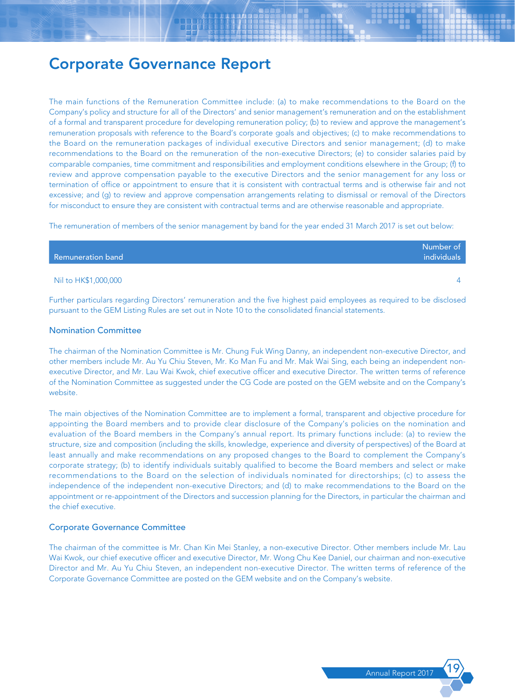The main functions of the Remuneration Committee include: (a) to make recommendations to the Board on the Company's policy and structure for all of the Directors' and senior management's remuneration and on the establishment of a formal and transparent procedure for developing remuneration policy; (b) to review and approve the management's remuneration proposals with reference to the Board's corporate goals and objectives; (c) to make recommendations to the Board on the remuneration packages of individual executive Directors and senior management; (d) to make recommendations to the Board on the remuneration of the non-executive Directors; (e) to consider salaries paid by comparable companies, time commitment and responsibilities and employment conditions elsewhere in the Group; (f) to review and approve compensation payable to the executive Directors and the senior management for any loss or termination of office or appointment to ensure that it is consistent with contractual terms and is otherwise fair and not excessive; and (g) to review and approve compensation arrangements relating to dismissal or removal of the Directors for misconduct to ensure they are consistent with contractual terms and are otherwise reasonable and appropriate.

The remuneration of members of the senior management by band for the year ended 31 March 2017 is set out below:

| Remuneration band    | Number of<br>individuals |
|----------------------|--------------------------|
| Nil to HK\$1,000,000 |                          |

Further particulars regarding Directors' remuneration and the five highest paid employees as required to be disclosed pursuant to the GEM Listing Rules are set out in Note 10 to the consolidated financial statements.

#### Nomination Committee

The chairman of the Nomination Committee is Mr. Chung Fuk Wing Danny, an independent non-executive Director, and other members include Mr. Au Yu Chiu Steven, Mr. Ko Man Fu and Mr. Mak Wai Sing, each being an independent nonexecutive Director, and Mr. Lau Wai Kwok, chief executive officer and executive Director. The written terms of reference of the Nomination Committee as suggested under the CG Code are posted on the GEM website and on the Company's website.

The main objectives of the Nomination Committee are to implement a formal, transparent and objective procedure for appointing the Board members and to provide clear disclosure of the Company's policies on the nomination and evaluation of the Board members in the Company's annual report. Its primary functions include: (a) to review the structure, size and composition (including the skills, knowledge, experience and diversity of perspectives) of the Board at least annually and make recommendations on any proposed changes to the Board to complement the Company's corporate strategy; (b) to identify individuals suitably qualified to become the Board members and select or make recommendations to the Board on the selection of individuals nominated for directorships; (c) to assess the independence of the independent non-executive Directors; and (d) to make recommendations to the Board on the appointment or re-appointment of the Directors and succession planning for the Directors, in particular the chairman and the chief executive.

#### Corporate Governance Committee

The chairman of the committee is Mr. Chan Kin Mei Stanley, a non-executive Director. Other members include Mr. Lau Wai Kwok, our chief executive officer and executive Director, Mr. Wong Chu Kee Daniel, our chairman and non-executive Director and Mr. Au Yu Chiu Steven, an independent non-executive Director. The written terms of reference of the Corporate Governance Committee are posted on the GEM website and on the Company's website.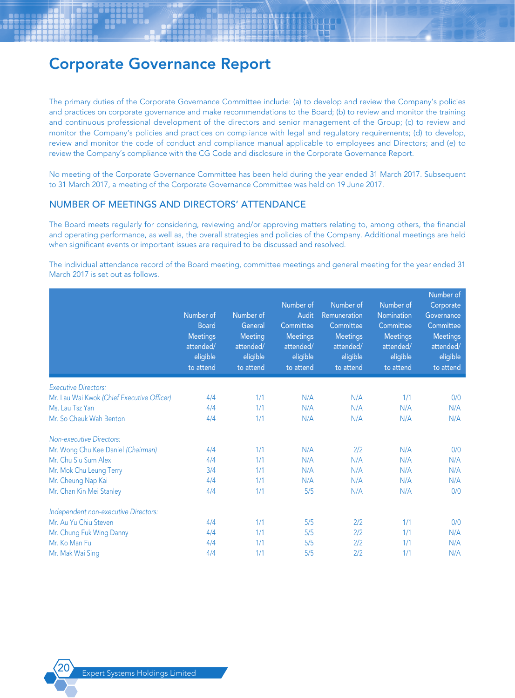The primary duties of the Corporate Governance Committee include: (a) to develop and review the Company's policies and practices on corporate governance and make recommendations to the Board; (b) to review and monitor the training and continuous professional development of the directors and senior management of the Group; (c) to review and monitor the Company's policies and practices on compliance with legal and regulatory requirements; (d) to develop, review and monitor the code of conduct and compliance manual applicable to employees and Directors; and (e) to review the Company's compliance with the CG Code and disclosure in the Corporate Governance Report.

No meeting of the Corporate Governance Committee has been held during the year ended 31 March 2017. Subsequent to 31 March 2017, a meeting of the Corporate Governance Committee was held on 19 June 2017.

### NUMBER OF MEETINGS AND DIRECTORS' ATTENDANCE

The Board meets regularly for considering, reviewing and/or approving matters relating to, among others, the financial and operating performance, as well as, the overall strategies and policies of the Company. Additional meetings are held when significant events or important issues are required to be discussed and resolved.

The individual attendance record of the Board meeting, committee meetings and general meeting for the year ended 31 March 2017 is set out as follows.

|                                            | Number of<br><b>Board</b><br><b>Meetings</b><br>attended/<br>eligible<br>to attend | Number of<br>General<br>Meeting<br>attended/<br>eligible<br>to attend | Number of<br>Audit<br>Committee<br><b>Meetings</b><br>attended/<br>eligible<br>to attend | Number of<br>Remuneration<br>Committee<br><b>Meetings</b><br>attended/<br>eligible<br>to attend | Number of<br><b>Nomination</b><br>Committee<br><b>Meetings</b><br>attended/<br>eligible<br>to attend | Number of<br>Corporate<br>Governance<br>Committee<br><b>Meetings</b><br>attended/<br>eligible<br>to attend |
|--------------------------------------------|------------------------------------------------------------------------------------|-----------------------------------------------------------------------|------------------------------------------------------------------------------------------|-------------------------------------------------------------------------------------------------|------------------------------------------------------------------------------------------------------|------------------------------------------------------------------------------------------------------------|
| <b>Executive Directors:</b>                |                                                                                    |                                                                       |                                                                                          |                                                                                                 |                                                                                                      |                                                                                                            |
| Mr. Lau Wai Kwok (Chief Executive Officer) | 4/4                                                                                | 1/1                                                                   | N/A                                                                                      | N/A                                                                                             | 1/1                                                                                                  | 0/0                                                                                                        |
| Ms. Lau Tsz Yan                            | 4/4                                                                                | 1/1                                                                   | N/A                                                                                      | N/A                                                                                             | N/A                                                                                                  | N/A                                                                                                        |
| Mr. So Cheuk Wah Benton                    | 4/4                                                                                | 1/1                                                                   | N/A                                                                                      | N/A                                                                                             | N/A                                                                                                  | N/A                                                                                                        |
| <b>Non-executive Directors:</b>            |                                                                                    |                                                                       |                                                                                          |                                                                                                 |                                                                                                      |                                                                                                            |
| Mr. Wong Chu Kee Daniel (Chairman)         | 4/4                                                                                | 1/1                                                                   | N/A                                                                                      | 2/2                                                                                             | N/A                                                                                                  | 0/0                                                                                                        |
| Mr. Chu Siu Sum Alex                       | 4/4                                                                                | 1/1                                                                   | N/A                                                                                      | N/A                                                                                             | N/A                                                                                                  | N/A                                                                                                        |
| Mr. Mok Chu Leung Terry                    | 3/4                                                                                | 1/1                                                                   | N/A                                                                                      | N/A                                                                                             | N/A                                                                                                  | N/A                                                                                                        |
| Mr. Cheung Nap Kai                         | 4/4                                                                                | 1/1                                                                   | N/A                                                                                      | N/A                                                                                             | N/A                                                                                                  | N/A                                                                                                        |
| Mr. Chan Kin Mei Stanley                   | 4/4                                                                                | 1/1                                                                   | 5/5                                                                                      | N/A                                                                                             | N/A                                                                                                  | 0/0                                                                                                        |
| Independent non-executive Directors:       |                                                                                    |                                                                       |                                                                                          |                                                                                                 |                                                                                                      |                                                                                                            |
| Mr. Au Yu Chiu Steven                      | 4/4                                                                                | 1/1                                                                   | 5/5                                                                                      | 2/2                                                                                             | 1/1                                                                                                  | 0/0                                                                                                        |
| Mr. Chung Fuk Wing Danny                   | 4/4                                                                                | 1/1                                                                   | 5/5                                                                                      | 2/2                                                                                             | 1/1                                                                                                  | N/A                                                                                                        |
| Mr. Ko Man Fu                              | 4/4                                                                                | 1/1                                                                   | 5/5                                                                                      | 2/2                                                                                             | 1/1                                                                                                  | N/A                                                                                                        |
| Mr. Mak Wai Sing                           | 4/4                                                                                | 1/1                                                                   | 5/5                                                                                      | 2/2                                                                                             | 1/1                                                                                                  | N/A                                                                                                        |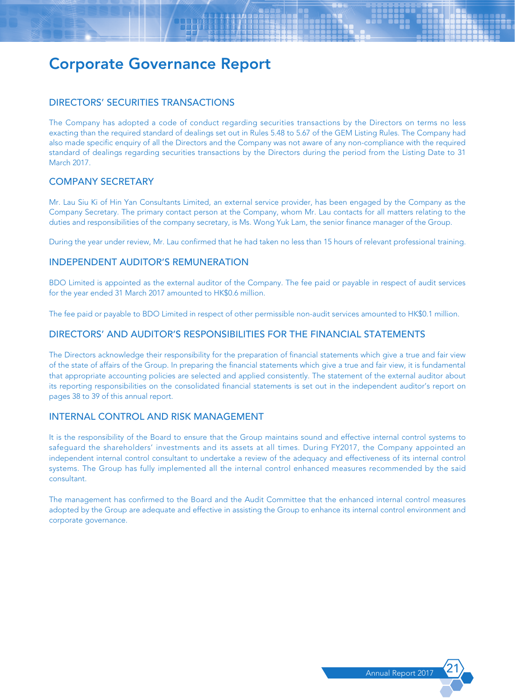# DIRECTORS' SECURITIES TRANSACTIONS

The Company has adopted a code of conduct regarding securities transactions by the Directors on terms no less exacting than the required standard of dealings set out in Rules 5.48 to 5.67 of the GEM Listing Rules. The Company had also made specific enquiry of all the Directors and the Company was not aware of any non-compliance with the required standard of dealings regarding securities transactions by the Directors during the period from the Listing Date to 31 March 2017.

# COMPANY SECRETARY

Mr. Lau Siu Ki of Hin Yan Consultants Limited, an external service provider, has been engaged by the Company as the Company Secretary. The primary contact person at the Company, whom Mr. Lau contacts for all matters relating to the duties and responsibilities of the company secretary, is Ms. Wong Yuk Lam, the senior finance manager of the Group.

During the year under review, Mr. Lau confirmed that he had taken no less than 15 hours of relevant professional training.

# INDEPENDENT AUDITOR'S REMUNERATION

BDO Limited is appointed as the external auditor of the Company. The fee paid or payable in respect of audit services for the year ended 31 March 2017 amounted to HK\$0.6 million.

The fee paid or payable to BDO Limited in respect of other permissible non-audit services amounted to HK\$0.1 million.

### DIRECTORS' AND AUDITOR'S RESPONSIBILITIES FOR THE FINANCIAL STATEMENTS

The Directors acknowledge their responsibility for the preparation of financial statements which give a true and fair view of the state of affairs of the Group. In preparing the financial statements which give a true and fair view, it is fundamental that appropriate accounting policies are selected and applied consistently. The statement of the external auditor about its reporting responsibilities on the consolidated financial statements is set out in the independent auditor's report on pages 38 to 39 of this annual report.

# INTERNAL CONTROL AND RISK MANAGEMENT

It is the responsibility of the Board to ensure that the Group maintains sound and effective internal control systems to safeguard the shareholders' investments and its assets at all times. During FY2017, the Company appointed an independent internal control consultant to undertake a review of the adequacy and effectiveness of its internal control systems. The Group has fully implemented all the internal control enhanced measures recommended by the said consultant.

The management has confirmed to the Board and the Audit Committee that the enhanced internal control measures adopted by the Group are adequate and effective in assisting the Group to enhance its internal control environment and corporate governance.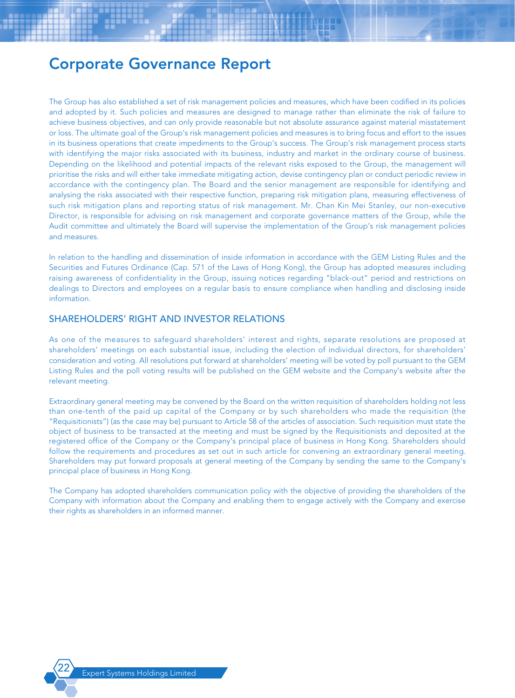The Group has also established a set of risk management policies and measures, which have been codified in its policies and adopted by it. Such policies and measures are designed to manage rather than eliminate the risk of failure to achieve business objectives, and can only provide reasonable but not absolute assurance against material misstatement or loss. The ultimate goal of the Group's risk management policies and measures is to bring focus and effort to the issues in its business operations that create impediments to the Group's success. The Group's risk management process starts with identifying the major risks associated with its business, industry and market in the ordinary course of business. Depending on the likelihood and potential impacts of the relevant risks exposed to the Group, the management will prioritise the risks and will either take immediate mitigating action, devise contingency plan or conduct periodic review in accordance with the contingency plan. The Board and the senior management are responsible for identifying and analysing the risks associated with their respective function, preparing risk mitigation plans, measuring effectiveness of such risk mitigation plans and reporting status of risk management. Mr. Chan Kin Mei Stanley, our non-executive Director, is responsible for advising on risk management and corporate governance matters of the Group, while the Audit committee and ultimately the Board will supervise the implementation of the Group's risk management policies and measures.

In relation to the handling and dissemination of inside information in accordance with the GEM Listing Rules and the Securities and Futures Ordinance (Cap. 571 of the Laws of Hong Kong), the Group has adopted measures including raising awareness of confidentiality in the Group, issuing notices regarding "black-out" period and restrictions on dealings to Directors and employees on a regular basis to ensure compliance when handling and disclosing inside information.

# SHAREHOLDERS' RIGHT AND INVESTOR RELATIONS

As one of the measures to safeguard shareholders' interest and rights, separate resolutions are proposed at shareholders' meetings on each substantial issue, including the election of individual directors, for shareholders' consideration and voting. All resolutions put forward at shareholders' meeting will be voted by poll pursuant to the GEM Listing Rules and the poll voting results will be published on the GEM website and the Company's website after the relevant meeting.

Extraordinary general meeting may be convened by the Board on the written requisition of shareholders holding not less than one-tenth of the paid up capital of the Company or by such shareholders who made the requisition (the "Requisitionists") (as the case may be) pursuant to Article 58 of the articles of association. Such requisition must state the object of business to be transacted at the meeting and must be signed by the Requisitionists and deposited at the registered office of the Company or the Company's principal place of business in Hong Kong. Shareholders should follow the requirements and procedures as set out in such article for convening an extraordinary general meeting. Shareholders may put forward proposals at general meeting of the Company by sending the same to the Company's principal place of business in Hong Kong.

The Company has adopted shareholders communication policy with the objective of providing the shareholders of the Company with information about the Company and enabling them to engage actively with the Company and exercise their rights as shareholders in an informed manner.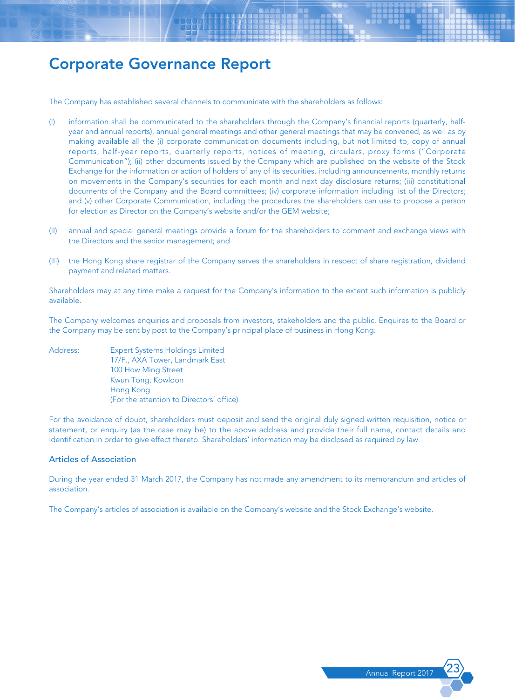The Company has established several channels to communicate with the shareholders as follows:

- (I) information shall be communicated to the shareholders through the Company's financial reports (quarterly, halfyear and annual reports), annual general meetings and other general meetings that may be convened, as well as by making available all the (i) corporate communication documents including, but not limited to, copy of annual reports, half-year reports, quarterly reports, notices of meeting, circulars, proxy forms ("Corporate Communication"); (ii) other documents issued by the Company which are published on the website of the Stock Exchange for the information or action of holders of any of its securities, including announcements, monthly returns on movements in the Company's securities for each month and next day disclosure returns; (iii) constitutional documents of the Company and the Board committees; (iv) corporate information including list of the Directors; and (v) other Corporate Communication, including the procedures the shareholders can use to propose a person for election as Director on the Company's website and/or the GEM website;
- (II) annual and special general meetings provide a forum for the shareholders to comment and exchange views with the Directors and the senior management; and
- (III) the Hong Kong share registrar of the Company serves the shareholders in respect of share registration, dividend payment and related matters.

Shareholders may at any time make a request for the Company's information to the extent such information is publicly available.

The Company welcomes enquiries and proposals from investors, stakeholders and the public. Enquires to the Board or the Company may be sent by post to the Company's principal place of business in Hong Kong.

Address: Expert Systems Holdings Limited 17/F., AXA Tower, Landmark East 100 How Ming Street Kwun Tong, Kowloon Hong Kong (For the attention to Directors' office)

For the avoidance of doubt, shareholders must deposit and send the original duly signed written requisition, notice or statement, or enquiry (as the case may be) to the above address and provide their full name, contact details and identification in order to give effect thereto. Shareholders' information may be disclosed as required by law.

#### Articles of Association

During the year ended 31 March 2017, the Company has not made any amendment to its memorandum and articles of association.

The Company's articles of association is available on the Company's website and the Stock Exchange's website.

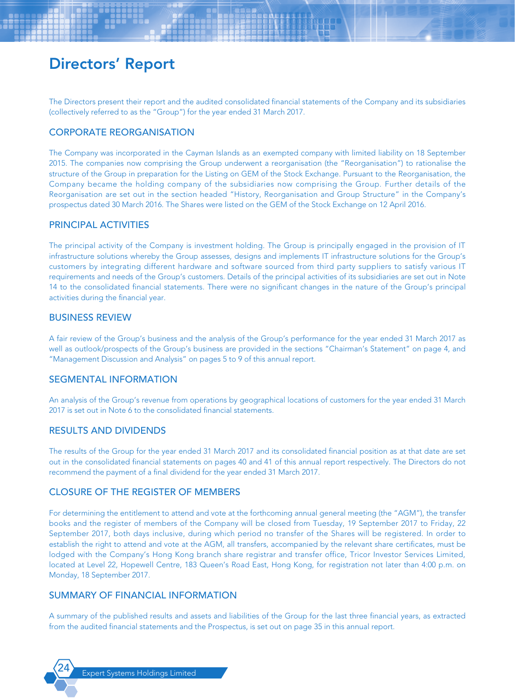The Directors present their report and the audited consolidated financial statements of the Company and its subsidiaries (collectively referred to as the "Group") for the year ended 31 March 2017.

# CORPORATE REORGANISATION

The Company was incorporated in the Cayman Islands as an exempted company with limited liability on 18 September 2015. The companies now comprising the Group underwent a reorganisation (the "Reorganisation") to rationalise the structure of the Group in preparation for the Listing on GEM of the Stock Exchange. Pursuant to the Reorganisation, the Company became the holding company of the subsidiaries now comprising the Group. Further details of the Reorganisation are set out in the section headed "History, Reorganisation and Group Structure" in the Company's prospectus dated 30 March 2016. The Shares were listed on the GEM of the Stock Exchange on 12 April 2016.

# PRINCIPAL ACTIVITIES

The principal activity of the Company is investment holding. The Group is principally engaged in the provision of IT infrastructure solutions whereby the Group assesses, designs and implements IT infrastructure solutions for the Group's customers by integrating different hardware and software sourced from third party suppliers to satisfy various IT requirements and needs of the Group's customers. Details of the principal activities of its subsidiaries are set out in Note 14 to the consolidated financial statements. There were no significant changes in the nature of the Group's principal activities during the financial year.

### BUSINESS REVIEW

A fair review of the Group's business and the analysis of the Group's performance for the year ended 31 March 2017 as well as outlook/prospects of the Group's business are provided in the sections "Chairman's Statement" on page 4, and "Management Discussion and Analysis" on pages 5 to 9 of this annual report.

# SEGMENTAL INFORMATION

An analysis of the Group's revenue from operations by geographical locations of customers for the year ended 31 March 2017 is set out in Note 6 to the consolidated financial statements.

# RESULTS AND DIVIDENDS

The results of the Group for the year ended 31 March 2017 and its consolidated financial position as at that date are set out in the consolidated financial statements on pages 40 and 41 of this annual report respectively. The Directors do not recommend the payment of a final dividend for the year ended 31 March 2017.

# CLOSURE OF THE REGISTER OF MEMBERS

For determining the entitlement to attend and vote at the forthcoming annual general meeting (the "AGM"), the transfer books and the register of members of the Company will be closed from Tuesday, 19 September 2017 to Friday, 22 September 2017, both days inclusive, during which period no transfer of the Shares will be registered. In order to establish the right to attend and vote at the AGM, all transfers, accompanied by the relevant share certificates, must be lodged with the Company's Hong Kong branch share registrar and transfer office, Tricor Investor Services Limited, located at Level 22, Hopewell Centre, 183 Queen's Road East, Hong Kong, for registration not later than 4:00 p.m. on Monday, 18 September 2017.

# SUMMARY OF FINANCIAL INFORMATION

A summary of the published results and assets and liabilities of the Group for the last three financial years, as extracted from the audited financial statements and the Prospectus, is set out on page 35 in this annual report.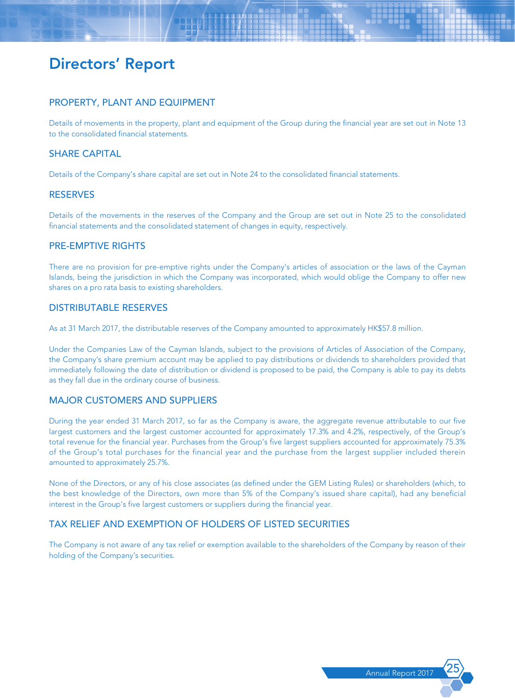# PROPERTY, PLANT AND EQUIPMENT

Details of movements in the property, plant and equipment of the Group during the financial year are set out in Note 13 to the consolidated financial statements.

# SHARE CAPITAL

Details of the Company's share capital are set out in Note 24 to the consolidated financial statements.

# **RESERVES**

Details of the movements in the reserves of the Company and the Group are set out in Note 25 to the consolidated financial statements and the consolidated statement of changes in equity, respectively.

# PRE-EMPTIVE RIGHTS

There are no provision for pre-emptive rights under the Company's articles of association or the laws of the Cayman Islands, being the jurisdiction in which the Company was incorporated, which would oblige the Company to offer new shares on a pro rata basis to existing shareholders.

# DISTRIBUTABLE RESERVES

As at 31 March 2017, the distributable reserves of the Company amounted to approximately HK\$57.8 million.

Under the Companies Law of the Cayman Islands, subject to the provisions of Articles of Association of the Company, the Company's share premium account may be applied to pay distributions or dividends to shareholders provided that immediately following the date of distribution or dividend is proposed to be paid, the Company is able to pay its debts as they fall due in the ordinary course of business.

# MAJOR CUSTOMERS AND SUPPLIERS

During the year ended 31 March 2017, so far as the Company is aware, the aggregate revenue attributable to our five largest customers and the largest customer accounted for approximately 17.3% and 4.2%, respectively, of the Group's total revenue for the financial year. Purchases from the Group's five largest suppliers accounted for approximately 75.3% of the Group's total purchases for the financial year and the purchase from the largest supplier included therein amounted to approximately 25.7%.

None of the Directors, or any of his close associates (as defined under the GEM Listing Rules) or shareholders (which, to the best knowledge of the Directors, own more than 5% of the Company's issued share capital), had any beneficial interest in the Group's five largest customers or suppliers during the financial year.

# TAX RELIEF AND EXEMPTION OF HOLDERS OF LISTED SECURITIES

The Company is not aware of any tax relief or exemption available to the shareholders of the Company by reason of their holding of the Company's securities.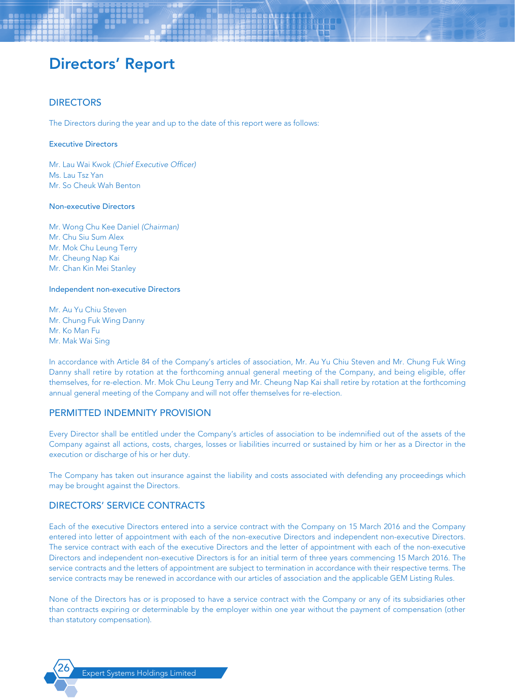# **DIRECTORS**

The Directors during the year and up to the date of this report were as follows:

#### Executive Directors

Mr. Lau Wai Kwok *(Chief Executive Officer)* Ms. Lau Tsz Yan Mr. So Cheuk Wah Benton

#### Non-executive Directors

Mr. Wong Chu Kee Daniel *(Chairman)* Mr. Chu Siu Sum Alex Mr. Mok Chu Leung Terry Mr. Cheung Nap Kai Mr. Chan Kin Mei Stanley

#### Independent non-executive Directors

Mr. Au Yu Chiu Steven Mr. Chung Fuk Wing Danny Mr. Ko Man Fu Mr. Mak Wai Sing

In accordance with Article 84 of the Company's articles of association, Mr. Au Yu Chiu Steven and Mr. Chung Fuk Wing Danny shall retire by rotation at the forthcoming annual general meeting of the Company, and being eligible, offer themselves, for re-election. Mr. Mok Chu Leung Terry and Mr. Cheung Nap Kai shall retire by rotation at the forthcoming annual general meeting of the Company and will not offer themselves for re-election.

### PERMITTED INDEMNITY PROVISION

Every Director shall be entitled under the Company's articles of association to be indemnified out of the assets of the Company against all actions, costs, charges, losses or liabilities incurred or sustained by him or her as a Director in the execution or discharge of his or her duty.

The Company has taken out insurance against the liability and costs associated with defending any proceedings which may be brought against the Directors.

### DIRECTORS' SERVICE CONTRACTS

Each of the executive Directors entered into a service contract with the Company on 15 March 2016 and the Company entered into letter of appointment with each of the non-executive Directors and independent non-executive Directors. The service contract with each of the executive Directors and the letter of appointment with each of the non-executive Directors and independent non-executive Directors is for an initial term of three years commencing 15 March 2016. The service contracts and the letters of appointment are subject to termination in accordance with their respective terms. The service contracts may be renewed in accordance with our articles of association and the applicable GEM Listing Rules.

None of the Directors has or is proposed to have a service contract with the Company or any of its subsidiaries other than contracts expiring or determinable by the employer within one year without the payment of compensation (other than statutory compensation).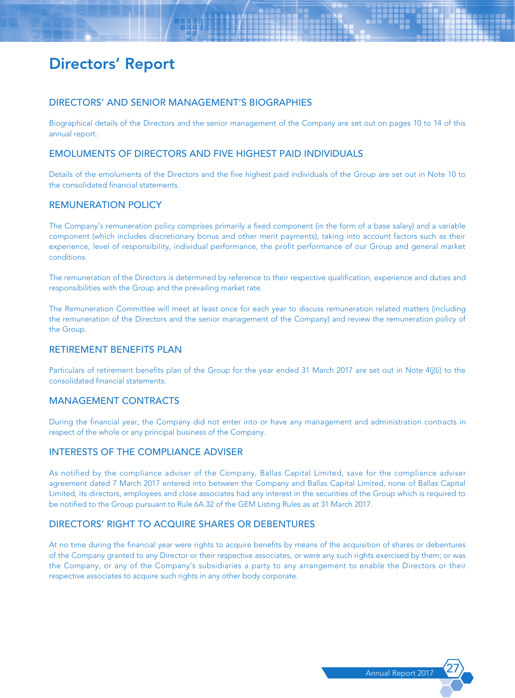### DIRECTORS' AND SENIOR MANAGEMENT'S BIOGRAPHIES

Biographical details of the Directors and the senior management of the Company are set out on pages 10 to 14 of this annual report.

# EMOLUMENTS OF DIRECTORS AND FIVE HIGHEST PAID INDIVIDUALS

Details of the emoluments of the Directors and the five highest paid individuals of the Group are set out in Note 10 to the consolidated financial statements.

# REMUNERATION POLICY

The Company's remuneration policy comprises primarily a fixed component (in the form of a base salary) and a variable component (which includes discretionary bonus and other merit payments), taking into account factors such as their experience, level of responsibility, individual performance, the profit performance of our Group and general market conditions.

The remuneration of the Directors is determined by reference to their respective qualification, experience and duties and responsibilities with the Group and the prevailing market rate.

The Remuneration Committee will meet at least once for each year to discuss remuneration related matters (including the remuneration of the Directors and the senior management of the Company) and review the remuneration policy of the Group.

### RETIREMENT BENEFITS PLAN

Particulars of retirement benefits plan of the Group for the year ended 31 March 2017 are set out in Note 4(j)(i) to the consolidated financial statements.

### MANAGEMENT CONTRACTS

During the financial year, the Company did not enter into or have any management and administration contracts in respect of the whole or any principal business of the Company.

# INTERESTS OF THE COMPLIANCE ADVISER

As notified by the compliance adviser of the Company, Ballas Capital Limited, save for the compliance adviser agreement dated 7 March 2017 entered into between the Company and Ballas Capital Limited, none of Ballas Capital Limited, its directors, employees and close associates had any interest in the securities of the Group which is required to be notified to the Group pursuant to Rule 6A.32 of the GEM Listing Rules as at 31 March 2017.

# DIRECTORS' RIGHT TO ACQUIRE SHARES OR DEBENTURES

At no time during the financial year were rights to acquire benefits by means of the acquisition of shares or debentures of the Company granted to any Director or their respective associates, or were any such rights exercised by them; or was the Company, or any of the Company's subsidiaries a party to any arrangement to enable the Directors or their respective associates to acquire such rights in any other body corporate.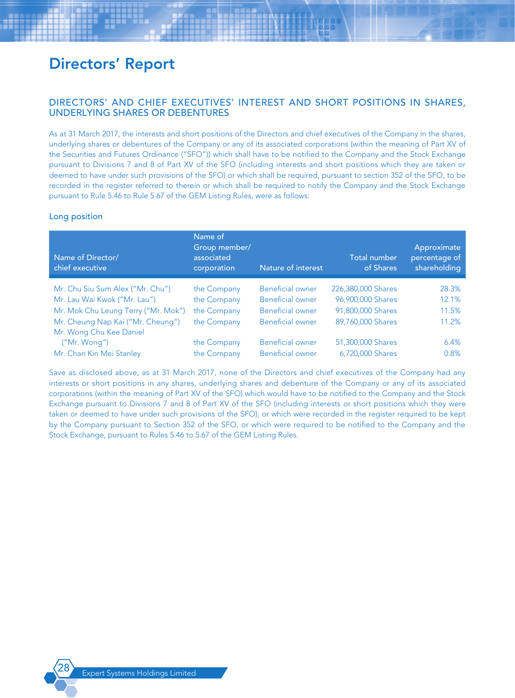# DIRECTORS' AND CHIEF EXECUTIVES' INTEREST AND SHORT POSITIONS IN SHARES, UNDERLYING SHARES OR DEBENTURES

As at 31 March 2017, the interests and short positions of the Directors and chief executives of the Company in the shares, underlying shares or debentures of the Company or any of its associated corporations (within the meaning of Part XV of the Securities and Futures Ordinance ("SFO")) which shall have to be notified to the Company and the Stock Exchange pursuant to Divisions 7 and 8 of Part XV of the SFO (including interests and short positions which they are taken or deemed to have under such provisions of the SFO) or which shall be required, pursuant to section 352 of the SFO, to be recorded in the register referred to therein or which shall be required to notify the Company and the Stock Exchange pursuant to Rule 5.46 to Rule 5.67 of the GEM Listing Rules, were as follows:

### Long position

| Name of Director/<br>chief executive | Name of<br>Group member/<br>associated<br>corporation | Nature of interest      | <b>Total number</b><br>of Shares | Approximate<br>percentage of<br>shareholding |
|--------------------------------------|-------------------------------------------------------|-------------------------|----------------------------------|----------------------------------------------|
| Mr. Chu Siu Sum Alex ("Mr. Chu")     | the Company                                           | <b>Beneficial owner</b> | 226,380,000 Shares               | 28.3%                                        |
| Mr. Lau Wai Kwok ("Mr. Lau")         | the Company                                           | <b>Beneficial owner</b> | 96,900,000 Shares                | 12.1%                                        |
| Mr. Mok Chu Leung Terry ("Mr. Mok")  | the Company                                           | <b>Beneficial owner</b> | 91,800,000 Shares                | 11.5%                                        |
| Mr. Cheung Nap Kai ("Mr. Cheung")    | the Company                                           | <b>Beneficial owner</b> | 89,760,000 Shares                | 11.2%                                        |
| Mr. Wong Chu Kee Daniel              |                                                       |                         |                                  |                                              |
| ('Mr. Wong'')                        | the Company                                           | <b>Beneficial owner</b> | 51,300,000 Shares                | 6.4%                                         |
| Mr. Chan Kin Mei Stanley             | the Company                                           | <b>Beneficial owner</b> | 6,720,000 Shares                 | 0.8%                                         |

Save as disclosed above, as at 31 March 2017, none of the Directors and chief executives of the Company had any interests or short positions in any shares, underlying shares and debenture of the Company or any of its associated corporations (within the meaning of Part XV of the SFO) which would have to be notified to the Company and the Stock Exchange pursuant to Divisions 7 and 8 of Part XV of the SFO (including interests or short positions which they were taken or deemed to have under such provisions of the SFO), or which were recorded in the register required to be kept by the Company pursuant to Section 352 of the SFO, or which were required to be notified to the Company and the Stock Exchange, pursuant to Rules 5.46 to 5.67 of the GEM Listing Rules.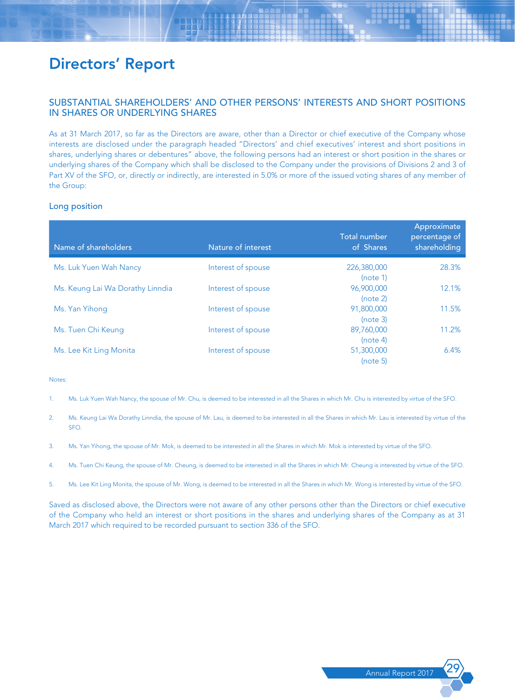# SUBSTANTIAL SHAREHOLDERS' AND OTHER PERSONS' INTERESTS AND SHORT POSITIONS IN SHARES OR UNDERLYING SHARES

As at 31 March 2017, so far as the Directors are aware, other than a Director or chief executive of the Company whose interests are disclosed under the paragraph headed "Directors' and chief executives' interest and short positions in shares, underlying shares or debentures" above, the following persons had an interest or short position in the shares or underlying shares of the Company which shall be disclosed to the Company under the provisions of Divisions 2 and 3 of Part XV of the SFO, or, directly or indirectly, are interested in 5.0% or more of the issued voting shares of any member of the Group:

#### Long position

| Name of shareholders             | Nature of interest | <b>Total number</b><br>of Shares | Approximate<br>percentage of<br>shareholding |
|----------------------------------|--------------------|----------------------------------|----------------------------------------------|
| Ms. Luk Yuen Wah Nancy           | Interest of spouse | 226,380,000<br>(note 1)          | 28.3%                                        |
| Ms. Keung Lai Wa Dorathy Linndia | Interest of spouse | 96,900,000<br>(note 2)           | 12.1%                                        |
| Ms. Yan Yihong                   | Interest of spouse | 91,800,000<br>(note 3)           | 11.5%                                        |
| Ms. Tuen Chi Keung               | Interest of spouse | 89,760,000<br>(note 4)           | 11.2%                                        |
| Ms. Lee Kit Ling Monita          | Interest of spouse | 51,300,000<br>(note 5)           | 6.4%                                         |

#### Notes:

- 1. Ms. Luk Yuen Wah Nancy, the spouse of Mr. Chu, is deemed to be interested in all the Shares in which Mr. Chu is interested by virtue of the SFO.
- 2. Ms. Keung Lai Wa Dorathy Linndia, the spouse of Mr. Lau, is deemed to be interested in all the Shares in which Mr. Lau is interested by virtue of the SFO.
- 3. Ms. Yan Yihong, the spouse of Mr. Mok, is deemed to be interested in all the Shares in which Mr. Mok is interested by virtue of the SFO.
- 4. Ms. Tuen Chi Keung, the spouse of Mr. Cheung, is deemed to be interested in all the Shares in which Mr. Cheung is interested by virtue of the SFO.
- 5. Ms. Lee Kit Ling Monita, the spouse of Mr. Wong, is deemed to be interested in all the Shares in which Mr. Wong is interested by virtue of the SFO.

Saved as disclosed above, the Directors were not aware of any other persons other than the Directors or chief executive of the Company who held an interest or short positions in the shares and underlying shares of the Company as at 31 March 2017 which required to be recorded pursuant to section 336 of the SFO.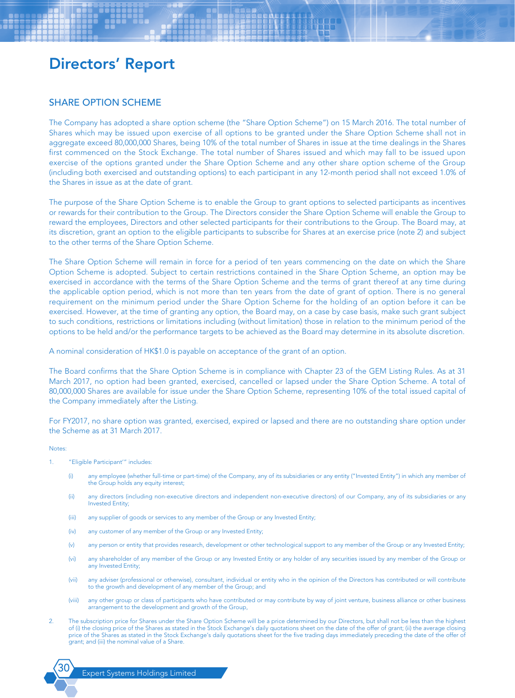### SHARE OPTION SCHEME

The Company has adopted a share option scheme (the "Share Option Scheme") on 15 March 2016. The total number of Shares which may be issued upon exercise of all options to be granted under the Share Option Scheme shall not in aggregate exceed 80,000,000 Shares, being 10% of the total number of Shares in issue at the time dealings in the Shares first commenced on the Stock Exchange. The total number of Shares issued and which may fall to be issued upon exercise of the options granted under the Share Option Scheme and any other share option scheme of the Group (including both exercised and outstanding options) to each participant in any 12-month period shall not exceed 1.0% of the Shares in issue as at the date of grant.

The purpose of the Share Option Scheme is to enable the Group to grant options to selected participants as incentives or rewards for their contribution to the Group. The Directors consider the Share Option Scheme will enable the Group to reward the employees, Directors and other selected participants for their contributions to the Group. The Board may, at its discretion, grant an option to the eligible participants to subscribe for Shares at an exercise price (note 2) and subject to the other terms of the Share Option Scheme.

The Share Option Scheme will remain in force for a period of ten years commencing on the date on which the Share Option Scheme is adopted. Subject to certain restrictions contained in the Share Option Scheme, an option may be exercised in accordance with the terms of the Share Option Scheme and the terms of grant thereof at any time during the applicable option period, which is not more than ten years from the date of grant of option. There is no general requirement on the minimum period under the Share Option Scheme for the holding of an option before it can be exercised. However, at the time of granting any option, the Board may, on a case by case basis, make such grant subject to such conditions, restrictions or limitations including (without limitation) those in relation to the minimum period of the options to be held and/or the performance targets to be achieved as the Board may determine in its absolute discretion.

A nominal consideration of HK\$1.0 is payable on acceptance of the grant of an option.

The Board confirms that the Share Option Scheme is in compliance with Chapter 23 of the GEM Listing Rules. As at 31 March 2017, no option had been granted, exercised, cancelled or lapsed under the Share Option Scheme. A total of 80,000,000 Shares are available for issue under the Share Option Scheme, representing 10% of the total issued capital of the Company immediately after the Listing.

For FY2017, no share option was granted, exercised, expired or lapsed and there are no outstanding share option under the Scheme as at 31 March 2017.

#### Notes:

- 1. "Eligible Participant'" includes:
	- (i) any employee (whether full-time or part-time) of the Company, any of its subsidiaries or any entity ("Invested Entity") in which any member of the Group holds any equity interest;
	- (ii) any directors (including non-executive directors and independent non-executive directors) of our Company, any of its subsidiaries or any Invested Entity;
	- (iii) any supplier of goods or services to any member of the Group or any Invested Entity;
	- (iv) any customer of any member of the Group or any Invested Entity;
	- (v) any person or entity that provides research, development or other technological support to any member of the Group or any Invested Entity;
	- (vi) any shareholder of any member of the Group or any Invested Entity or any holder of any securities issued by any member of the Group or any Invested Entity;
	- (vii) any adviser (professional or otherwise), consultant, individual or entity who in the opinion of the Directors has contributed or will contribute to the growth and development of any member of the Group; and
	- (viii) any other group or class of participants who have contributed or may contribute by way of joint venture, business alliance or other business arrangement to the development and growth of the Group,
- 2. The subscription price for Shares under the Share Option Scheme will be a price determined by our Directors, but shall not be less than the highest of (i) the closing price of the Shares as stated in the Stock Exchange's daily quotations sheet on the date of the offer of grant; (ii) the average closing price of the Shares as stated in the Stock Exchange's daily quotations sheet for the five trading days immediately preceding the date of the offer of grant; and (iii) the nominal value of a Share.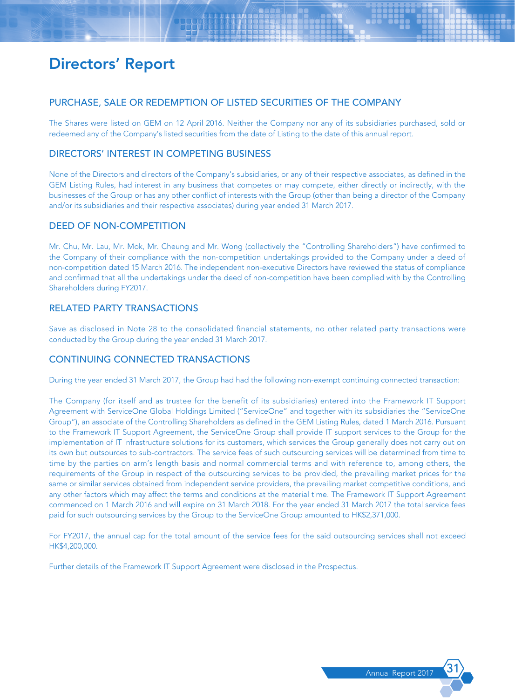# PURCHASE, SALE OR REDEMPTION OF LISTED SECURITIES OF THE COMPANY

The Shares were listed on GEM on 12 April 2016. Neither the Company nor any of its subsidiaries purchased, sold or redeemed any of the Company's listed securities from the date of Listing to the date of this annual report.

# DIRECTORS' INTEREST IN COMPETING BUSINESS

None of the Directors and directors of the Company's subsidiaries, or any of their respective associates, as defined in the GEM Listing Rules, had interest in any business that competes or may compete, either directly or indirectly, with the businesses of the Group or has any other conflict of interests with the Group (other than being a director of the Company and/or its subsidiaries and their respective associates) during year ended 31 March 2017.

# DEED OF NON-COMPETITION

Mr. Chu, Mr. Lau, Mr. Mok, Mr. Cheung and Mr. Wong (collectively the "Controlling Shareholders") have confirmed to the Company of their compliance with the non-competition undertakings provided to the Company under a deed of non-competition dated 15 March 2016. The independent non-executive Directors have reviewed the status of compliance and confirmed that all the undertakings under the deed of non-competition have been complied with by the Controlling Shareholders during FY2017.

# RELATED PARTY TRANSACTIONS

Save as disclosed in Note 28 to the consolidated financial statements, no other related party transactions were conducted by the Group during the year ended 31 March 2017.

# CONTINUING CONNECTED TRANSACTIONS

During the year ended 31 March 2017, the Group had had the following non-exempt continuing connected transaction:

The Company (for itself and as trustee for the benefit of its subsidiaries) entered into the Framework IT Support Agreement with ServiceOne Global Holdings Limited ("ServiceOne" and together with its subsidiaries the "ServiceOne Group"), an associate of the Controlling Shareholders as defined in the GEM Listing Rules, dated 1 March 2016. Pursuant to the Framework IT Support Agreement, the ServiceOne Group shall provide IT support services to the Group for the implementation of IT infrastructure solutions for its customers, which services the Group generally does not carry out on its own but outsources to sub-contractors. The service fees of such outsourcing services will be determined from time to time by the parties on arm's length basis and normal commercial terms and with reference to, among others, the requirements of the Group in respect of the outsourcing services to be provided, the prevailing market prices for the same or similar services obtained from independent service providers, the prevailing market competitive conditions, and any other factors which may affect the terms and conditions at the material time. The Framework IT Support Agreement commenced on 1 March 2016 and will expire on 31 March 2018. For the year ended 31 March 2017 the total service fees paid for such outsourcing services by the Group to the ServiceOne Group amounted to HK\$2,371,000.

For FY2017, the annual cap for the total amount of the service fees for the said outsourcing services shall not exceed HK\$4,200,000.

Further details of the Framework IT Support Agreement were disclosed in the Prospectus.

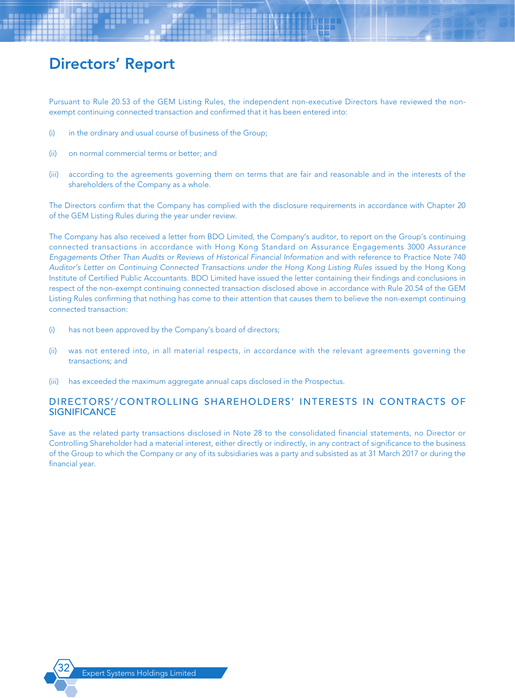Pursuant to Rule 20.53 of the GEM Listing Rules, the independent non-executive Directors have reviewed the nonexempt continuing connected transaction and confirmed that it has been entered into:

- (i) in the ordinary and usual course of business of the Group;
- (ii) on normal commercial terms or better; and
- (iii) according to the agreements governing them on terms that are fair and reasonable and in the interests of the shareholders of the Company as a whole.

The Directors confirm that the Company has complied with the disclosure requirements in accordance with Chapter 20 of the GEM Listing Rules during the year under review.

The Company has also received a letter from BDO Limited, the Company's auditor, to report on the Group's continuing connected transactions in accordance with Hong Kong Standard on Assurance Engagements 3000 *Assurance Engagements Other Than Audits or Reviews of Historical Financial Information* and with reference to Practice Note 740 *Auditor's Letter on Continuing Connected Transactions under the Hong Kong Listing Rules* issued by the Hong Kong Institute of Certified Public Accountants. BDO Limited have issued the letter containing their findings and conclusions in respect of the non-exempt continuing connected transaction disclosed above in accordance with Rule 20.54 of the GEM Listing Rules confirming that nothing has come to their attention that causes them to believe the non-exempt continuing connected transaction:

- (i) has not been approved by the Company's board of directors;
- (ii) was not entered into, in all material respects, in accordance with the relevant agreements governing the transactions; and
- (iii) has exceeded the maximum aggregate annual caps disclosed in the Prospectus.

# DIRECTORS'/CONTROLLING SHAREHOLDERS' INTERESTS IN CONTRACTS OF **SIGNIFICANCE**

Save as the related party transactions disclosed in Note 28 to the consolidated financial statements, no Director or Controlling Shareholder had a material interest, either directly or indirectly, in any contract of significance to the business of the Group to which the Company or any of its subsidiaries was a party and subsisted as at 31 March 2017 or during the financial year.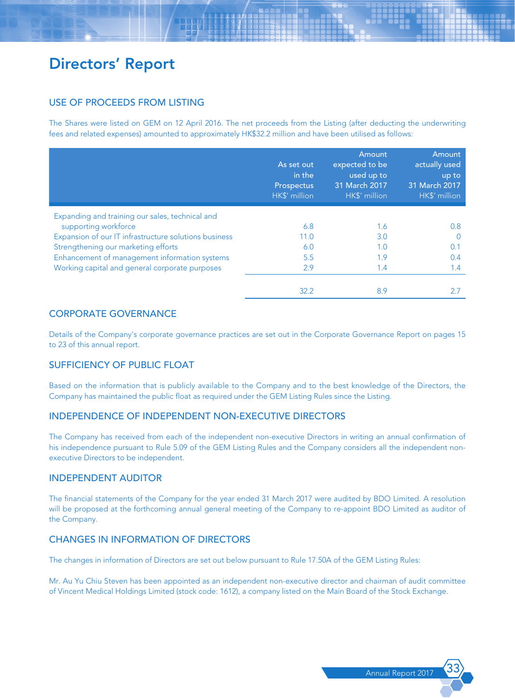# USE OF PROCEEDS FROM LISTING

The Shares were listed on GEM on 12 April 2016. The net proceeds from the Listing (after deducting the underwriting fees and related expenses) amounted to approximately HK\$32.2 million and have been utilised as follows:

|                                                       | As set out<br>in the<br>Prospectus<br>HK\$' million | Amount<br>expected to be<br>used up to<br>31 March 2017<br>HK\$' million | <b>Amount</b><br>actually used<br>up to<br>31 March 2017<br>HK\$' million |
|-------------------------------------------------------|-----------------------------------------------------|--------------------------------------------------------------------------|---------------------------------------------------------------------------|
| Expanding and training our sales, technical and       |                                                     |                                                                          |                                                                           |
| supporting workforce                                  | 6.8                                                 | 1.6                                                                      | 0.8                                                                       |
| Expansion of our IT infrastructure solutions business | 11.0                                                | 3.0                                                                      |                                                                           |
| Strengthening our marketing efforts                   | 6.0                                                 | 1.0                                                                      | 0.1                                                                       |
| Enhancement of management information systems         | 5.5                                                 | 1.9                                                                      | 0.4                                                                       |
| Working capital and general corporate purposes        | 2.9                                                 | 1.4                                                                      | 1.4                                                                       |
|                                                       | 32.2                                                | 8.9                                                                      |                                                                           |

# CORPORATE GOVERNANCE

Details of the Company's corporate governance practices are set out in the Corporate Governance Report on pages 15 to 23 of this annual report.

# SUFFICIENCY OF PUBLIC FLOAT

Based on the information that is publicly available to the Company and to the best knowledge of the Directors, the Company has maintained the public float as required under the GEM Listing Rules since the Listing.

# INDEPENDENCE OF INDEPENDENT NON-EXECUTIVE DIRECTORS

The Company has received from each of the independent non-executive Directors in writing an annual confirmation of his independence pursuant to Rule 5.09 of the GEM Listing Rules and the Company considers all the independent nonexecutive Directors to be independent.

### INDEPENDENT AUDITOR

The financial statements of the Company for the year ended 31 March 2017 were audited by BDO Limited. A resolution will be proposed at the forthcoming annual general meeting of the Company to re-appoint BDO Limited as auditor of the Company.

# CHANGES IN INFORMATION OF DIRECTORS

The changes in information of Directors are set out below pursuant to Rule 17.50A of the GEM Listing Rules:

Mr. Au Yu Chiu Steven has been appointed as an independent non-executive director and chairman of audit committee of Vincent Medical Holdings Limited (stock code: 1612), a company listed on the Main Board of the Stock Exchange.

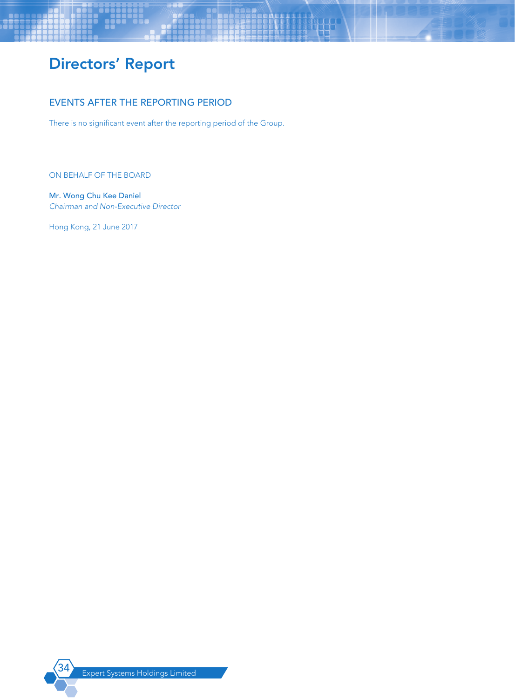# EVENTS AFTER THE REPORTING PERIOD

There is no significant event after the reporting period of the Group.

ON BEHALF OF THE BOARD

Mr. Wong Chu Kee Daniel *Chairman and Non-Executive Director*

Hong Kong, 21 June 2017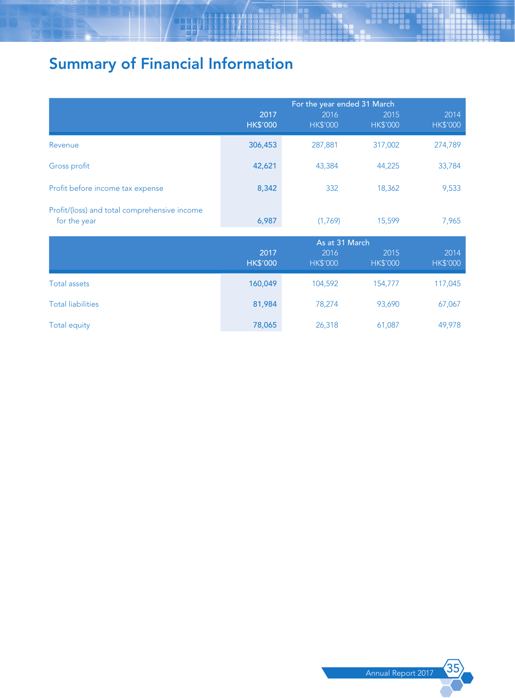# Summary of Financial Information

|                                                              | For the year ended 31 March |                         |                         |                         |
|--------------------------------------------------------------|-----------------------------|-------------------------|-------------------------|-------------------------|
|                                                              | 2017<br><b>HK\$'000</b>     | 2016<br><b>HK\$'000</b> | 2015<br><b>HK\$'000</b> | 2014<br><b>HK\$'000</b> |
| Revenue                                                      | 306,453                     | 287,881                 | 317,002                 | 274,789                 |
| Gross profit                                                 | 42,621                      | 43,384                  | 44,225                  | 33,784                  |
| Profit before income tax expense                             | 8,342                       | 332                     | 18,362                  | 9,533                   |
| Profit/(loss) and total comprehensive income<br>for the year | 6,987                       | (1,769)                 | 15,599                  | 7,965                   |
|                                                              |                             | As at 31 March          |                         |                         |
|                                                              | 2017<br><b>HK\$'000</b>     | 2016<br><b>HK\$'000</b> | 2015<br><b>HK\$'000</b> | 2014<br>HK\$'000        |
| <b>Total assets</b>                                          | 160,049                     | 104,592                 | 154,777                 | 117,045                 |
| <b>Total liabilities</b>                                     | 81,984                      | 78,274                  | 93,690                  | 67,067                  |
| <b>Total equity</b>                                          | 78,065                      | 26,318                  | 61,087                  | 49,978                  |

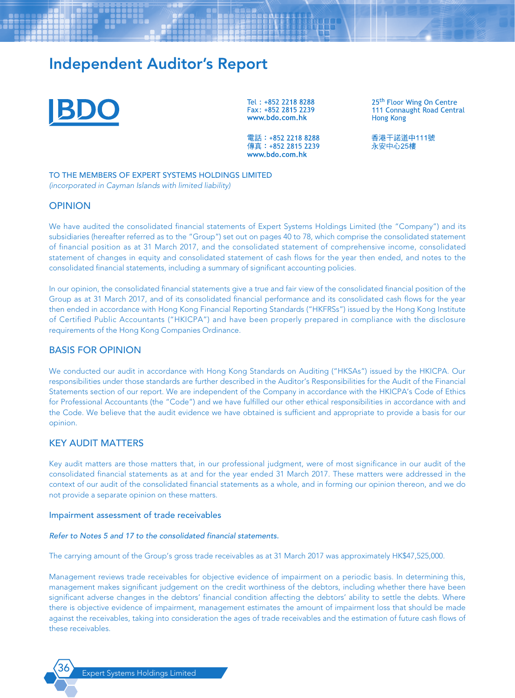

Tel: +852 2218 8288 Fax: +852 2815 2239 www.bdo.com.hk

25<sup>th</sup> Floor Wing On Centre 111 Connaught Road Central **Hong Kong** 

雷話: +852 2218 8288 傳真: +852 2815 2239 www.bdo.com.hk

香港干諾道中111號 永安中心25樓

TO THE MEMBERS OF EXPERT SYSTEMS HOLDINGS LIMITED *(incorporated in Cayman Islands with limited liability)*

## **OPINION**

We have audited the consolidated financial statements of Expert Systems Holdings Limited (the "Company") and its subsidiaries (hereafter referred as to the "Group") set out on pages 40 to 78, which comprise the consolidated statement of financial position as at 31 March 2017, and the consolidated statement of comprehensive income, consolidated statement of changes in equity and consolidated statement of cash flows for the year then ended, and notes to the consolidated financial statements, including a summary of significant accounting policies.

In our opinion, the consolidated financial statements give a true and fair view of the consolidated financial position of the Group as at 31 March 2017, and of its consolidated financial performance and its consolidated cash flows for the year then ended in accordance with Hong Kong Financial Reporting Standards ("HKFRSs") issued by the Hong Kong Institute of Certified Public Accountants ("HKICPA") and have been properly prepared in compliance with the disclosure requirements of the Hong Kong Companies Ordinance.

## BASIS FOR OPINION

We conducted our audit in accordance with Hong Kong Standards on Auditing ("HKSAs") issued by the HKICPA. Our responsibilities under those standards are further described in the Auditor's Responsibilities for the Audit of the Financial Statements section of our report. We are independent of the Company in accordance with the HKICPA's Code of Ethics for Professional Accountants (the "Code") and we have fulfilled our other ethical responsibilities in accordance with and the Code. We believe that the audit evidence we have obtained is sufficient and appropriate to provide a basis for our opinion.

## KEY AUDIT MATTERS

Key audit matters are those matters that, in our professional judgment, were of most significance in our audit of the consolidated financial statements as at and for the year ended 31 March 2017. These matters were addressed in the context of our audit of the consolidated financial statements as a whole, and in forming our opinion thereon, and we do not provide a separate opinion on these matters.

#### Impairment assessment of trade receivables

#### *Refer to Notes 5 and 17 to the consolidated financial statements.*

The carrying amount of the Group's gross trade receivables as at 31 March 2017 was approximately HK\$47,525,000.

Management reviews trade receivables for objective evidence of impairment on a periodic basis. In determining this, management makes significant judgement on the credit worthiness of the debtors, including whether there have been significant adverse changes in the debtors' financial condition affecting the debtors' ability to settle the debts. Where there is objective evidence of impairment, management estimates the amount of impairment loss that should be made against the receivables, taking into consideration the ages of trade receivables and the estimation of future cash flows of these receivables.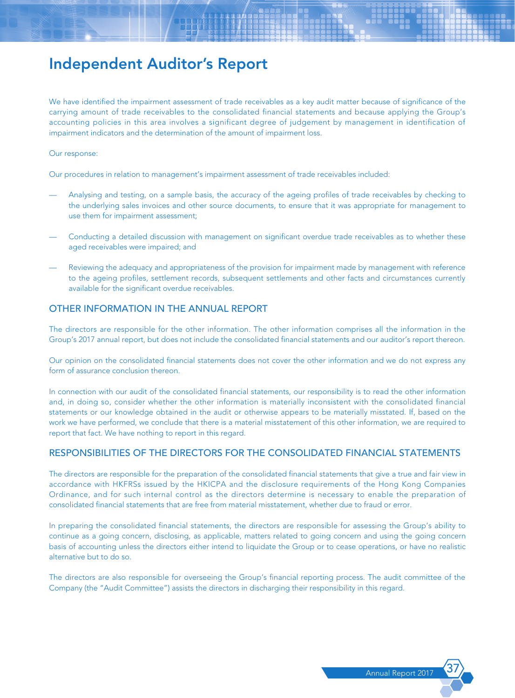We have identified the impairment assessment of trade receivables as a key audit matter because of significance of the carrying amount of trade receivables to the consolidated financial statements and because applying the Group's accounting policies in this area involves a significant degree of judgement by management in identification of impairment indicators and the determination of the amount of impairment loss.

#### Our response:

Our procedures in relation to management's impairment assessment of trade receivables included:

- Analysing and testing, on a sample basis, the accuracy of the ageing profiles of trade receivables by checking to the underlying sales invoices and other source documents, to ensure that it was appropriate for management to use them for impairment assessment;
- Conducting a detailed discussion with management on significant overdue trade receivables as to whether these aged receivables were impaired; and
- Reviewing the adequacy and appropriateness of the provision for impairment made by management with reference to the ageing profiles, settlement records, subsequent settlements and other facts and circumstances currently available for the significant overdue receivables.

## OTHER INFORMATION IN THE ANNUAL REPORT

The directors are responsible for the other information. The other information comprises all the information in the Group's 2017 annual report, but does not include the consolidated financial statements and our auditor's report thereon.

Our opinion on the consolidated financial statements does not cover the other information and we do not express any form of assurance conclusion thereon.

In connection with our audit of the consolidated financial statements, our responsibility is to read the other information and, in doing so, consider whether the other information is materially inconsistent with the consolidated financial statements or our knowledge obtained in the audit or otherwise appears to be materially misstated. If, based on the work we have performed, we conclude that there is a material misstatement of this other information, we are required to report that fact. We have nothing to report in this regard.

## RESPONSIBILITIES OF THE DIRECTORS FOR THE CONSOLIDATED FINANCIAL STATEMENTS

The directors are responsible for the preparation of the consolidated financial statements that give a true and fair view in accordance with HKFRSs issued by the HKICPA and the disclosure requirements of the Hong Kong Companies Ordinance, and for such internal control as the directors determine is necessary to enable the preparation of consolidated financial statements that are free from material misstatement, whether due to fraud or error.

In preparing the consolidated financial statements, the directors are responsible for assessing the Group's ability to continue as a going concern, disclosing, as applicable, matters related to going concern and using the going concern basis of accounting unless the directors either intend to liquidate the Group or to cease operations, or have no realistic alternative but to do so.

The directors are also responsible for overseeing the Group's financial reporting process. The audit committee of the Company (the "Audit Committee") assists the directors in discharging their responsibility in this regard.

Annual Report 201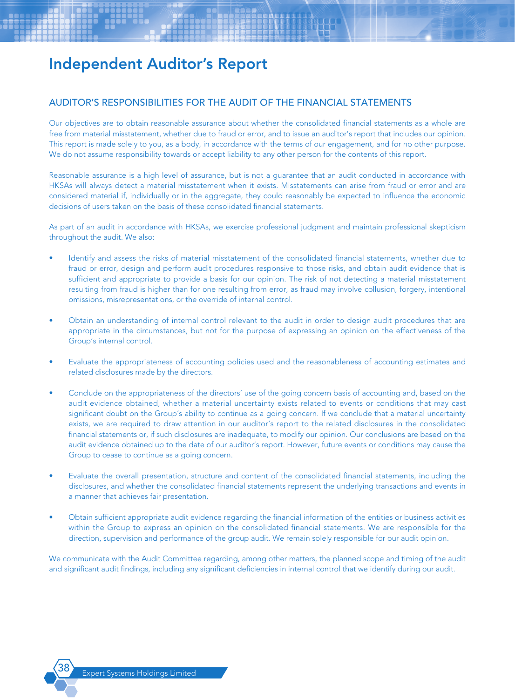## AUDITOR'S RESPONSIBILITIES FOR THE AUDIT OF THE FINANCIAL STATEMENTS

Our objectives are to obtain reasonable assurance about whether the consolidated financial statements as a whole are free from material misstatement, whether due to fraud or error, and to issue an auditor's report that includes our opinion. This report is made solely to you, as a body, in accordance with the terms of our engagement, and for no other purpose. We do not assume responsibility towards or accept liability to any other person for the contents of this report.

Reasonable assurance is a high level of assurance, but is not a guarantee that an audit conducted in accordance with HKSAs will always detect a material misstatement when it exists. Misstatements can arise from fraud or error and are considered material if, individually or in the aggregate, they could reasonably be expected to influence the economic decisions of users taken on the basis of these consolidated financial statements.

As part of an audit in accordance with HKSAs, we exercise professional judgment and maintain professional skepticism throughout the audit. We also:

- Identify and assess the risks of material misstatement of the consolidated financial statements, whether due to fraud or error, design and perform audit procedures responsive to those risks, and obtain audit evidence that is sufficient and appropriate to provide a basis for our opinion. The risk of not detecting a material misstatement resulting from fraud is higher than for one resulting from error, as fraud may involve collusion, forgery, intentional omissions, misrepresentations, or the override of internal control.
- Obtain an understanding of internal control relevant to the audit in order to design audit procedures that are appropriate in the circumstances, but not for the purpose of expressing an opinion on the effectiveness of the Group's internal control.
- Evaluate the appropriateness of accounting policies used and the reasonableness of accounting estimates and related disclosures made by the directors.
- Conclude on the appropriateness of the directors' use of the going concern basis of accounting and, based on the audit evidence obtained, whether a material uncertainty exists related to events or conditions that may cast significant doubt on the Group's ability to continue as a going concern. If we conclude that a material uncertainty exists, we are required to draw attention in our auditor's report to the related disclosures in the consolidated financial statements or, if such disclosures are inadequate, to modify our opinion. Our conclusions are based on the audit evidence obtained up to the date of our auditor's report. However, future events or conditions may cause the Group to cease to continue as a going concern.
- Evaluate the overall presentation, structure and content of the consolidated financial statements, including the disclosures, and whether the consolidated financial statements represent the underlying transactions and events in a manner that achieves fair presentation.
- Obtain sufficient appropriate audit evidence regarding the financial information of the entities or business activities within the Group to express an opinion on the consolidated financial statements. We are responsible for the direction, supervision and performance of the group audit. We remain solely responsible for our audit opinion.

We communicate with the Audit Committee regarding, among other matters, the planned scope and timing of the audit and significant audit findings, including any significant deficiencies in internal control that we identify during our audit.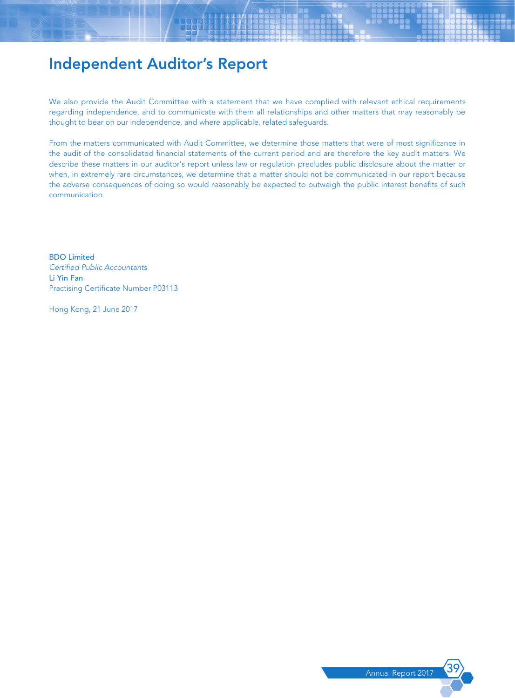We also provide the Audit Committee with a statement that we have complied with relevant ethical requirements regarding independence, and to communicate with them all relationships and other matters that may reasonably be thought to bear on our independence, and where applicable, related safeguards.

From the matters communicated with Audit Committee, we determine those matters that were of most significance in the audit of the consolidated financial statements of the current period and are therefore the key audit matters. We describe these matters in our auditor's report unless law or regulation precludes public disclosure about the matter or when, in extremely rare circumstances, we determine that a matter should not be communicated in our report because the adverse consequences of doing so would reasonably be expected to outweigh the public interest benefits of such communication.

BDO Limited *Certified Public Accountants* Li Yin Fan Practising Certificate Number P03113

Hong Kong, 21 June 2017

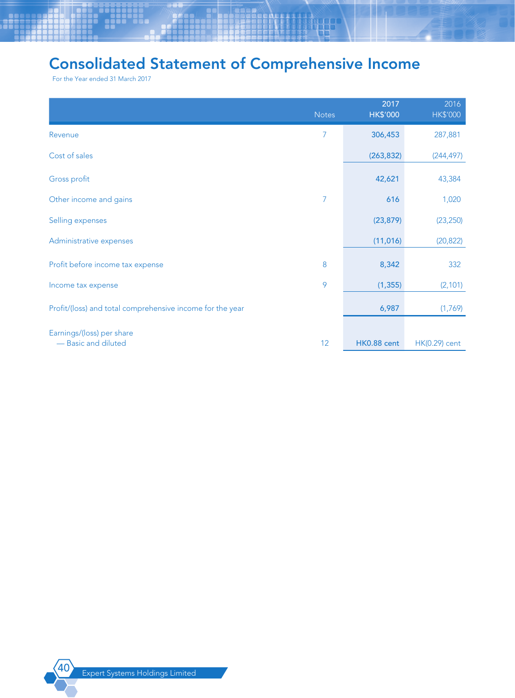# Consolidated Statement of Comprehensive Income

For the Year ended 31 March 2017

|                                                           | <b>Notes</b>    | 2017<br><b>HK\$'000</b> | 2016<br><b>HK\$'000</b> |
|-----------------------------------------------------------|-----------------|-------------------------|-------------------------|
| Revenue                                                   | 7               | 306,453                 | 287,881                 |
| Cost of sales                                             |                 | (263, 832)              | (244, 497)              |
| Gross profit                                              |                 | 42,621                  | 43,384                  |
| Other income and gains                                    | 7               | 616                     | 1,020                   |
| Selling expenses                                          |                 | (23, 879)               | (23, 250)               |
| Administrative expenses                                   |                 | (11, 016)               | (20, 822)               |
| Profit before income tax expense                          | 8               | 8,342                   | 332                     |
| Income tax expense                                        | 9               | (1, 355)                | (2, 101)                |
| Profit/(loss) and total comprehensive income for the year |                 | 6,987                   | (1,769)                 |
| Earnings/(loss) per share<br>- Basic and diluted          | 12 <sup>°</sup> | HK0.88 cent             | $HK(0.29)$ cent         |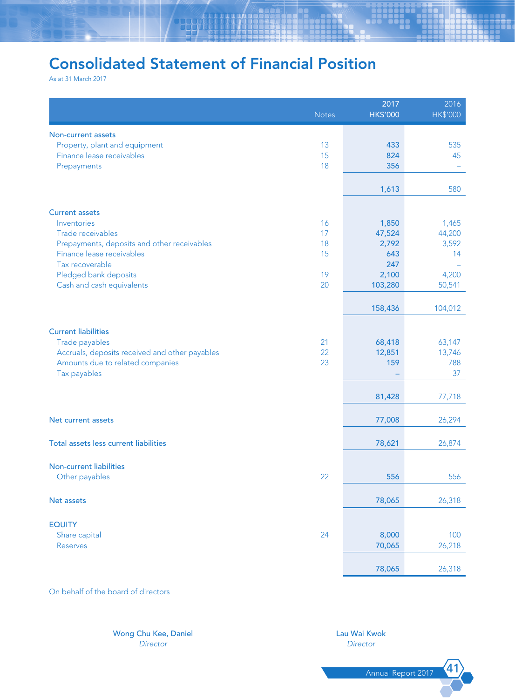# Consolidated Statement of Financial Position

As at 31 March 2017

|                                                | <b>Notes</b> | 2017<br><b>HK\$'000</b> | 2016<br><b>HK\$'000</b> |
|------------------------------------------------|--------------|-------------------------|-------------------------|
| Non-current assets                             |              |                         |                         |
| Property, plant and equipment                  | 13           | 433                     | 535                     |
| Finance lease receivables                      | 15           | 824                     | 45                      |
| Prepayments                                    | 18           | 356                     |                         |
|                                                |              | 1,613                   | 580                     |
|                                                |              |                         |                         |
| <b>Current assets</b><br>Inventories           | 16           | 1,850                   | 1,465                   |
| Trade receivables                              | 17           | 47,524                  | 44,200                  |
| Prepayments, deposits and other receivables    | 18           | 2,792                   | 3,592                   |
| Finance lease receivables                      | 15           | 643                     | 14                      |
| Tax recoverable                                |              | 247                     |                         |
| Pledged bank deposits                          | 19           | 2,100                   | 4,200                   |
| Cash and cash equivalents                      | 20           | 103,280                 | 50,541                  |
|                                                |              | 158,436                 | 104,012                 |
|                                                |              |                         |                         |
| <b>Current liabilities</b>                     |              |                         |                         |
| Trade payables                                 | 21           | 68,418                  | 63,147                  |
| Accruals, deposits received and other payables | 22           | 12,851                  | 13,746                  |
| Amounts due to related companies               | 23           | 159                     | 788                     |
| Tax payables                                   |              |                         | 37                      |
|                                                |              | 81,428                  | 77,718                  |
|                                                |              |                         |                         |
| Net current assets                             |              | 77,008                  | 26,294                  |
| Total assets less current liabilities          |              | 78,621                  | 26,874                  |
|                                                |              |                         |                         |
| <b>Non-current liabilities</b>                 |              |                         |                         |
| Other payables                                 | 22           | 556                     | 556                     |
| Net assets                                     |              | 78,065                  | 26,318                  |
|                                                |              |                         |                         |
| <b>EQUITY</b>                                  |              |                         |                         |
| Share capital                                  | 24           | 8,000                   | 100                     |
| <b>Reserves</b>                                |              | 70,065                  | 26,218                  |
|                                                |              | 78,065                  | 26,318                  |

On behalf of the board of directors

Wong Chu Kee, Daniel Lau Wai Kwok Lau Wai Kwok Director Director *Director Director*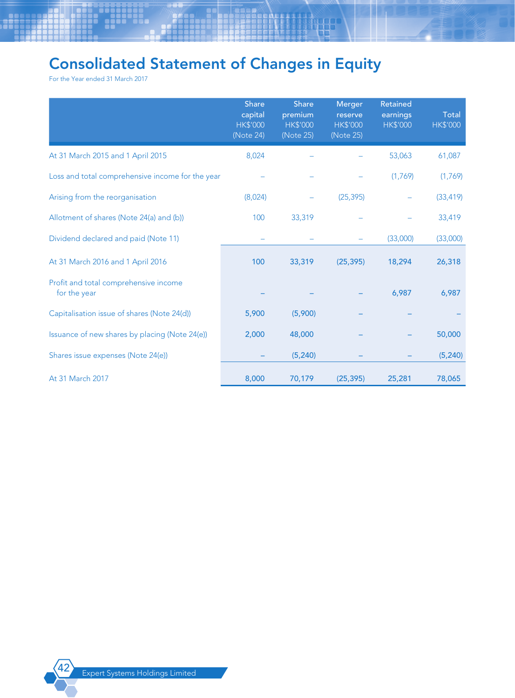# Consolidated Statement of Changes in Equity

For the Year ended 31 March 2017

|                                                       | <b>Share</b><br>capital<br><b>HK\$'000</b><br>(Note 24) | <b>Share</b><br>premium<br><b>HK\$'000</b><br>(Note 25) | Merger<br>reserve<br><b>HK\$'000</b><br>(Note 25) | Retained<br>earnings<br><b>HK\$'000</b> | <b>Total</b><br><b>HK\$'000</b> |
|-------------------------------------------------------|---------------------------------------------------------|---------------------------------------------------------|---------------------------------------------------|-----------------------------------------|---------------------------------|
| At 31 March 2015 and 1 April 2015                     | 8,024                                                   |                                                         |                                                   | 53,063                                  | 61,087                          |
| Loss and total comprehensive income for the year      |                                                         |                                                         |                                                   | (1,769)                                 | (1,769)                         |
| Arising from the reorganisation                       | (8,024)                                                 |                                                         | (25, 395)                                         |                                         | (33, 419)                       |
| Allotment of shares (Note 24(a) and (b))              | 100                                                     | 33,319                                                  |                                                   |                                         | 33,419                          |
| Dividend declared and paid (Note 11)                  |                                                         |                                                         |                                                   | (33,000)                                | (33,000)                        |
| At 31 March 2016 and 1 April 2016                     | 100                                                     | 33,319                                                  | (25, 395)                                         | 18,294                                  | 26,318                          |
| Profit and total comprehensive income<br>for the year |                                                         |                                                         |                                                   | 6,987                                   | 6,987                           |
| Capitalisation issue of shares (Note 24(d))           | 5,900                                                   | (5,900)                                                 |                                                   |                                         |                                 |
| Issuance of new shares by placing (Note 24(e))        | 2,000                                                   | 48,000                                                  |                                                   |                                         | 50,000                          |
| Shares issue expenses (Note 24(e))                    |                                                         | (5, 240)                                                |                                                   |                                         | (5, 240)                        |
| At 31 March 2017                                      | 8,000                                                   | 70,179                                                  | (25, 395)                                         | 25,281                                  | 78,065                          |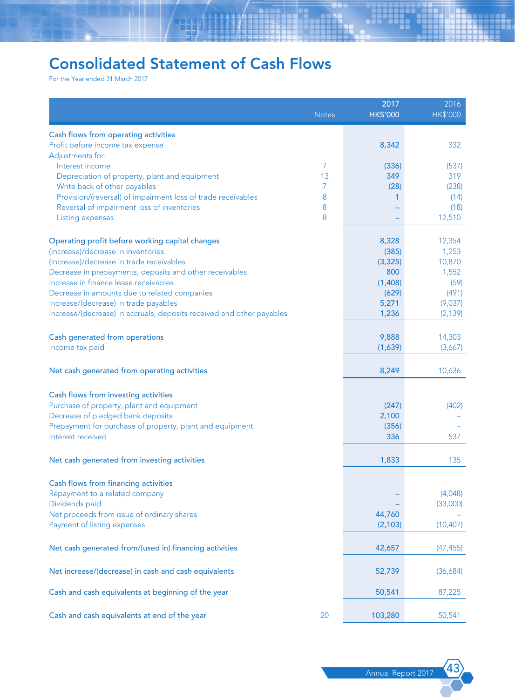# Consolidated Statement of Cash Flows

For the Year ended 31 March 2017

|                                                                                              | <b>Notes</b> | 2017<br><b>HK\$'000</b> | 2016<br><b>HK\$'000</b> |
|----------------------------------------------------------------------------------------------|--------------|-------------------------|-------------------------|
|                                                                                              |              |                         |                         |
| Cash flows from operating activities<br>Profit before income tax expense<br>Adjustments for: |              | 8,342                   | 332                     |
| Interest income                                                                              | 7            | (336)                   | (537)                   |
| Depreciation of property, plant and equipment                                                | 13           | 349                     | 319                     |
| Write back of other payables                                                                 | 7            | (28)                    | (238)                   |
| Provision/(reversal) of impairment loss of trade receivables                                 | 8            | 1                       | (14)                    |
| Reversal of impairment loss of inventories                                                   | 8            |                         | (18)                    |
| Listing expenses                                                                             | 8            |                         | 12,510                  |
| Operating profit before working capital changes                                              |              | 8,328                   | 12,354                  |
| (Increase)/decrease in inventories                                                           |              | (385)                   | 1,253                   |
| (Increase)/decrease in trade receivables                                                     |              | (3, 325)                | 10,870                  |
| Decrease in prepayments, deposits and other receivables                                      |              | 800                     | 1,552                   |
| Increase in finance lease receivables                                                        |              | (1,408)                 | (59)                    |
| Decrease in amounts due to related companies                                                 |              | (629)                   | (491)                   |
| Increase/(decrease) in trade payables                                                        |              | 5,271                   | (9,037)                 |
| Increase/(decrease) in accruals, deposits received and other payables                        |              | 1,236                   | (2, 139)                |
| Cash generated from operations                                                               |              | 9,888                   | 14,303                  |
| Income tax paid                                                                              |              | (1,639)                 | (3,667)                 |
|                                                                                              |              |                         |                         |
| Net cash generated from operating activities                                                 |              | 8,249                   | 10,636                  |
| Cash flows from investing activities                                                         |              |                         |                         |
| Purchase of property, plant and equipment                                                    |              | (247)                   | (402)                   |
| Decrease of pledged bank deposits                                                            |              | 2,100                   |                         |
| Prepayment for purchase of property, plant and equipment                                     |              | (356)                   |                         |
| Interest received                                                                            |              | 336                     | 537                     |
| Net cash generated from investing activities                                                 |              | 1,833                   | 135                     |
|                                                                                              |              |                         |                         |
| Cash flows from financing activities                                                         |              |                         |                         |
| Repayment to a related company                                                               |              |                         | (4,048)                 |
| Dividends paid                                                                               |              |                         | (33,000)                |
| Net proceeds from issue of ordinary shares                                                   |              | 44,760                  |                         |
| Payment of listing expenses                                                                  |              | (2, 103)                | (10, 407)               |
| Net cash generated from/(used in) financing activities                                       |              | 42,657                  | (47, 455)               |
| Net increase/(decrease) in cash and cash equivalents                                         |              | 52,739                  | (36,684)                |
| Cash and cash equivalents at beginning of the year                                           |              | 50,541                  | 87,225                  |
|                                                                                              |              |                         |                         |
| Cash and cash equivalents at end of the year                                                 | 20           | 103,280                 | 50,541                  |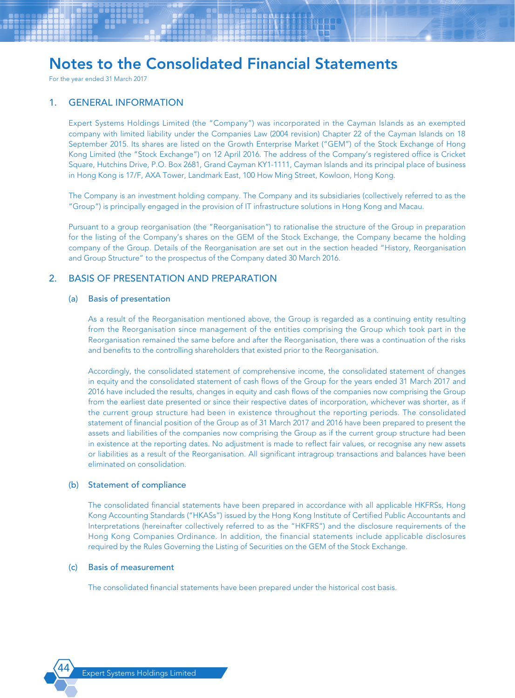For the year ended 31 March 2017

### 1. GENERAL INFORMATION

Expert Systems Holdings Limited (the "Company") was incorporated in the Cayman Islands as an exempted company with limited liability under the Companies Law (2004 revision) Chapter 22 of the Cayman Islands on 18 September 2015. Its shares are listed on the Growth Enterprise Market ("GEM") of the Stock Exchange of Hong Kong Limited (the "Stock Exchange") on 12 April 2016. The address of the Company's registered office is Cricket Square, Hutchins Drive, P.O. Box 2681, Grand Cayman KY1-1111, Cayman Islands and its principal place of business in Hong Kong is 17/F, AXA Tower, Landmark East, 100 How Ming Street, Kowloon, Hong Kong.

The Company is an investment holding company. The Company and its subsidiaries (collectively referred to as the "Group") is principally engaged in the provision of IT infrastructure solutions in Hong Kong and Macau.

Pursuant to a group reorganisation (the "Reorganisation") to rationalise the structure of the Group in preparation for the listing of the Company's shares on the GEM of the Stock Exchange, the Company became the holding company of the Group. Details of the Reorganisation are set out in the section headed "History, Reorganisation and Group Structure" to the prospectus of the Company dated 30 March 2016.

## 2. BASIS OF PRESENTATION AND PREPARATION

#### (a) Basis of presentation

As a result of the Reorganisation mentioned above, the Group is regarded as a continuing entity resulting from the Reorganisation since management of the entities comprising the Group which took part in the Reorganisation remained the same before and after the Reorganisation, there was a continuation of the risks and benefits to the controlling shareholders that existed prior to the Reorganisation.

Accordingly, the consolidated statement of comprehensive income, the consolidated statement of changes in equity and the consolidated statement of cash flows of the Group for the years ended 31 March 2017 and 2016 have included the results, changes in equity and cash flows of the companies now comprising the Group from the earliest date presented or since their respective dates of incorporation, whichever was shorter, as if the current group structure had been in existence throughout the reporting periods. The consolidated statement of financial position of the Group as of 31 March 2017 and 2016 have been prepared to present the assets and liabilities of the companies now comprising the Group as if the current group structure had been in existence at the reporting dates. No adjustment is made to reflect fair values, or recognise any new assets or liabilities as a result of the Reorganisation. All significant intragroup transactions and balances have been eliminated on consolidation.

### (b) Statement of compliance

The consolidated financial statements have been prepared in accordance with all applicable HKFRSs, Hong Kong Accounting Standards ("HKASs") issued by the Hong Kong Institute of Certified Public Accountants and Interpretations (hereinafter collectively referred to as the "HKFRS") and the disclosure requirements of the Hong Kong Companies Ordinance. In addition, the financial statements include applicable disclosures required by the Rules Governing the Listing of Securities on the GEM of the Stock Exchange.

#### (c) Basis of measurement

The consolidated financial statements have been prepared under the historical cost basis.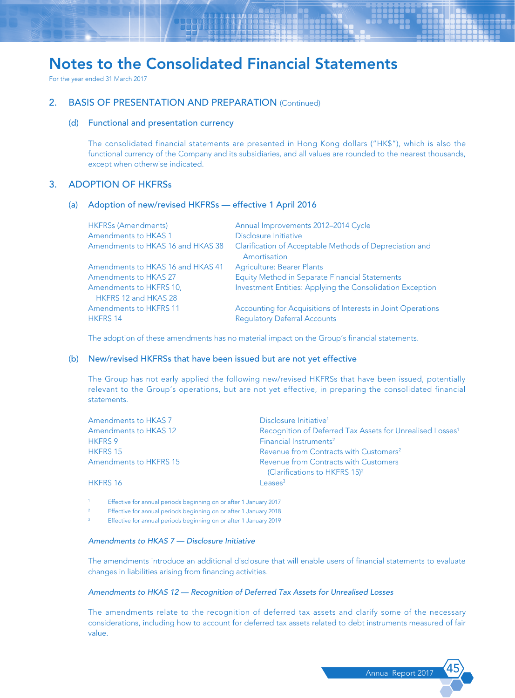For the year ended 31 March 2017

## 2. BASIS OF PRESENTATION AND PREPARATION (Continued)

#### (d) Functional and presentation currency

The consolidated financial statements are presented in Hong Kong dollars ("HK\$"), which is also the functional currency of the Company and its subsidiaries, and all values are rounded to the nearest thousands, except when otherwise indicated.

### 3. ADOPTION OF HKFRSs

#### (a) Adoption of new/revised HKFRSs — effective 1 April 2016

| <b>HKFRSs (Amendments)</b>        | Annual Improvements 2012-2014 Cycle                          |
|-----------------------------------|--------------------------------------------------------------|
| Amendments to HKAS 1              | Disclosure Initiative                                        |
| Amendments to HKAS 16 and HKAS 38 | Clarification of Acceptable Methods of Depreciation and      |
|                                   | Amortisation                                                 |
| Amendments to HKAS 16 and HKAS 41 | <b>Agriculture: Bearer Plants</b>                            |
| Amendments to HKAS 27             | Equity Method in Separate Financial Statements               |
| Amendments to HKFRS 10,           | Investment Entities: Applying the Consolidation Exception    |
| HKFRS 12 and HKAS 28              |                                                              |
| <b>Amendments to HKFRS 11</b>     | Accounting for Acquisitions of Interests in Joint Operations |
| <b>HKFRS 14</b>                   | <b>Regulatory Deferral Accounts</b>                          |

The adoption of these amendments has no material impact on the Group's financial statements.

#### (b) New/revised HKFRSs that have been issued but are not yet effective

The Group has not early applied the following new/revised HKFRSs that have been issued, potentially relevant to the Group's operations, but are not yet effective, in preparing the consolidated financial statements.

| Amendments to HKAS 7   | Disclosure Initiative <sup>1</sup>                                                 |
|------------------------|------------------------------------------------------------------------------------|
| Amendments to HKAS 12  | Recognition of Deferred Tax Assets for Unrealised Losses <sup>1</sup>              |
| <b>HKFRS 9</b>         | Financial Instruments <sup>2</sup>                                                 |
| <b>HKFRS 15</b>        | Revenue from Contracts with Customers <sup>2</sup>                                 |
| Amendments to HKFRS 15 | Revenue from Contracts with Customers<br>(Clarifications to HKFRS 15) <sup>2</sup> |
| <b>HKFRS 16</b>        | Leases <sup>3</sup>                                                                |

<sup>1</sup> Effective for annual periods beginning on or after 1 January 2017

<sup>2</sup> Effective for annual periods beginning on or after 1 January 2018

Effective for annual periods beginning on or after 1 January 2019

#### *Amendments to HKAS 7 — Disclosure Initiative*

The amendments introduce an additional disclosure that will enable users of financial statements to evaluate changes in liabilities arising from financing activities.

#### *Amendments to HKAS 12 — Recognition of Deferred Tax Assets for Unrealised Losses*

The amendments relate to the recognition of deferred tax assets and clarify some of the necessary considerations, including how to account for deferred tax assets related to debt instruments measured of fair value.

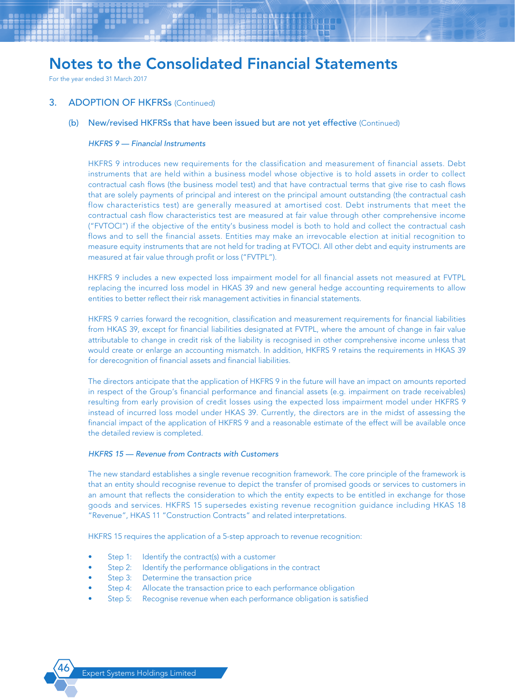For the year ended 31 March 2017

### 3. ADOPTION OF HKFRSs (Continued)

#### (b) New/revised HKFRSs that have been issued but are not yet effective (Continued)

#### *HKFRS 9 — Financial Instruments*

HKFRS 9 introduces new requirements for the classification and measurement of financial assets. Debt instruments that are held within a business model whose objective is to hold assets in order to collect contractual cash flows (the business model test) and that have contractual terms that give rise to cash flows that are solely payments of principal and interest on the principal amount outstanding (the contractual cash flow characteristics test) are generally measured at amortised cost. Debt instruments that meet the contractual cash flow characteristics test are measured at fair value through other comprehensive income ("FVTOCI") if the objective of the entity's business model is both to hold and collect the contractual cash flows and to sell the financial assets. Entities may make an irrevocable election at initial recognition to measure equity instruments that are not held for trading at FVTOCI. All other debt and equity instruments are measured at fair value through profit or loss ("FVTPL").

HKFRS 9 includes a new expected loss impairment model for all financial assets not measured at FVTPL replacing the incurred loss model in HKAS 39 and new general hedge accounting requirements to allow entities to better reflect their risk management activities in financial statements.

HKFRS 9 carries forward the recognition, classification and measurement requirements for financial liabilities from HKAS 39, except for financial liabilities designated at FVTPL, where the amount of change in fair value attributable to change in credit risk of the liability is recognised in other comprehensive income unless that would create or enlarge an accounting mismatch. In addition, HKFRS 9 retains the requirements in HKAS 39 for derecognition of financial assets and financial liabilities.

The directors anticipate that the application of HKFRS 9 in the future will have an impact on amounts reported in respect of the Group's financial performance and financial assets (e.g. impairment on trade receivables) resulting from early provision of credit losses using the expected loss impairment model under HKFRS 9 instead of incurred loss model under HKAS 39. Currently, the directors are in the midst of assessing the financial impact of the application of HKFRS 9 and a reasonable estimate of the effect will be available once the detailed review is completed.

#### *HKFRS 15 — Revenue from Contracts with Customers*

The new standard establishes a single revenue recognition framework. The core principle of the framework is that an entity should recognise revenue to depict the transfer of promised goods or services to customers in an amount that reflects the consideration to which the entity expects to be entitled in exchange for those goods and services. HKFRS 15 supersedes existing revenue recognition guidance including HKAS 18 "Revenue", HKAS 11 "Construction Contracts" and related interpretations.

HKFRS 15 requires the application of a 5-step approach to revenue recognition:

- Step 1: Identify the contract(s) with a customer
- Step 2: Identify the performance obligations in the contract
- Step 3: Determine the transaction price
- Step 4: Allocate the transaction price to each performance obligation
- Step 5: Recognise revenue when each performance obligation is satisfied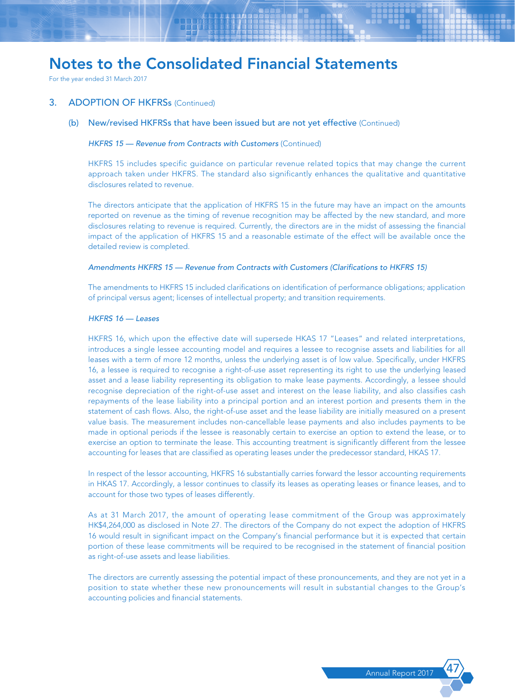For the year ended 31 March 2017

### 3. ADOPTION OF HKFRSs (Continued)

(b) New/revised HKFRSs that have been issued but are not yet effective (Continued)

#### *HKFRS 15 — Revenue from Contracts with Customers (Continued)*

HKFRS 15 includes specific guidance on particular revenue related topics that may change the current approach taken under HKFRS. The standard also significantly enhances the qualitative and quantitative disclosures related to revenue.

The directors anticipate that the application of HKFRS 15 in the future may have an impact on the amounts reported on revenue as the timing of revenue recognition may be affected by the new standard, and more disclosures relating to revenue is required. Currently, the directors are in the midst of assessing the financial impact of the application of HKFRS 15 and a reasonable estimate of the effect will be available once the detailed review is completed.

#### *Amendments HKFRS 15 — Revenue from Contracts with Customers (Clarifications to HKFRS 15)*

The amendments to HKFRS 15 included clarifications on identification of performance obligations; application of principal versus agent; licenses of intellectual property; and transition requirements.

#### *HKFRS 16 — Leases*

HKFRS 16, which upon the effective date will supersede HKAS 17 "Leases" and related interpretations, introduces a single lessee accounting model and requires a lessee to recognise assets and liabilities for all leases with a term of more 12 months, unless the underlying asset is of low value. Specifically, under HKFRS 16, a lessee is required to recognise a right-of-use asset representing its right to use the underlying leased asset and a lease liability representing its obligation to make lease payments. Accordingly, a lessee should recognise depreciation of the right-of-use asset and interest on the lease liability, and also classifies cash repayments of the lease liability into a principal portion and an interest portion and presents them in the statement of cash flows. Also, the right-of-use asset and the lease liability are initially measured on a present value basis. The measurement includes non-cancellable lease payments and also includes payments to be made in optional periods if the lessee is reasonably certain to exercise an option to extend the lease, or to exercise an option to terminate the lease. This accounting treatment is significantly different from the lessee accounting for leases that are classified as operating leases under the predecessor standard, HKAS 17.

In respect of the lessor accounting, HKFRS 16 substantially carries forward the lessor accounting requirements in HKAS 17. Accordingly, a lessor continues to classify its leases as operating leases or finance leases, and to account for those two types of leases differently.

As at 31 March 2017, the amount of operating lease commitment of the Group was approximately HK\$4,264,000 as disclosed in Note 27. The directors of the Company do not expect the adoption of HKFRS 16 would result in significant impact on the Company's financial performance but it is expected that certain portion of these lease commitments will be required to be recognised in the statement of financial position as right-of-use assets and lease liabilities.

The directors are currently assessing the potential impact of these pronouncements, and they are not yet in a position to state whether these new pronouncements will result in substantial changes to the Group's accounting policies and financial statements.

Annual Report 201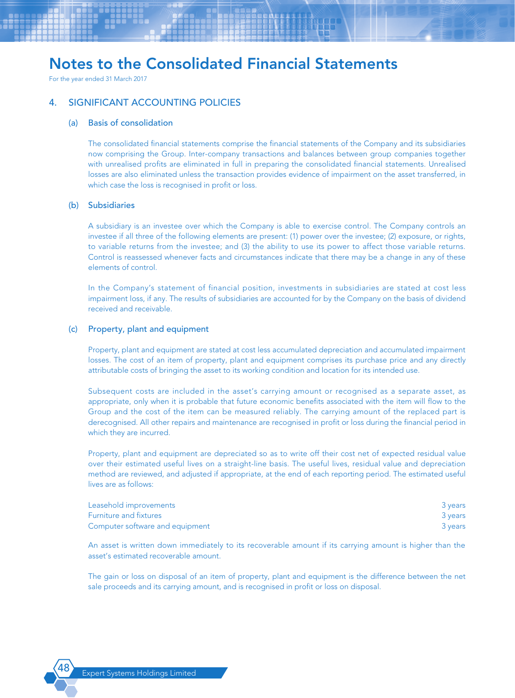For the year ended 31 March 2017

## 4. SIGNIFICANT ACCOUNTING POLICIES

#### (a) Basis of consolidation

The consolidated financial statements comprise the financial statements of the Company and its subsidiaries now comprising the Group. Inter-company transactions and balances between group companies together with unrealised profits are eliminated in full in preparing the consolidated financial statements. Unrealised losses are also eliminated unless the transaction provides evidence of impairment on the asset transferred, in which case the loss is recognised in profit or loss.

### (b) Subsidiaries

A subsidiary is an investee over which the Company is able to exercise control. The Company controls an investee if all three of the following elements are present: (1) power over the investee; (2) exposure, or rights, to variable returns from the investee; and (3) the ability to use its power to affect those variable returns. Control is reassessed whenever facts and circumstances indicate that there may be a change in any of these elements of control.

In the Company's statement of financial position, investments in subsidiaries are stated at cost less impairment loss, if any. The results of subsidiaries are accounted for by the Company on the basis of dividend received and receivable.

### (c) Property, plant and equipment

Property, plant and equipment are stated at cost less accumulated depreciation and accumulated impairment losses. The cost of an item of property, plant and equipment comprises its purchase price and any directly attributable costs of bringing the asset to its working condition and location for its intended use.

Subsequent costs are included in the asset's carrying amount or recognised as a separate asset, as appropriate, only when it is probable that future economic benefits associated with the item will flow to the Group and the cost of the item can be measured reliably. The carrying amount of the replaced part is derecognised. All other repairs and maintenance are recognised in profit or loss during the financial period in which they are incurred.

Property, plant and equipment are depreciated so as to write off their cost net of expected residual value over their estimated useful lives on a straight-line basis. The useful lives, residual value and depreciation method are reviewed, and adjusted if appropriate, at the end of each reporting period. The estimated useful lives are as follows:

| Leasehold improvements          | 3 years |
|---------------------------------|---------|
| <b>Furniture and fixtures</b>   | 3 years |
| Computer software and equipment | 3 years |

An asset is written down immediately to its recoverable amount if its carrying amount is higher than the asset's estimated recoverable amount.

The gain or loss on disposal of an item of property, plant and equipment is the difference between the net sale proceeds and its carrying amount, and is recognised in profit or loss on disposal.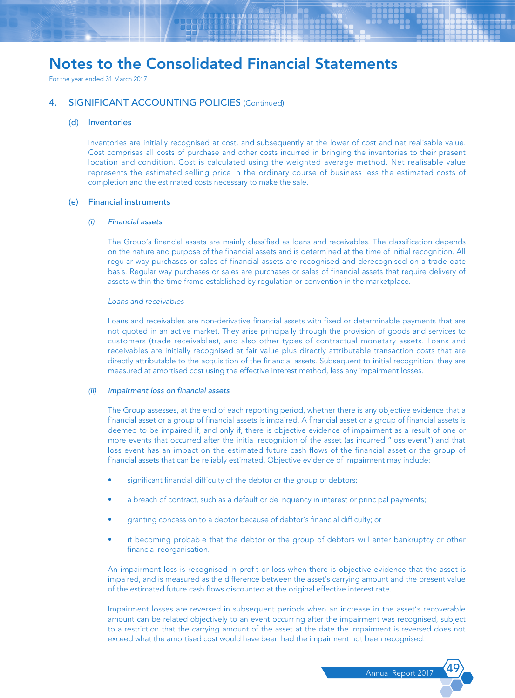For the year ended 31 March 2017

## 4. SIGNIFICANT ACCOUNTING POLICIES (Continued)

#### (d) Inventories

Inventories are initially recognised at cost, and subsequently at the lower of cost and net realisable value. Cost comprises all costs of purchase and other costs incurred in bringing the inventories to their present location and condition. Cost is calculated using the weighted average method. Net realisable value represents the estimated selling price in the ordinary course of business less the estimated costs of completion and the estimated costs necessary to make the sale.

#### (e) Financial instruments

#### *(i) Financial assets*

The Group's financial assets are mainly classified as loans and receivables. The classification depends on the nature and purpose of the financial assets and is determined at the time of initial recognition. All regular way purchases or sales of financial assets are recognised and derecognised on a trade date basis. Regular way purchases or sales are purchases or sales of financial assets that require delivery of assets within the time frame established by regulation or convention in the marketplace.

#### *Loans and receivables*

Loans and receivables are non-derivative financial assets with fixed or determinable payments that are not quoted in an active market. They arise principally through the provision of goods and services to customers (trade receivables), and also other types of contractual monetary assets. Loans and receivables are initially recognised at fair value plus directly attributable transaction costs that are directly attributable to the acquisition of the financial assets. Subsequent to initial recognition, they are measured at amortised cost using the effective interest method, less any impairment losses.

#### *(ii) Impairment loss on financial assets*

The Group assesses, at the end of each reporting period, whether there is any objective evidence that a financial asset or a group of financial assets is impaired. A financial asset or a group of financial assets is deemed to be impaired if, and only if, there is objective evidence of impairment as a result of one or more events that occurred after the initial recognition of the asset (as incurred "loss event") and that loss event has an impact on the estimated future cash flows of the financial asset or the group of financial assets that can be reliably estimated. Objective evidence of impairment may include:

- significant financial difficulty of the debtor or the group of debtors;
- a breach of contract, such as a default or delinquency in interest or principal payments;
- granting concession to a debtor because of debtor's financial difficulty; or
- it becoming probable that the debtor or the group of debtors will enter bankruptcy or other financial reorganisation.

An impairment loss is recognised in profit or loss when there is objective evidence that the asset is impaired, and is measured as the difference between the asset's carrying amount and the present value of the estimated future cash flows discounted at the original effective interest rate.

Impairment losses are reversed in subsequent periods when an increase in the asset's recoverable amount can be related objectively to an event occurring after the impairment was recognised, subject to a restriction that the carrying amount of the asset at the date the impairment is reversed does not exceed what the amortised cost would have been had the impairment not been recognised.

Annual Report 2017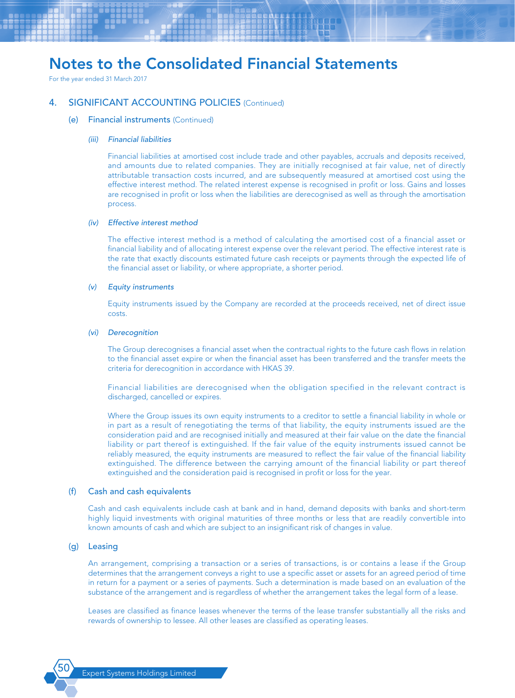For the year ended 31 March 2017

### 4. SIGNIFICANT ACCOUNTING POLICIES (Continued)

#### (e) Financial instruments (Continued)

#### *(iii) Financial liabilities*

Financial liabilities at amortised cost include trade and other payables, accruals and deposits received, and amounts due to related companies. They are initially recognised at fair value, net of directly attributable transaction costs incurred, and are subsequently measured at amortised cost using the effective interest method. The related interest expense is recognised in profit or loss. Gains and losses are recognised in profit or loss when the liabilities are derecognised as well as through the amortisation process.

#### *(iv) Effective interest method*

The effective interest method is a method of calculating the amortised cost of a financial asset or financial liability and of allocating interest expense over the relevant period. The effective interest rate is the rate that exactly discounts estimated future cash receipts or payments through the expected life of the financial asset or liability, or where appropriate, a shorter period.

#### *(v) Equity instruments*

Equity instruments issued by the Company are recorded at the proceeds received, net of direct issue costs.

#### *(vi) Derecognition*

The Group derecognises a financial asset when the contractual rights to the future cash flows in relation to the financial asset expire or when the financial asset has been transferred and the transfer meets the criteria for derecognition in accordance with HKAS 39.

Financial liabilities are derecognised when the obligation specified in the relevant contract is discharged, cancelled or expires.

Where the Group issues its own equity instruments to a creditor to settle a financial liability in whole or in part as a result of renegotiating the terms of that liability, the equity instruments issued are the consideration paid and are recognised initially and measured at their fair value on the date the financial liability or part thereof is extinguished. If the fair value of the equity instruments issued cannot be reliably measured, the equity instruments are measured to reflect the fair value of the financial liability extinguished. The difference between the carrying amount of the financial liability or part thereof extinguished and the consideration paid is recognised in profit or loss for the year.

#### (f) Cash and cash equivalents

Cash and cash equivalents include cash at bank and in hand, demand deposits with banks and short-term highly liquid investments with original maturities of three months or less that are readily convertible into known amounts of cash and which are subject to an insignificant risk of changes in value.

#### (g) Leasing

An arrangement, comprising a transaction or a series of transactions, is or contains a lease if the Group determines that the arrangement conveys a right to use a specific asset or assets for an agreed period of time in return for a payment or a series of payments. Such a determination is made based on an evaluation of the substance of the arrangement and is regardless of whether the arrangement takes the legal form of a lease.

Leases are classified as finance leases whenever the terms of the lease transfer substantially all the risks and rewards of ownership to lessee. All other leases are classified as operating leases.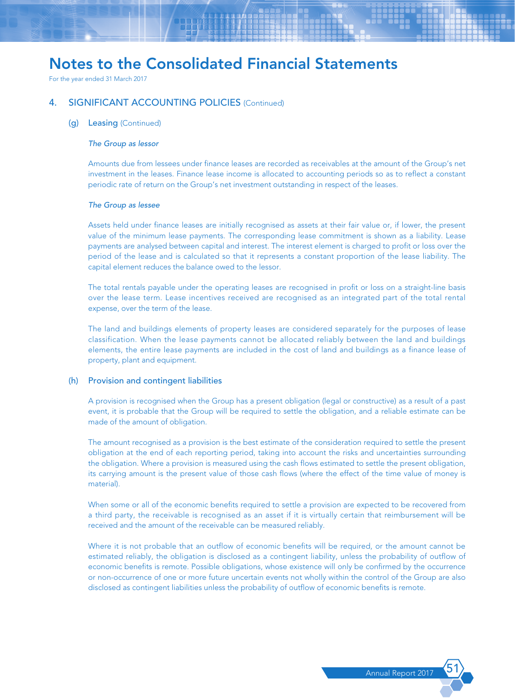For the year ended 31 March 2017

### 4. SIGNIFICANT ACCOUNTING POLICIES (Continued)

#### (g) Leasing (Continued)

#### *The Group as lessor*

Amounts due from lessees under finance leases are recorded as receivables at the amount of the Group's net investment in the leases. Finance lease income is allocated to accounting periods so as to reflect a constant periodic rate of return on the Group's net investment outstanding in respect of the leases.

#### *The Group as lessee*

Assets held under finance leases are initially recognised as assets at their fair value or, if lower, the present value of the minimum lease payments. The corresponding lease commitment is shown as a liability. Lease payments are analysed between capital and interest. The interest element is charged to profit or loss over the period of the lease and is calculated so that it represents a constant proportion of the lease liability. The capital element reduces the balance owed to the lessor.

The total rentals payable under the operating leases are recognised in profit or loss on a straight-line basis over the lease term. Lease incentives received are recognised as an integrated part of the total rental expense, over the term of the lease.

The land and buildings elements of property leases are considered separately for the purposes of lease classification. When the lease payments cannot be allocated reliably between the land and buildings elements, the entire lease payments are included in the cost of land and buildings as a finance lease of property, plant and equipment.

#### (h) Provision and contingent liabilities

A provision is recognised when the Group has a present obligation (legal or constructive) as a result of a past event, it is probable that the Group will be required to settle the obligation, and a reliable estimate can be made of the amount of obligation.

The amount recognised as a provision is the best estimate of the consideration required to settle the present obligation at the end of each reporting period, taking into account the risks and uncertainties surrounding the obligation. Where a provision is measured using the cash flows estimated to settle the present obligation, its carrying amount is the present value of those cash flows (where the effect of the time value of money is material).

When some or all of the economic benefits required to settle a provision are expected to be recovered from a third party, the receivable is recognised as an asset if it is virtually certain that reimbursement will be received and the amount of the receivable can be measured reliably.

Where it is not probable that an outflow of economic benefits will be required, or the amount cannot be estimated reliably, the obligation is disclosed as a contingent liability, unless the probability of outflow of economic benefits is remote. Possible obligations, whose existence will only be confirmed by the occurrence or non-occurrence of one or more future uncertain events not wholly within the control of the Group are also disclosed as contingent liabilities unless the probability of outflow of economic benefits is remote.

Annual Report 201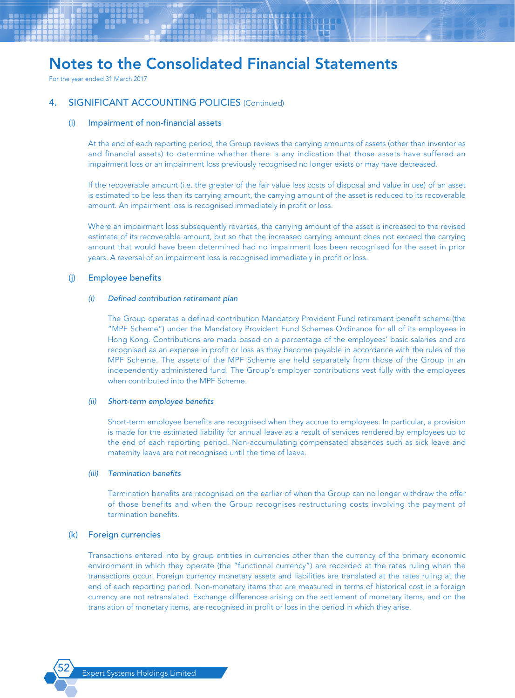For the year ended 31 March 2017

### 4. SIGNIFICANT ACCOUNTING POLICIES (Continued)

#### (i) Impairment of non-financial assets

At the end of each reporting period, the Group reviews the carrying amounts of assets (other than inventories and financial assets) to determine whether there is any indication that those assets have suffered an impairment loss or an impairment loss previously recognised no longer exists or may have decreased.

If the recoverable amount (i.e. the greater of the fair value less costs of disposal and value in use) of an asset is estimated to be less than its carrying amount, the carrying amount of the asset is reduced to its recoverable amount. An impairment loss is recognised immediately in profit or loss.

Where an impairment loss subsequently reverses, the carrying amount of the asset is increased to the revised estimate of its recoverable amount, but so that the increased carrying amount does not exceed the carrying amount that would have been determined had no impairment loss been recognised for the asset in prior years. A reversal of an impairment loss is recognised immediately in profit or loss.

#### (j) Employee benefits

#### *(i) Defined contribution retirement plan*

The Group operates a defined contribution Mandatory Provident Fund retirement benefit scheme (the "MPF Scheme") under the Mandatory Provident Fund Schemes Ordinance for all of its employees in Hong Kong. Contributions are made based on a percentage of the employees' basic salaries and are recognised as an expense in profit or loss as they become payable in accordance with the rules of the MPF Scheme. The assets of the MPF Scheme are held separately from those of the Group in an independently administered fund. The Group's employer contributions vest fully with the employees when contributed into the MPF Scheme.

#### *(ii) Short-term employee benefits*

Short-term employee benefits are recognised when they accrue to employees. In particular, a provision is made for the estimated liability for annual leave as a result of services rendered by employees up to the end of each reporting period. Non-accumulating compensated absences such as sick leave and maternity leave are not recognised until the time of leave.

#### *(iii) Termination benefits*

Termination benefits are recognised on the earlier of when the Group can no longer withdraw the offer of those benefits and when the Group recognises restructuring costs involving the payment of termination benefits.

#### (k) Foreign currencies

Transactions entered into by group entities in currencies other than the currency of the primary economic environment in which they operate (the "functional currency") are recorded at the rates ruling when the transactions occur. Foreign currency monetary assets and liabilities are translated at the rates ruling at the end of each reporting period. Non-monetary items that are measured in terms of historical cost in a foreign currency are not retranslated. Exchange differences arising on the settlement of monetary items, and on the translation of monetary items, are recognised in profit or loss in the period in which they arise.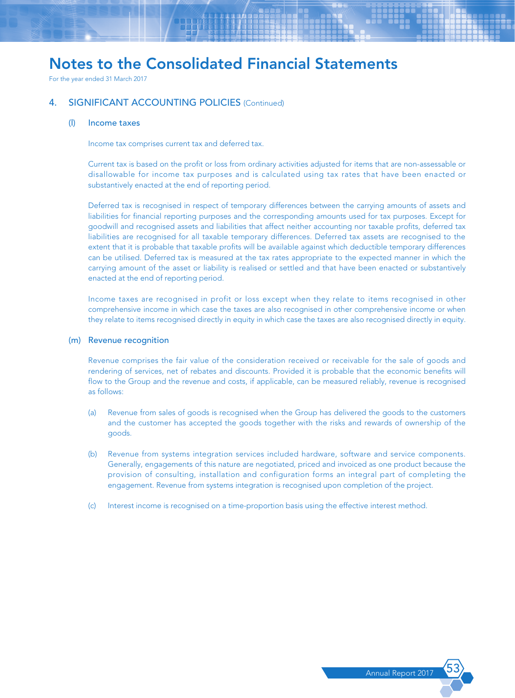For the year ended 31 March 2017

### 4. SIGNIFICANT ACCOUNTING POLICIES (Continued)

#### (l) Income taxes

Income tax comprises current tax and deferred tax.

Current tax is based on the profit or loss from ordinary activities adjusted for items that are non-assessable or disallowable for income tax purposes and is calculated using tax rates that have been enacted or substantively enacted at the end of reporting period.

Deferred tax is recognised in respect of temporary differences between the carrying amounts of assets and liabilities for financial reporting purposes and the corresponding amounts used for tax purposes. Except for goodwill and recognised assets and liabilities that affect neither accounting nor taxable profits, deferred tax liabilities are recognised for all taxable temporary differences. Deferred tax assets are recognised to the extent that it is probable that taxable profits will be available against which deductible temporary differences can be utilised. Deferred tax is measured at the tax rates appropriate to the expected manner in which the carrying amount of the asset or liability is realised or settled and that have been enacted or substantively enacted at the end of reporting period.

Income taxes are recognised in profit or loss except when they relate to items recognised in other comprehensive income in which case the taxes are also recognised in other comprehensive income or when they relate to items recognised directly in equity in which case the taxes are also recognised directly in equity.

#### (m) Revenue recognition

Revenue comprises the fair value of the consideration received or receivable for the sale of goods and rendering of services, net of rebates and discounts. Provided it is probable that the economic benefits will flow to the Group and the revenue and costs, if applicable, can be measured reliably, revenue is recognised as follows:

- (a) Revenue from sales of goods is recognised when the Group has delivered the goods to the customers and the customer has accepted the goods together with the risks and rewards of ownership of the goods.
- (b) Revenue from systems integration services included hardware, software and service components. Generally, engagements of this nature are negotiated, priced and invoiced as one product because the provision of consulting, installation and configuration forms an integral part of completing the engagement. Revenue from systems integration is recognised upon completion of the project.
- (c) Interest income is recognised on a time-proportion basis using the effective interest method.

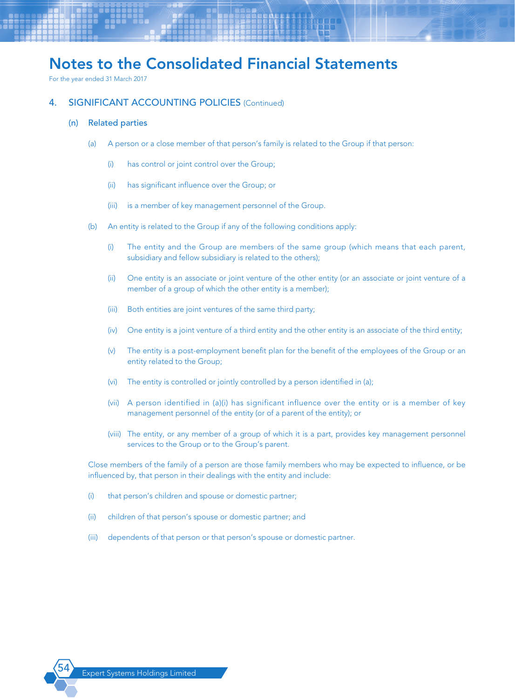For the year ended 31 March 2017

### 4. SIGNIFICANT ACCOUNTING POLICIES (Continued)

#### (n) Related parties

- (a) A person or a close member of that person's family is related to the Group if that person:
	- (i) has control or joint control over the Group;
	- (ii) has significant influence over the Group; or
	- (iii) is a member of key management personnel of the Group.
- (b) An entity is related to the Group if any of the following conditions apply:
	- (i) The entity and the Group are members of the same group (which means that each parent, subsidiary and fellow subsidiary is related to the others);
	- (ii) One entity is an associate or joint venture of the other entity (or an associate or joint venture of a member of a group of which the other entity is a member);
	- (iii) Both entities are joint ventures of the same third party;
	- (iv) One entity is a joint venture of a third entity and the other entity is an associate of the third entity;
	- (v) The entity is a post-employment benefit plan for the benefit of the employees of the Group or an entity related to the Group;
	- (vi) The entity is controlled or jointly controlled by a person identified in (a);
	- (vii) A person identified in (a)(i) has significant influence over the entity or is a member of key management personnel of the entity (or of a parent of the entity); or
	- (viii) The entity, or any member of a group of which it is a part, provides key management personnel services to the Group or to the Group's parent.

Close members of the family of a person are those family members who may be expected to influence, or be influenced by, that person in their dealings with the entity and include:

- (i) that person's children and spouse or domestic partner;
- (ii) children of that person's spouse or domestic partner; and
- (iii) dependents of that person or that person's spouse or domestic partner.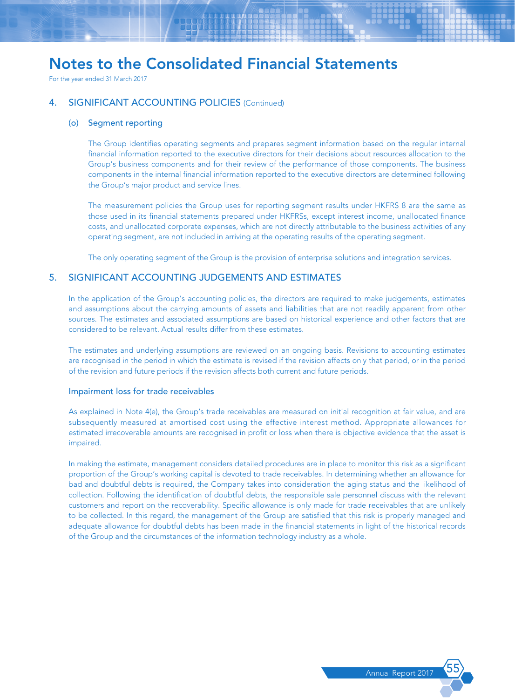For the year ended 31 March 2017

## 4. SIGNIFICANT ACCOUNTING POLICIES (Continued)

#### (o) Segment reporting

The Group identifies operating segments and prepares segment information based on the regular internal financial information reported to the executive directors for their decisions about resources allocation to the Group's business components and for their review of the performance of those components. The business components in the internal financial information reported to the executive directors are determined following the Group's major product and service lines.

The measurement policies the Group uses for reporting segment results under HKFRS 8 are the same as those used in its financial statements prepared under HKFRSs, except interest income, unallocated finance costs, and unallocated corporate expenses, which are not directly attributable to the business activities of any operating segment, are not included in arriving at the operating results of the operating segment.

The only operating segment of the Group is the provision of enterprise solutions and integration services.

### 5. SIGNIFICANT ACCOUNTING JUDGEMENTS AND ESTIMATES

In the application of the Group's accounting policies, the directors are required to make judgements, estimates and assumptions about the carrying amounts of assets and liabilities that are not readily apparent from other sources. The estimates and associated assumptions are based on historical experience and other factors that are considered to be relevant. Actual results differ from these estimates.

The estimates and underlying assumptions are reviewed on an ongoing basis. Revisions to accounting estimates are recognised in the period in which the estimate is revised if the revision affects only that period, or in the period of the revision and future periods if the revision affects both current and future periods.

#### Impairment loss for trade receivables

As explained in Note 4(e), the Group's trade receivables are measured on initial recognition at fair value, and are subsequently measured at amortised cost using the effective interest method. Appropriate allowances for estimated irrecoverable amounts are recognised in profit or loss when there is objective evidence that the asset is impaired.

In making the estimate, management considers detailed procedures are in place to monitor this risk as a significant proportion of the Group's working capital is devoted to trade receivables. In determining whether an allowance for bad and doubtful debts is required, the Company takes into consideration the aging status and the likelihood of collection. Following the identification of doubtful debts, the responsible sale personnel discuss with the relevant customers and report on the recoverability. Specific allowance is only made for trade receivables that are unlikely to be collected. In this regard, the management of the Group are satisfied that this risk is properly managed and adequate allowance for doubtful debts has been made in the financial statements in light of the historical records of the Group and the circumstances of the information technology industry as a whole.

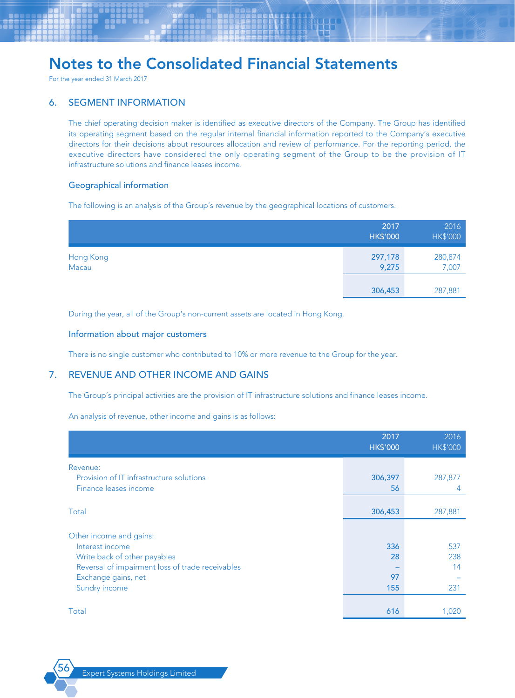For the year ended 31 March 2017

## 6. SEGMENT INFORMATION

The chief operating decision maker is identified as executive directors of the Company. The Group has identified its operating segment based on the regular internal financial information reported to the Company's executive directors for their decisions about resources allocation and review of performance. For the reporting period, the executive directors have considered the only operating segment of the Group to be the provision of IT infrastructure solutions and finance leases income.

#### Geographical information

The following is an analysis of the Group's revenue by the geographical locations of customers.

|                    | 2017<br><b>HK\$'000</b> | 2016<br><b>HK\$'000</b> |
|--------------------|-------------------------|-------------------------|
| Hong Kong<br>Macau | 297,178<br>9,275        | 280,874<br>7,007        |
|                    | 306,453                 | 287,881                 |

During the year, all of the Group's non-current assets are located in Hong Kong.

#### Information about major customers

There is no single customer who contributed to 10% or more revenue to the Group for the year.

## 7. REVENUE AND OTHER INCOME AND GAINS

The Group's principal activities are the provision of IT infrastructure solutions and finance leases income.

An analysis of revenue, other income and gains is as follows:

|                                                  | 2017<br><b>HK\$'000</b> | 2016<br><b>HK\$'000</b> |
|--------------------------------------------------|-------------------------|-------------------------|
| Revenue:                                         |                         |                         |
| Provision of IT infrastructure solutions         | 306,397                 | 287,877                 |
| Finance leases income                            | 56                      | 4                       |
|                                                  |                         |                         |
| Total                                            | 306,453                 | 287,881                 |
|                                                  |                         |                         |
| Other income and gains:                          |                         |                         |
| Interest income                                  | 336                     | 537                     |
| Write back of other payables                     | 28                      | 238                     |
| Reversal of impairment loss of trade receivables |                         | 14                      |
| Exchange gains, net                              | 97                      |                         |
| Sundry income                                    | 155                     | 231                     |
|                                                  |                         |                         |
| Total                                            | 616                     | 1,020                   |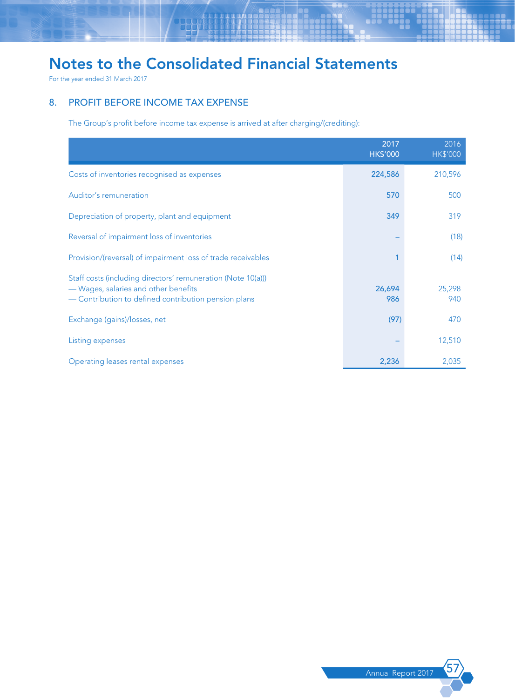For the year ended 31 March 2017

## 8. PROFIT BEFORE INCOME TAX EXPENSE

The Group's profit before income tax expense is arrived at after charging/(crediting):

|                                                                                                                                                              | 2017<br><b>HK\$'000</b> | 2016<br><b>HK\$'000</b> |
|--------------------------------------------------------------------------------------------------------------------------------------------------------------|-------------------------|-------------------------|
| Costs of inventories recognised as expenses                                                                                                                  | 224,586                 | 210,596                 |
| Auditor's remuneration                                                                                                                                       | 570                     | 500                     |
| Depreciation of property, plant and equipment                                                                                                                | 349                     | 319                     |
| Reversal of impairment loss of inventories                                                                                                                   |                         | (18)                    |
| Provision/(reversal) of impairment loss of trade receivables                                                                                                 |                         | (14)                    |
| Staff costs (including directors' remuneration (Note 10(a)))<br>- Wages, salaries and other benefits<br>- Contribution to defined contribution pension plans | 26,694<br>986           | 25,298<br>940           |
| Exchange (gains)/losses, net                                                                                                                                 | (97)                    | 470                     |
| Listing expenses                                                                                                                                             |                         | 12,510                  |
| Operating leases rental expenses                                                                                                                             | 2,236                   | 2,035                   |

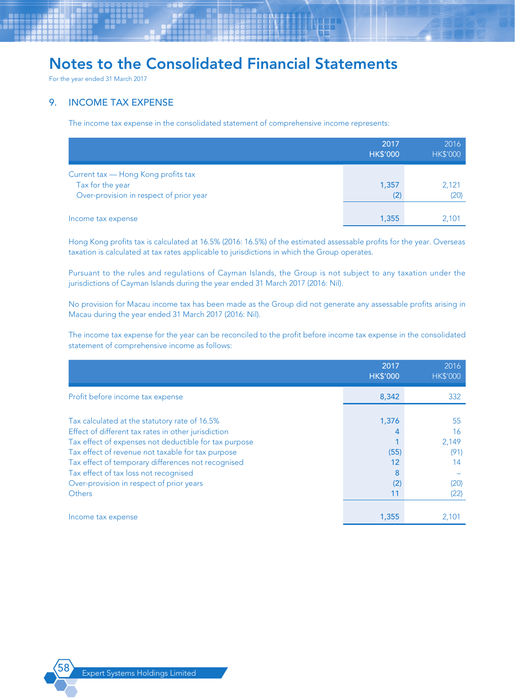For the year ended 31 March 2017

## 9. INCOME TAX EXPENSE

The income tax expense in the consolidated statement of comprehensive income represents:

|                                                                                                    | 2017<br><b>HK\$'000</b> | 2016<br><b>HK\$'000</b> |
|----------------------------------------------------------------------------------------------------|-------------------------|-------------------------|
| Current tax - Hong Kong profits tax<br>Tax for the year<br>Over-provision in respect of prior year | 1,357<br>(2)            | 2,121<br>(20)           |
| Income tax expense                                                                                 | 1,355                   | 2,101                   |

Hong Kong profits tax is calculated at 16.5% (2016: 16.5%) of the estimated assessable profits for the year. Overseas taxation is calculated at tax rates applicable to jurisdictions in which the Group operates.

Pursuant to the rules and regulations of Cayman Islands, the Group is not subject to any taxation under the jurisdictions of Cayman Islands during the year ended 31 March 2017 (2016: Nil).

No provision for Macau income tax has been made as the Group did not generate any assessable profits arising in Macau during the year ended 31 March 2017 (2016: Nil).

The income tax expense for the year can be reconciled to the profit before income tax expense in the consolidated statement of comprehensive income as follows:

|                                                                                                                                                                                                                                                                                                                                                                                | 2017<br><b>HK\$'000</b>               | 2016<br><b>HK\$'000</b>                         |
|--------------------------------------------------------------------------------------------------------------------------------------------------------------------------------------------------------------------------------------------------------------------------------------------------------------------------------------------------------------------------------|---------------------------------------|-------------------------------------------------|
| Profit before income tax expense                                                                                                                                                                                                                                                                                                                                               | 8,342                                 | 332                                             |
| Tax calculated at the statutory rate of 16.5%<br>Effect of different tax rates in other jurisdiction<br>Tax effect of expenses not deductible for tax purpose<br>Tax effect of revenue not taxable for tax purpose<br>Tax effect of temporary differences not recognised<br>Tax effect of tax loss not recognised<br>Over-provision in respect of prior years<br><b>Others</b> | 1,376<br>(55)<br>12<br>8<br>(2)<br>11 | 55<br>16<br>2,149<br>(91)<br>14<br>(20)<br>(22) |
| Income tax expense                                                                                                                                                                                                                                                                                                                                                             | 1,355                                 | 2,101                                           |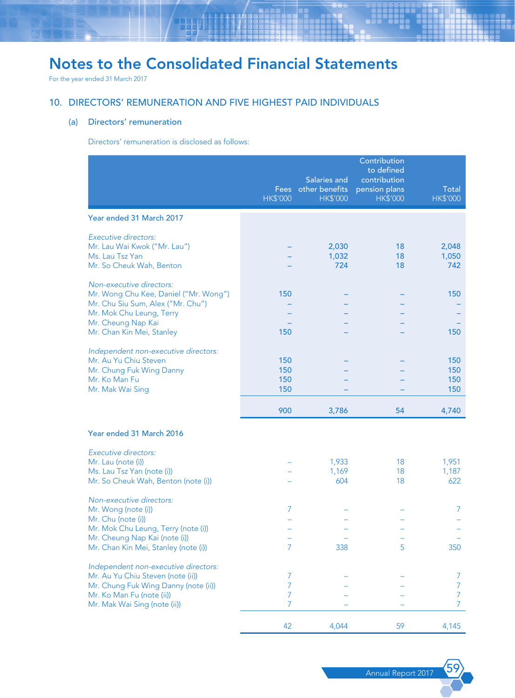For the year ended 31 March 2017

## 10. DIRECTORS' REMUNERATION AND FIVE HIGHEST PAID INDIVIDUALS

### (a) Directors' remuneration

Directors' remuneration is disclosed as follows:

|                                                                                                                                                                                       | <b>Fees</b><br><b>HK\$'000</b> | Salaries and<br>other benefits<br><b>HK\$'000</b> | Contribution<br>to defined<br>contribution<br>pension plans<br><b>HK\$'000</b> | Total<br><b>HK\$'000</b> |
|---------------------------------------------------------------------------------------------------------------------------------------------------------------------------------------|--------------------------------|---------------------------------------------------|--------------------------------------------------------------------------------|--------------------------|
| Year ended 31 March 2017                                                                                                                                                              |                                |                                                   |                                                                                |                          |
| Executive directors:<br>Mr. Lau Wai Kwok ("Mr. Lau")<br>Ms. Lau Tsz Yan<br>Mr. So Cheuk Wah, Benton                                                                                   |                                | 2,030<br>1,032<br>724                             | 18<br>18<br>18                                                                 | 2,048<br>1,050<br>742    |
| Non-executive directors:<br>Mr. Wong Chu Kee, Daniel ("Mr. Wong")<br>Mr. Chu Siu Sum, Alex ("Mr. Chu")<br>Mr. Mok Chu Leung, Terry<br>Mr. Cheung Nap Kai<br>Mr. Chan Kin Mei, Stanley | 150<br>150                     |                                                   |                                                                                | 150<br>150               |
| Independent non-executive directors:<br>Mr. Au Yu Chiu Steven<br>Mr. Chung Fuk Wing Danny<br>Mr. Ko Man Fu<br>Mr. Mak Wai Sing                                                        | 150<br>150<br>150<br>150       |                                                   |                                                                                | 150<br>150<br>150<br>150 |
|                                                                                                                                                                                       | 900                            | 3,786                                             | 54                                                                             | 4,740                    |
| Year ended 31 March 2016                                                                                                                                                              |                                |                                                   |                                                                                |                          |
| Executive directors:<br>Mr. Lau (note (i))<br>Ms. Lau Tsz Yan (note (i))<br>Mr. So Cheuk Wah, Benton (note (i))                                                                       |                                | 1,933<br>1,169<br>604                             | 18<br>18<br>18                                                                 | 1,951<br>1,187<br>622    |
| Non-executive directors:<br>Mr. Wong (note (i))<br>Mr. Chu (note (i))<br>Mr. Mok Chu Leung, Terry (note (i))<br>Mr. Cheung Nap Kai (note (i))<br>Mr. Chan Kin Mei, Stanley (note (i)) | 7<br>7                         | 338                                               | 5                                                                              | 7<br>350                 |
| Independent non-executive directors:<br>Mr. Au Yu Chiu Steven (note (ii))<br>Mr. Chung Fuk Wing Danny (note (ii))<br>Mr. Ko Man Fu (note (ii))<br>Mr. Mak Wai Sing (note (ii))        | 7<br>7<br>7<br>7               |                                                   |                                                                                | 7<br>7<br>7<br>7         |
|                                                                                                                                                                                       | 42                             | 4,044                                             | 59                                                                             | 4,145                    |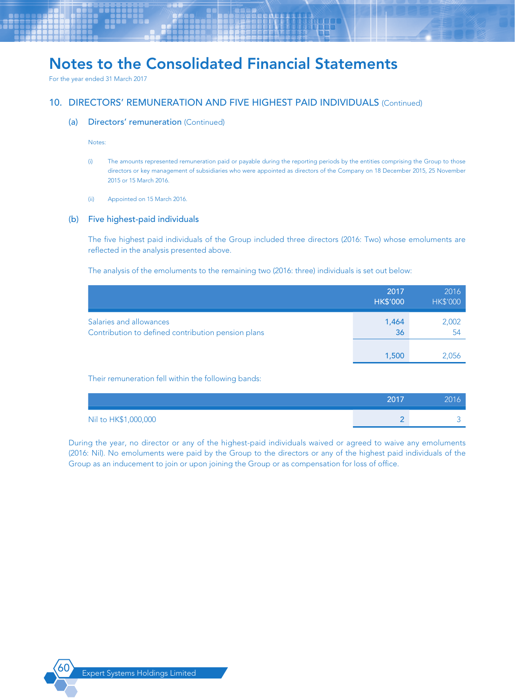For the year ended 31 March 2017

## 10. DIRECTORS' REMUNERATION AND FIVE HIGHEST PAID INDIVIDUALS (Continued)

#### (a) Directors' remuneration (Continued)

Notes:

- (i) The amounts represented remuneration paid or payable during the reporting periods by the entities comprising the Group to those directors or key management of subsidiaries who were appointed as directors of the Company on 18 December 2015, 25 November 2015 or 15 March 2016.
- (ii) Appointed on 15 March 2016.

#### (b) Five highest-paid individuals

The five highest paid individuals of the Group included three directors (2016: Two) whose emoluments are reflected in the analysis presented above.

The analysis of the emoluments to the remaining two (2016: three) individuals is set out below:

|                                                                               | 2017<br><b>HK\$'000</b> | 2016<br><b>HK\$'000</b> |
|-------------------------------------------------------------------------------|-------------------------|-------------------------|
| Salaries and allowances<br>Contribution to defined contribution pension plans | 1,464<br>36             | 2,002<br>54             |
|                                                                               | 1,500                   | 2,056                   |

Their remuneration fell within the following bands:

|                      | 2017 | 2016 |
|----------------------|------|------|
| Nil to HK\$1,000,000 |      |      |

During the year, no director or any of the highest-paid individuals waived or agreed to waive any emoluments (2016: Nil). No emoluments were paid by the Group to the directors or any of the highest paid individuals of the Group as an inducement to join or upon joining the Group or as compensation for loss of office.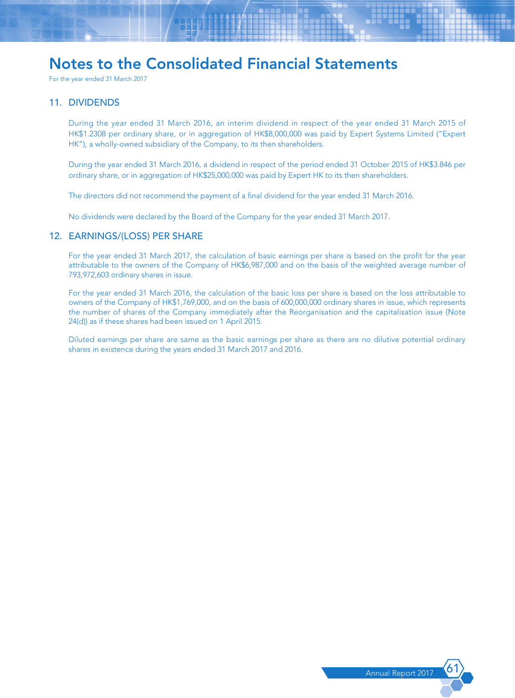For the year ended 31 March 2017

### 11. DIVIDENDS

During the year ended 31 March 2016, an interim dividend in respect of the year ended 31 March 2015 of HK\$1.2308 per ordinary share, or in aggregation of HK\$8,000,000 was paid by Expert Systems Limited ("Expert HK"), a wholly-owned subsidiary of the Company, to its then shareholders.

During the year ended 31 March 2016, a dividend in respect of the period ended 31 October 2015 of HK\$3.846 per ordinary share, or in aggregation of HK\$25,000,000 was paid by Expert HK to its then shareholders.

The directors did not recommend the payment of a final dividend for the year ended 31 March 2016.

No dividends were declared by the Board of the Company for the year ended 31 March 2017.

### 12. EARNINGS/(LOSS) PER SHARE

For the year ended 31 March 2017, the calculation of basic earnings per share is based on the profit for the year attributable to the owners of the Company of HK\$6,987,000 and on the basis of the weighted average number of 793,972,603 ordinary shares in issue.

For the year ended 31 March 2016, the calculation of the basic loss per share is based on the loss attributable to owners of the Company of HK\$1,769,000, and on the basis of 600,000,000 ordinary shares in issue, which represents the number of shares of the Company immediately after the Reorganisation and the capitalisation issue (Note 24(d)) as if these shares had been issued on 1 April 2015.

Diluted earnings per share are same as the basic earnings per share as there are no dilutive potential ordinary shares in existence during the years ended 31 March 2017 and 2016.

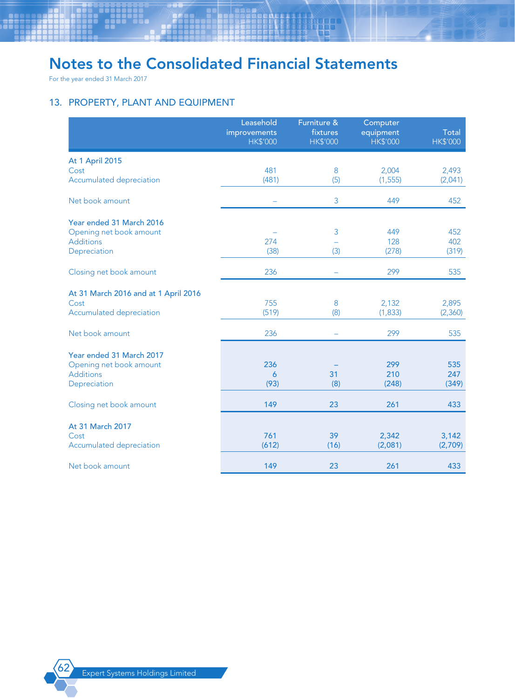For the year ended 31 March 2017

## 13. PROPERTY, PLANT AND EQUIPMENT

|                                      | Leasehold<br>improvements<br><b>HK\$'000</b> | Furniture &<br>fixtures<br><b>HK\$'000</b> | Computer<br>equipment<br><b>HK\$'000</b> | Total<br><b>HK\$'000</b> |
|--------------------------------------|----------------------------------------------|--------------------------------------------|------------------------------------------|--------------------------|
| <b>At 1 April 2015</b>               |                                              |                                            |                                          |                          |
| Cost                                 | 481                                          | 8                                          | 2,004                                    | 2,493                    |
| Accumulated depreciation             | (481)                                        | (5)                                        | (1, 555)                                 | (2,041)                  |
| Net book amount                      |                                              | 3                                          | 449                                      | 452                      |
| Year ended 31 March 2016             |                                              |                                            |                                          |                          |
| Opening net book amount              |                                              | 3                                          | 449                                      | 452                      |
| <b>Additions</b>                     | 274                                          |                                            | 128                                      | 402                      |
| Depreciation                         | (38)                                         | (3)                                        | (278)                                    | (319)                    |
| Closing net book amount              | 236                                          | -                                          | 299                                      | 535                      |
| At 31 March 2016 and at 1 April 2016 |                                              |                                            |                                          |                          |
| Cost                                 | 755                                          | 8                                          | 2,132                                    | 2,895                    |
| Accumulated depreciation             | (519)                                        | (8)                                        | (1, 833)                                 | (2,360)                  |
| Net book amount                      | 236                                          |                                            | 299                                      | 535                      |
| Year ended 31 March 2017             |                                              |                                            |                                          |                          |
| Opening net book amount              | 236                                          |                                            | 299                                      | 535                      |
| <b>Additions</b>                     | 6                                            | 31                                         | 210                                      | 247                      |
| Depreciation                         | (93)                                         | (8)                                        | (248)                                    | (349)                    |
| Closing net book amount              | 149                                          | 23                                         | 261                                      | 433                      |
| At 31 March 2017                     |                                              |                                            |                                          |                          |
| Cost                                 | 761                                          | 39                                         | 2,342                                    | 3,142                    |
| Accumulated depreciation             | (612)                                        | (16)                                       | (2,081)                                  | (2,709)                  |
| Net book amount                      | 149                                          | 23                                         | 261                                      | 433                      |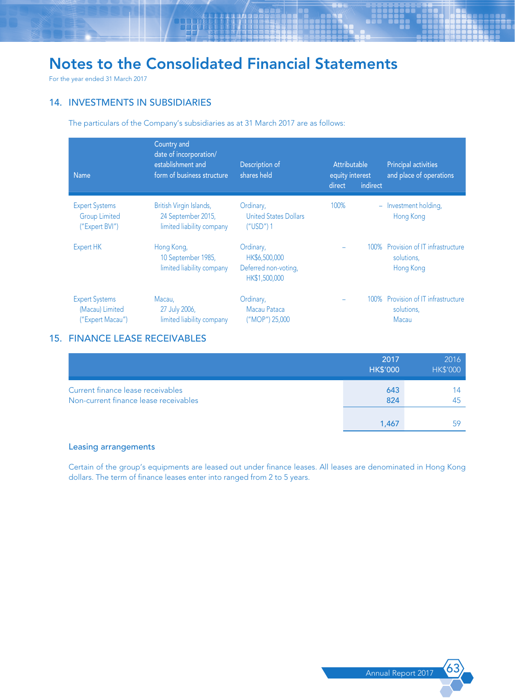For the year ended 31 March 2017

## 14. INVESTMENTS IN SUBSIDIARIES

The particulars of the Company's subsidiaries as at 31 March 2017 are as follows:

| <b>Name</b>                                                     | Country and<br>date of incorporation/<br>establishment and<br>form of business structure | Description of<br>shares held                                       | Attributable<br>equity interest<br>indirect<br>direct | <b>Principal activities</b><br>and place of operations         |
|-----------------------------------------------------------------|------------------------------------------------------------------------------------------|---------------------------------------------------------------------|-------------------------------------------------------|----------------------------------------------------------------|
| <b>Expert Systems</b><br><b>Group Limited</b><br>("Expert BVI") | British Virgin Islands,<br>24 September 2015,<br>limited liability company               | Ordinary,<br><b>United States Dollars</b><br>$(''USD')$ 1           | 100%                                                  | - Investment holding,<br>Hong Kong                             |
| Expert HK                                                       | Hong Kong,<br>10 September 1985,<br>limited liability company                            | Ordinary,<br>HK\$6,500,000<br>Deferred non-voting,<br>HK\$1,500,000 |                                                       | 100% Provision of IT infrastructure<br>solutions,<br>Hong Kong |
| <b>Expert Systems</b><br>(Macau) Limited<br>("Expert Macau")    | Macau,<br>27 July 2006,<br>limited liability company                                     | Ordinary,<br>Macau Pataca<br>("MOP") 25,000                         |                                                       | 100% Provision of IT infrastructure<br>solutions,<br>Macau     |

## 15. FINANCE LEASE RECEIVABLES

|                                                                            | 2017<br><b>HK\$'000</b> | 2016<br><b>HK\$'000</b> |
|----------------------------------------------------------------------------|-------------------------|-------------------------|
| Current finance lease receivables<br>Non-current finance lease receivables | 643<br>824              | 45                      |
|                                                                            | 1.467                   |                         |

## Leasing arrangements

Certain of the group's equipments are leased out under finance leases. All leases are denominated in Hong Kong dollars. The term of finance leases enter into ranged from 2 to 5 years.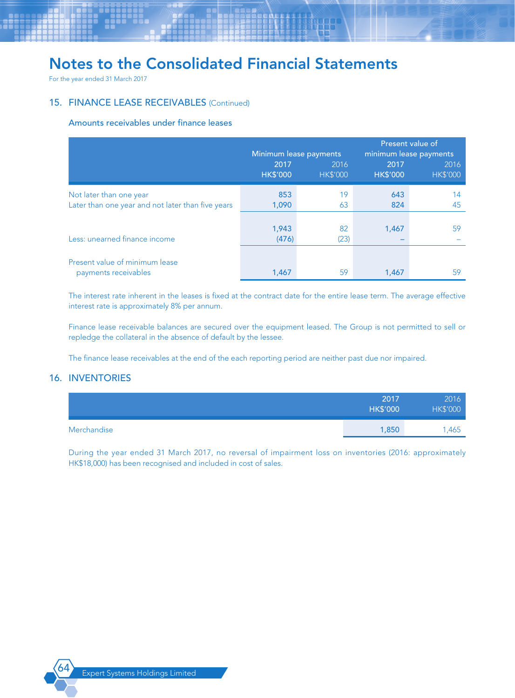For the year ended 31 March 2017

## 15. FINANCE LEASE RECEIVABLES (Continued)

### Amounts receivables under finance leases

|                                                                              | Present value of<br>Minimum lease payments<br>minimum lease payments |                         |                         |                         |
|------------------------------------------------------------------------------|----------------------------------------------------------------------|-------------------------|-------------------------|-------------------------|
|                                                                              | 2017<br><b>HK\$'000</b>                                              | 2016<br><b>HK\$'000</b> | 2017<br><b>HK\$'000</b> | 2016<br><b>HK\$'000</b> |
| Not later than one year<br>Later than one year and not later than five years | 853<br>1,090                                                         | 19<br>63                | 643<br>824              | 14<br>45                |
| Less: unearned finance income                                                | 1,943<br>(476)                                                       | 82<br>(23)              | 1,467                   | 59                      |
| Present value of minimum lease                                               |                                                                      |                         |                         |                         |
| payments receivables                                                         | 1,467                                                                | 59                      | 1,467                   | 59                      |

The interest rate inherent in the leases is fixed at the contract date for the entire lease term. The average effective interest rate is approximately 8% per annum.

Finance lease receivable balances are secured over the equipment leased. The Group is not permitted to sell or repledge the collateral in the absence of default by the lessee.

The finance lease receivables at the end of the each reporting period are neither past due nor impaired.

## 16. INVENTORIES

|             | 2017<br><b>HK\$'000</b> | 2016<br><b>HK\$'000</b> |
|-------------|-------------------------|-------------------------|
| Merchandise | 1,850                   | 1,465                   |

During the year ended 31 March 2017, no reversal of impairment loss on inventories (2016: approximately HK\$18,000) has been recognised and included in cost of sales.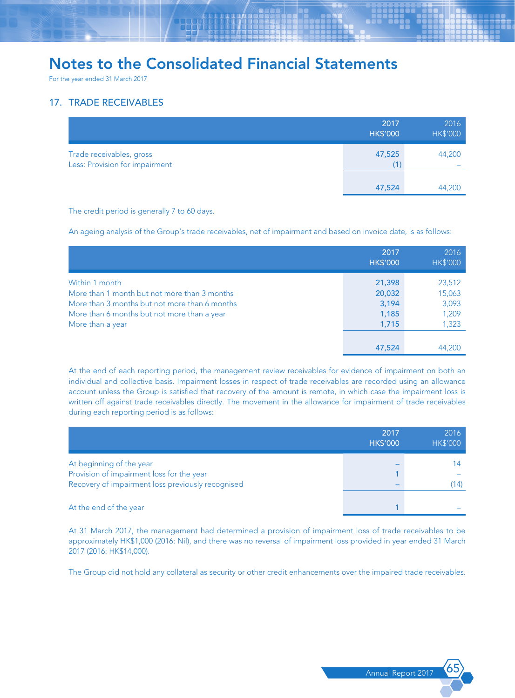For the year ended 31 March 2017

## 17. TRADE RECEIVABLES

|                                                            | 2017<br><b>HK\$'000</b> | 2016<br><b>HK\$'000</b> |
|------------------------------------------------------------|-------------------------|-------------------------|
| Trade receivables, gross<br>Less: Provision for impairment | 47,525<br>(1)           | 44,200<br>-             |
|                                                            | 47,524                  | 44,200                  |

The credit period is generally 7 to 60 days.

An ageing analysis of the Group's trade receivables, net of impairment and based on invoice date, is as follows:

|                                                                                                                                                                                    | 2017<br><b>HK\$'000</b>                     | 2016<br><b>HK\$'000</b>                     |
|------------------------------------------------------------------------------------------------------------------------------------------------------------------------------------|---------------------------------------------|---------------------------------------------|
| Within 1 month<br>More than 1 month but not more than 3 months<br>More than 3 months but not more than 6 months<br>More than 6 months but not more than a year<br>More than a year | 21,398<br>20,032<br>3,194<br>1,185<br>1,715 | 23,512<br>15,063<br>3,093<br>1,209<br>1,323 |
|                                                                                                                                                                                    | 47,524                                      | 44,200                                      |

At the end of each reporting period, the management review receivables for evidence of impairment on both an individual and collective basis. Impairment losses in respect of trade receivables are recorded using an allowance account unless the Group is satisfied that recovery of the amount is remote, in which case the impairment loss is written off against trade receivables directly. The movement in the allowance for impairment of trade receivables during each reporting period is as follows:

|                                                                                                                            | 2017<br><b>HK\$'000</b> | 2016<br><b>HK\$'000</b> |
|----------------------------------------------------------------------------------------------------------------------------|-------------------------|-------------------------|
| At beginning of the year<br>Provision of impairment loss for the year<br>Recovery of impairment loss previously recognised |                         | 14)                     |
| At the end of the year                                                                                                     |                         |                         |

At 31 March 2017, the management had determined a provision of impairment loss of trade receivables to be approximately HK\$1,000 (2016: Nil), and there was no reversal of impairment loss provided in year ended 31 March 2017 (2016: HK\$14,000).

The Group did not hold any collateral as security or other credit enhancements over the impaired trade receivables.

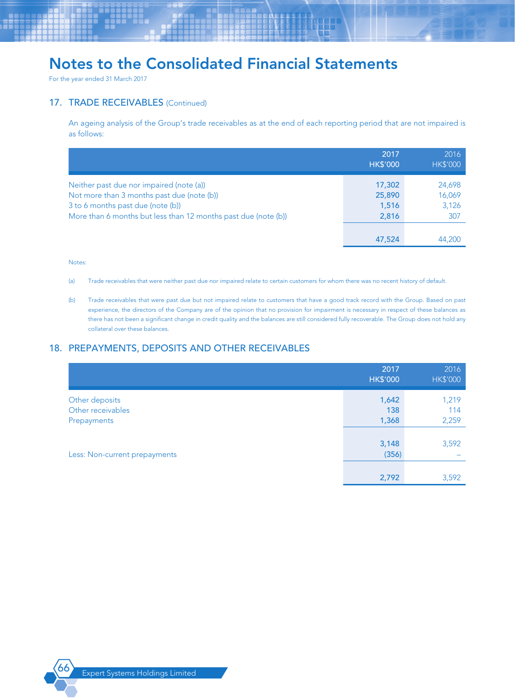For the year ended 31 March 2017

### 17. TRADE RECEIVABLES (Continued)

An ageing analysis of the Group's trade receivables as at the end of each reporting period that are not impaired is as follows:

|                                                                                                                                                                                               | 2017<br><b>HK\$'000</b>            | 2016<br><b>HK\$'000</b>          |
|-----------------------------------------------------------------------------------------------------------------------------------------------------------------------------------------------|------------------------------------|----------------------------------|
| Neither past due nor impaired (note (a))<br>Not more than 3 months past due (note (b))<br>3 to 6 months past due (note (b))<br>More than 6 months but less than 12 months past due (note (b)) | 17,302<br>25,890<br>1,516<br>2,816 | 24,698<br>16,069<br>3,126<br>307 |
|                                                                                                                                                                                               | 47,524                             | 44,200                           |

#### Notes:

- (a) Trade receivables that were neither past due nor impaired relate to certain customers for whom there was no recent history of default.
- (b) Trade receivables that were past due but not impaired relate to customers that have a good track record with the Group. Based on past experience, the directors of the Company are of the opinion that no provision for impairment is necessary in respect of these balances as there has not been a significant change in credit quality and the balances are still considered fully recoverable. The Group does not hold any collateral over these balances.

## 18. PREPAYMENTS, DEPOSITS AND OTHER RECEIVABLES

|                               | 2017<br><b>HK\$'000</b> | 2016<br><b>HK\$'000</b> |
|-------------------------------|-------------------------|-------------------------|
| Other deposits                | 1,642                   | 1,219                   |
| Other receivables             | 138                     | 114                     |
| Prepayments                   | 1,368                   | 2,259                   |
|                               |                         |                         |
|                               | 3,148                   | 3,592                   |
| Less: Non-current prepayments | (356)                   |                         |
|                               |                         |                         |
|                               | 2,792                   | 3,592                   |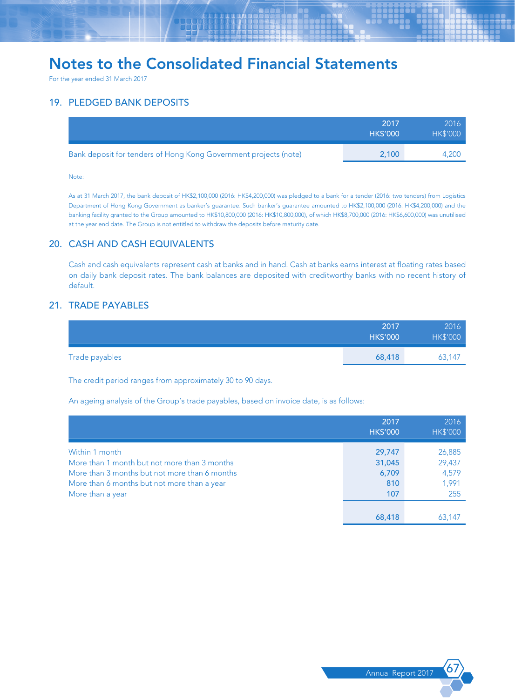For the year ended 31 March 2017

## 19. PLEDGED BANK DEPOSITS

|                                                                  | 2017<br><b>HK\$'000</b> | 2016<br><b>HK\$'000</b> |
|------------------------------------------------------------------|-------------------------|-------------------------|
| Bank deposit for tenders of Hong Kong Government projects (note) | 2.100                   | 4.200                   |

#### Note:

As at 31 March 2017, the bank deposit of HK\$2,100,000 (2016: HK\$4,200,000) was pledged to a bank for a tender (2016: two tenders) from Logistics Department of Hong Kong Government as banker's guarantee. Such banker's guarantee amounted to HK\$2,100,000 (2016: HK\$4,200,000) and the banking facility granted to the Group amounted to HK\$10,800,000 (2016: HK\$10,800,000), of which HK\$8,700,000 (2016: HK\$6,600,000) was unutilised at the year end date. The Group is not entitled to withdraw the deposits before maturity date.

### 20. CASH AND CASH EQUIVALENTS

Cash and cash equivalents represent cash at banks and in hand. Cash at banks earns interest at floating rates based on daily bank deposit rates. The bank balances are deposited with creditworthy banks with no recent history of default.

## 21. TRADE PAYABLES

|                | 2017<br><b>HK\$'000</b> | 2016<br><b>HK\$'000</b> |
|----------------|-------------------------|-------------------------|
| Trade payables | 68,418                  | 63,147                  |

The credit period ranges from approximately 30 to 90 days.

An ageing analysis of the Group's trade payables, based on invoice date, is as follows:

|                                                                                                                                                                                    | 2017<br><b>HK\$'000</b>                 | 2016<br><b>HK\$'000</b>                   |
|------------------------------------------------------------------------------------------------------------------------------------------------------------------------------------|-----------------------------------------|-------------------------------------------|
| Within 1 month<br>More than 1 month but not more than 3 months<br>More than 3 months but not more than 6 months<br>More than 6 months but not more than a year<br>More than a year | 29,747<br>31,045<br>6,709<br>810<br>107 | 26,885<br>29,437<br>4,579<br>1,991<br>255 |
|                                                                                                                                                                                    | 68,418                                  | 63,147                                    |

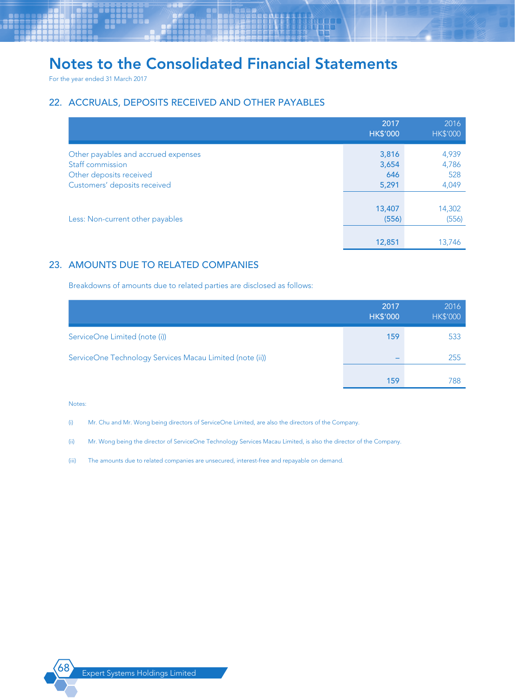For the year ended 31 March 2017

## 22. ACCRUALS, DEPOSITS RECEIVED AND OTHER PAYABLES

|                                     | 2017<br><b>HK\$'000</b> | 2016<br><b>HK\$'000</b> |
|-------------------------------------|-------------------------|-------------------------|
| Other payables and accrued expenses | 3,816                   | 4,939                   |
| Staff commission                    | 3,654                   | 4,786                   |
| Other deposits received             | 646                     | 528                     |
| Customers' deposits received        | 5,291                   | 4,049                   |
|                                     |                         |                         |
|                                     | 13,407                  | 14,302                  |
| Less: Non-current other payables    | (556)                   | (556)                   |
|                                     |                         |                         |
|                                     | 12,851                  | 13.746                  |

## 23. AMOUNTS DUE TO RELATED COMPANIES

Breakdowns of amounts due to related parties are disclosed as follows:

|                                                          | 2017<br><b>HK\$'000</b> | 2016<br><b>HK\$'000</b> |
|----------------------------------------------------------|-------------------------|-------------------------|
| ServiceOne Limited (note (i))                            | 159                     | 533                     |
| ServiceOne Technology Services Macau Limited (note (ii)) |                         | 255                     |
|                                                          | 159                     | 788                     |

#### Notes:

(i) Mr. Chu and Mr. Wong being directors of ServiceOne Limited, are also the directors of the Company.

(ii) Mr. Wong being the director of ServiceOne Technology Services Macau Limited, is also the director of the Company.

(iii) The amounts due to related companies are unsecured, interest-free and repayable on demand.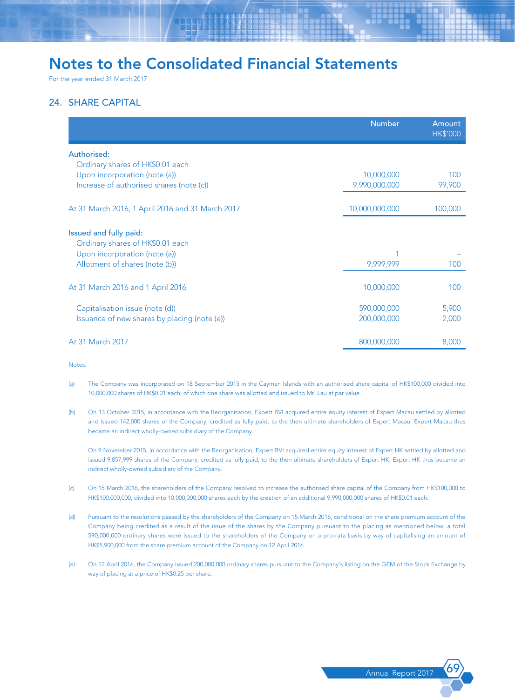For the year ended 31 March 2017

## 24. SHARE CAPITAL

|                                                  | <b>Number</b>  | Amount<br><b>HK\$'000</b> |
|--------------------------------------------------|----------------|---------------------------|
| Authorised:                                      |                |                           |
| Ordinary shares of HK\$0.01 each                 |                |                           |
| Upon incorporation (note (a))                    | 10,000,000     | 100                       |
| Increase of authorised shares (note (c))         | 9,990,000,000  | 99,900                    |
| At 31 March 2016, 1 April 2016 and 31 March 2017 | 10,000,000,000 | 100,000                   |
| Issued and fully paid:                           |                |                           |
| Ordinary shares of HK\$0.01 each                 |                |                           |
| Upon incorporation (note (a))                    |                |                           |
| Allotment of shares (note (b))                   | 9,999,999      | 100                       |
| At 31 March 2016 and 1 April 2016                | 10,000,000     | 100                       |
| Capitalisation issue (note (d))                  | 590,000,000    | 5,900                     |
| Issuance of new shares by placing (note (e))     | 200,000,000    | 2,000                     |
| At 31 March 2017                                 | 800,000,000    | 8,000                     |

**Notes** 

- (a) The Company was incorporated on 18 September 2015 in the Cayman Islands with an authorised share capital of HK\$100,000 divided into 10,000,000 shares of HK\$0.01 each, of which one share was allotted and issued to Mr. Lau at par value.
- (b) On 13 October 2015, in accordance with the Reorganisation, Expert BVI acquired entire equity interest of Expert Macau settled by allotted and issued 142,000 shares of the Company, credited as fully paid, to the then ultimate shareholders of Expert Macau. Expert Macau thus became an indirect wholly-owned subsidiary of the Company.

On 9 November 2015, in accordance with the Reorganisation, Expert BVI acquired entire equity interest of Expert HK settled by allotted and issued 9,857,999 shares of the Company, credited as fully paid, to the then ultimate shareholders of Expert HK. Expert HK thus became an indirect wholly-owned subsidiary of the Company.

- (c) On 15 March 2016, the shareholders of the Company resolved to increase the authorised share capital of the Company from HK\$100,000 to HK\$100,000,000, divided into 10,000,000,000 shares each by the creation of an additional 9,990,000,000 shares of HK\$0.01 each.
- (d) Pursuant to the resolutions passed by the shareholders of the Company on 15 March 2016, conditional on the share premium account of the Company being credited as a result of the issue of the shares by the Company pursuant to the placing as mentioned below, a total 590,000,000 ordinary shares were issued to the shareholders of the Company on a pro-rata basis by way of capitalising an amount of HK\$5,900,000 from the share premium account of the Company on 12 April 2016.
- (e) On 12 April 2016, the Company issued 200,000,000 ordinary shares pursuant to the Company's listing on the GEM of the Stock Exchange by way of placing at a price of HK\$0.25 per share.

Annual Report 2017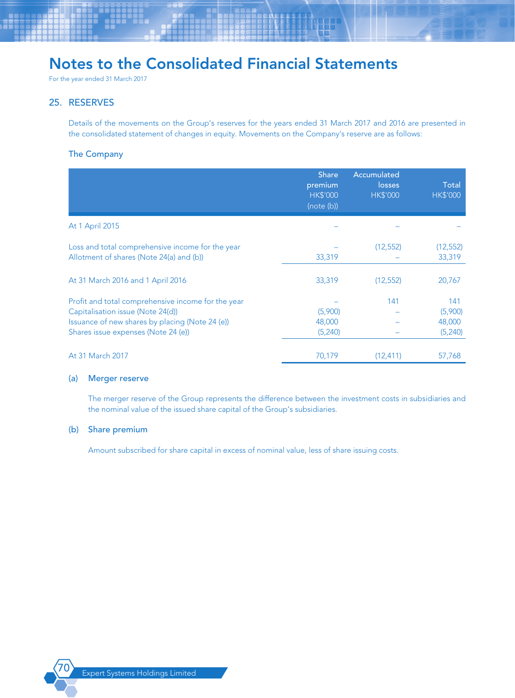For the year ended 31 March 2017

## 25. RESERVES

Details of the movements on the Group's reserves for the years ended 31 March 2017 and 2016 are presented in the consolidated statement of changes in equity. Movements on the Company's reserve are as follows:

### The Company

|                                                                                                                                                                                   | <b>Share</b><br>premium<br><b>HK\$'000</b><br>(note (b)) | Accumulated<br>losses<br><b>HK\$'000</b> | Total<br><b>HK\$'000</b>             |
|-----------------------------------------------------------------------------------------------------------------------------------------------------------------------------------|----------------------------------------------------------|------------------------------------------|--------------------------------------|
| At 1 April 2015                                                                                                                                                                   |                                                          |                                          |                                      |
| Loss and total comprehensive income for the year<br>Allotment of shares (Note 24(a) and (b))                                                                                      | 33,319                                                   | (12, 552)                                | (12, 552)<br>33,319                  |
| At 31 March 2016 and 1 April 2016                                                                                                                                                 | 33,319                                                   | (12, 552)                                | 20,767                               |
| Profit and total comprehensive income for the year<br>Capitalisation issue (Note 24(d))<br>Issuance of new shares by placing (Note 24 (e))<br>Shares issue expenses (Note 24 (e)) | (5,900)<br>48,000<br>(5,240)                             | 141                                      | 141<br>(5,900)<br>48,000<br>(5, 240) |
| At 31 March 2017                                                                                                                                                                  | 70,179                                                   | (12, 411)                                | 57,768                               |

### (a) Merger reserve

The merger reserve of the Group represents the difference between the investment costs in subsidiaries and the nominal value of the issued share capital of the Group's subsidiaries.

#### (b) Share premium

Amount subscribed for share capital in excess of nominal value, less of share issuing costs.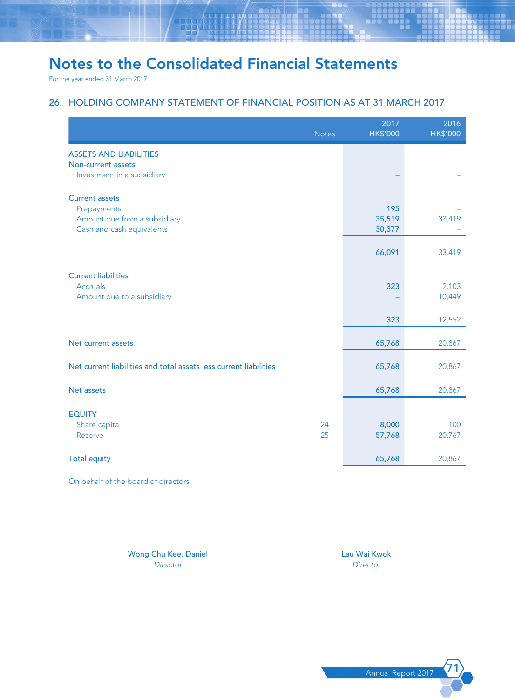For the year ended 31 March 2017

## 26. HOLDING COMPANY STATEMENT OF FINANCIAL POSITION AS AT 31 MARCH 2017

|                                                                   | <b>Notes</b> | 2017<br><b>HK\$'000</b> | 2016<br><b>HK\$'000</b> |
|-------------------------------------------------------------------|--------------|-------------------------|-------------------------|
| <b>ASSETS AND LIABILITIES</b>                                     |              |                         |                         |
| Non-current assets<br>Investment in a subsidiary                  |              |                         |                         |
| <b>Current assets</b>                                             |              |                         |                         |
| Prepayments                                                       |              | 195                     |                         |
| Amount due from a subsidiary                                      |              | 35,519                  | 33,419                  |
| Cash and cash equivalents                                         |              | 30,377                  |                         |
|                                                                   |              | 66,091                  | 33,419                  |
|                                                                   |              |                         |                         |
| <b>Current liabilities</b>                                        |              |                         |                         |
| Accruals                                                          |              | 323                     | 2,103                   |
| Amount due to a subsidiary                                        |              |                         | 10,449                  |
|                                                                   |              | 323                     | 12,552                  |
|                                                                   |              |                         |                         |
| Net current assets                                                |              | 65,768                  | 20,867                  |
| Net current liabilities and total assets less current liabilities |              | 65,768                  | 20,867                  |
|                                                                   |              |                         |                         |
| Net assets                                                        |              | 65,768                  | 20,867                  |
|                                                                   |              |                         |                         |
| <b>EQUITY</b><br>Share capital                                    | 24           | 8,000                   | 100                     |
| Reserve                                                           | 25           | 57,768                  | 20,767                  |
|                                                                   |              |                         |                         |
| <b>Total equity</b>                                               |              | 65,768                  | 20,867                  |

On behalf of the board of directors

Wong Chu Kee, Daniel Lau Wai Kwok Lau Wai Kwok *Director Director*

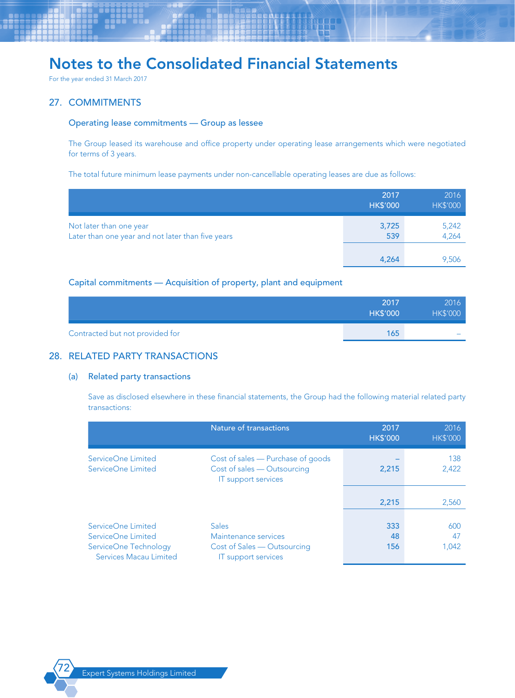For the year ended 31 March 2017

### 27. COMMITMENTS

### Operating lease commitments — Group as lessee

The Group leased its warehouse and office property under operating lease arrangements which were negotiated for terms of 3 years.

The total future minimum lease payments under non-cancellable operating leases are due as follows:

|                                                                              | 2017<br><b>HK\$'000</b> | 2016<br><b>HK\$'000</b> |
|------------------------------------------------------------------------------|-------------------------|-------------------------|
| Not later than one year<br>Later than one year and not later than five years | 3,725<br>539            | 5,242<br>4,264          |
|                                                                              | 4,264                   | 9,506                   |

## Capital commitments — Acquisition of property, plant and equipment

|                                 | 2017<br><b>HK\$'000</b> | 2016<br><b>HK\$'000</b> |
|---------------------------------|-------------------------|-------------------------|
| Contracted but not provided for | 165                     |                         |

## 28. RELATED PARTY TRANSACTIONS

### (a) Related party transactions

Save as disclosed elsewhere in these financial statements, the Group had the following material related party transactions:

|                                                                                             | Nature of transactions                                                                            | 2017<br><b>HK\$'000</b> | 2016<br><b>HK\$'000</b> |
|---------------------------------------------------------------------------------------------|---------------------------------------------------------------------------------------------------|-------------------------|-------------------------|
| ServiceOne Limited<br>ServiceOne Limited                                                    | Cost of sales - Purchase of goods<br>Cost of sales - Outsourcing<br><b>IT</b> support services    | 2,215                   | 138<br>2,422            |
|                                                                                             |                                                                                                   | 2,215                   | 2,560                   |
| ServiceOne Limited<br>ServiceOne Limited<br>ServiceOne Technology<br>Services Macau Limited | <b>Sales</b><br>Maintenance services<br>Cost of Sales — Outsourcing<br><b>IT</b> support services | 333<br>48<br>156        | 600<br>47<br>1,042      |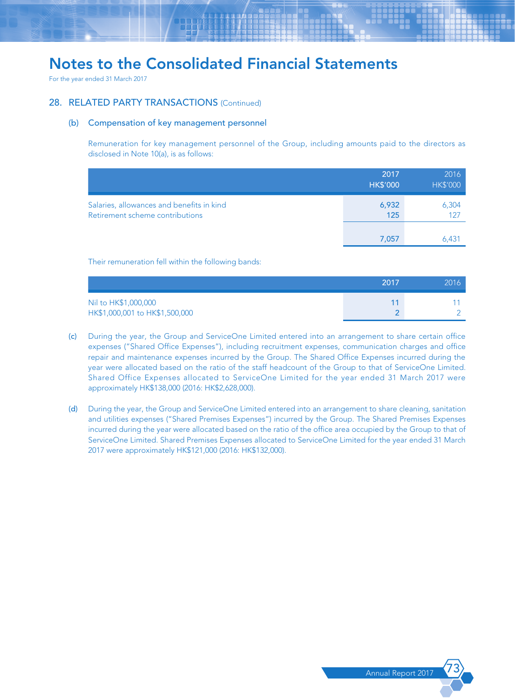For the year ended 31 March 2017

### 28. RELATED PARTY TRANSACTIONS (Continued)

### (b) Compensation of key management personnel

Remuneration for key management personnel of the Group, including amounts paid to the directors as disclosed in Note 10(a), is as follows:

|                                                                              | 2017<br><b>HK\$'000</b> | 2016<br><b>HK\$'000</b> |
|------------------------------------------------------------------------------|-------------------------|-------------------------|
| Salaries, allowances and benefits in kind<br>Retirement scheme contributions | 6,932<br>125            | 6,304                   |
|                                                                              | 7,057                   | 6.431                   |

Their remuneration fell within the following bands:

|                                                        | 2017 | 2016 |
|--------------------------------------------------------|------|------|
| Nil to HK\$1,000,000<br>HK\$1,000,001 to HK\$1,500,000 |      |      |

- (c) During the year, the Group and ServiceOne Limited entered into an arrangement to share certain office expenses ("Shared Office Expenses"), including recruitment expenses, communication charges and office repair and maintenance expenses incurred by the Group. The Shared Office Expenses incurred during the year were allocated based on the ratio of the staff headcount of the Group to that of ServiceOne Limited. Shared Office Expenses allocated to ServiceOne Limited for the year ended 31 March 2017 were approximately HK\$138,000 (2016: HK\$2,628,000).
- (d) During the year, the Group and ServiceOne Limited entered into an arrangement to share cleaning, sanitation and utilities expenses ("Shared Premises Expenses") incurred by the Group. The Shared Premises Expenses incurred during the year were allocated based on the ratio of the office area occupied by the Group to that of ServiceOne Limited. Shared Premises Expenses allocated to ServiceOne Limited for the year ended 31 March 2017 were approximately HK\$121,000 (2016: HK\$132,000).

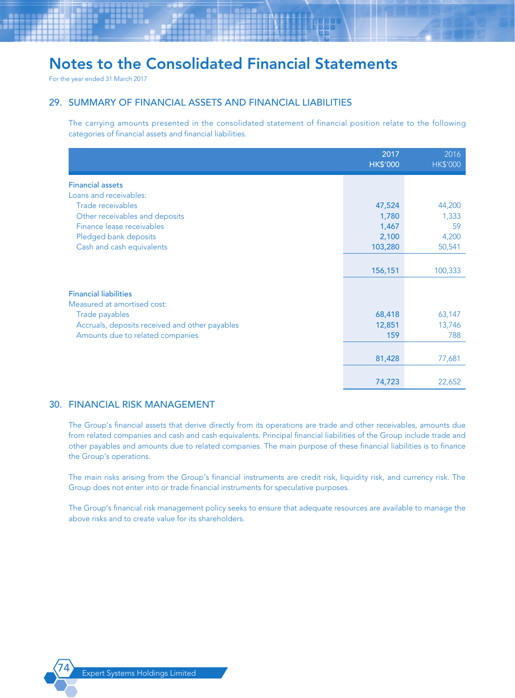For the year ended 31 March 2017

## 29. SUMMARY OF FINANCIAL ASSETS AND FINANCIAL LIABILITIES

The carrying amounts presented in the consolidated statement of financial position relate to the following categories of financial assets and financial liabilities.

|                                                | 2017<br><b>HK\$'000</b> | 2016<br><b>HK\$'000</b> |
|------------------------------------------------|-------------------------|-------------------------|
| <b>Financial assets</b>                        |                         |                         |
| Loans and receivables:                         |                         |                         |
| Trade receivables                              | 47,524                  | 44,200                  |
| Other receivables and deposits                 | 1,780                   | 1,333                   |
| Finance lease receivables                      | 1,467                   | 59                      |
| Pledged bank deposits                          | 2,100                   | 4,200                   |
| Cash and cash equivalents                      | 103,280                 | 50,541                  |
|                                                |                         |                         |
|                                                | 156,151                 | 100,333                 |
| <b>Financial liabilities</b>                   |                         |                         |
| Measured at amortised cost:                    |                         |                         |
| Trade payables                                 | 68,418                  | 63,147                  |
| Accruals, deposits received and other payables | 12,851                  | 13,746                  |
| Amounts due to related companies               | 159                     | 788                     |
|                                                |                         |                         |
|                                                | 81,428                  | 77,681                  |
|                                                |                         |                         |
|                                                | 74,723                  | 22,652                  |

### 30. FINANCIAL RISK MANAGEMENT

The Group's financial assets that derive directly from its operations are trade and other receivables, amounts due from related companies and cash and cash equivalents. Principal financial liabilities of the Group include trade and other payables and amounts due to related companies. The main purpose of these financial liabilities is to finance the Group's operations.

The main risks arising from the Group's financial instruments are credit risk, liquidity risk, and currency risk. The Group does not enter into or trade financial instruments for speculative purposes.

The Group's financial risk management policy seeks to ensure that adequate resources are available to manage the above risks and to create value for its shareholders.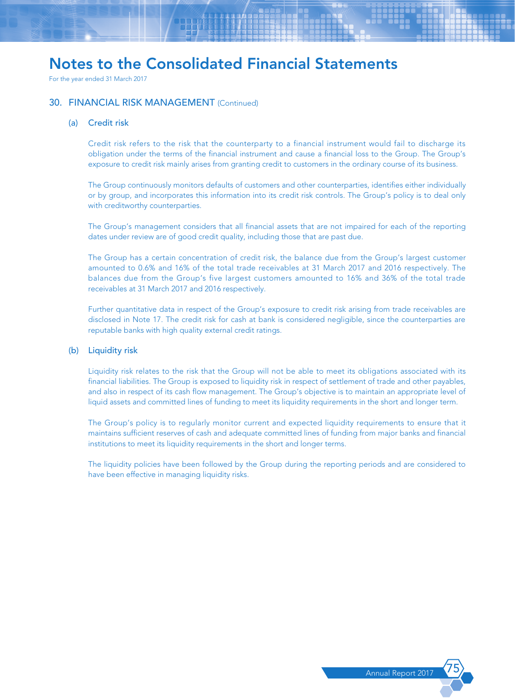For the year ended 31 March 2017

### 30. FINANCIAL RISK MANAGEMENT (Continued)

### (a) Credit risk

Credit risk refers to the risk that the counterparty to a financial instrument would fail to discharge its obligation under the terms of the financial instrument and cause a financial loss to the Group. The Group's exposure to credit risk mainly arises from granting credit to customers in the ordinary course of its business.

The Group continuously monitors defaults of customers and other counterparties, identifies either individually or by group, and incorporates this information into its credit risk controls. The Group's policy is to deal only with creditworthy counterparties.

The Group's management considers that all financial assets that are not impaired for each of the reporting dates under review are of good credit quality, including those that are past due.

The Group has a certain concentration of credit risk, the balance due from the Group's largest customer amounted to 0.6% and 16% of the total trade receivables at 31 March 2017 and 2016 respectively. The balances due from the Group's five largest customers amounted to 16% and 36% of the total trade receivables at 31 March 2017 and 2016 respectively.

Further quantitative data in respect of the Group's exposure to credit risk arising from trade receivables are disclosed in Note 17. The credit risk for cash at bank is considered negligible, since the counterparties are reputable banks with high quality external credit ratings.

### (b) Liquidity risk

Liquidity risk relates to the risk that the Group will not be able to meet its obligations associated with its financial liabilities. The Group is exposed to liquidity risk in respect of settlement of trade and other payables, and also in respect of its cash flow management. The Group's objective is to maintain an appropriate level of liquid assets and committed lines of funding to meet its liquidity requirements in the short and longer term.

The Group's policy is to regularly monitor current and expected liquidity requirements to ensure that it maintains sufficient reserves of cash and adequate committed lines of funding from major banks and financial institutions to meet its liquidity requirements in the short and longer terms.

The liquidity policies have been followed by the Group during the reporting periods and are considered to have been effective in managing liquidity risks.

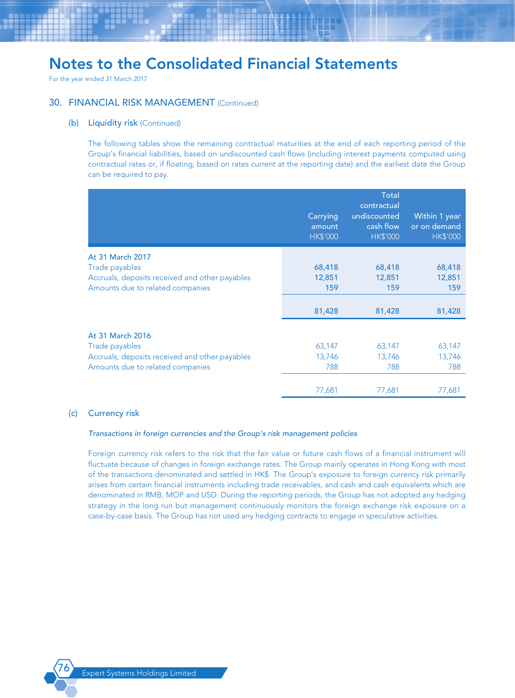For the year ended 31 March 2017

### 30. FINANCIAL RISK MANAGEMENT (Continued)

#### (b) Liquidity risk (Continued)

The following tables show the remaining contractual maturities at the end of each reporting period of the Group's financial liabilities, based on undiscounted cash flows (including interest payments computed using contractual rates or, if floating, based on rates current at the reporting date) and the earliest date the Group can be required to pay.

|                                                | Carrying<br>amount<br><b>HK\$'000</b> | <b>Total</b><br>contractual<br>undiscounted<br>cash flow<br><b>HK\$'000</b> | Within 1 year<br>or on demand<br><b>HK\$'000</b> |
|------------------------------------------------|---------------------------------------|-----------------------------------------------------------------------------|--------------------------------------------------|
| At 31 March 2017                               |                                       |                                                                             |                                                  |
| Trade payables                                 | 68,418                                | 68,418                                                                      | 68,418                                           |
| Accruals, deposits received and other payables | 12,851                                | 12,851                                                                      | 12,851                                           |
| Amounts due to related companies               | 159                                   | 159                                                                         | 159                                              |
|                                                |                                       |                                                                             |                                                  |
|                                                | 81,428                                | 81,428                                                                      | 81,428                                           |
| At 31 March 2016                               |                                       |                                                                             |                                                  |
| Trade payables                                 | 63,147                                | 63,147                                                                      | 63,147                                           |
| Accruals, deposits received and other payables | 13,746                                | 13,746                                                                      | 13,746                                           |
| Amounts due to related companies               | 788                                   | 788                                                                         | 788                                              |
|                                                |                                       |                                                                             |                                                  |
|                                                | 77,681                                | 77,681                                                                      | 77,681                                           |

### (c) Currency risk

### *Transactions in foreign currencies and the Group's risk management policies*

Foreign currency risk refers to the risk that the fair value or future cash flows of a financial instrument will fluctuate because of changes in foreign exchange rates. The Group mainly operates in Hong Kong with most of the transactions denominated and settled in HK\$. The Group's exposure to foreign currency risk primarily arises from certain financial instruments including trade receivables, and cash and cash equivalents which are denominated in RMB, MOP and USD. During the reporting periods, the Group has not adopted any hedging strategy in the long run but management continuously monitors the foreign exchange risk exposure on a case-by-case basis. The Group has not used any hedging contracts to engage in speculative activities.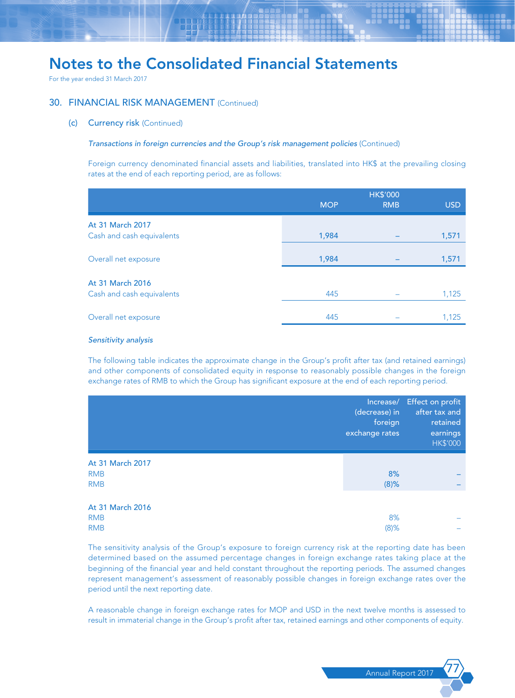For the year ended 31 March 2017

### 30. FINANCIAL RISK MANAGEMENT (Continued)

(c) Currency risk (Continued)

### **Transactions in foreign currencies and the Group's risk management policies** (Continued)

Foreign currency denominated financial assets and liabilities, translated into HK\$ at the prevailing closing rates at the end of each reporting period, are as follows:

|                                               | <b>MOP</b> | <b>HK\$'000</b><br><b>RMB</b> | <b>USD</b> |
|-----------------------------------------------|------------|-------------------------------|------------|
| At 31 March 2017<br>Cash and cash equivalents | 1,984      |                               | 1,571      |
| Overall net exposure                          | 1,984      |                               | 1,571      |
| At 31 March 2016<br>Cash and cash equivalents | 445        |                               | 1,125      |
| Overall net exposure                          | 445        |                               | 1,125      |

#### *Sensitivity analysis*

The following table indicates the approximate change in the Group's profit after tax (and retained earnings) and other components of consolidated equity in response to reasonably possible changes in the foreign exchange rates of RMB to which the Group has significant exposure at the end of each reporting period.

|                                              | Increase/<br>(decrease) in<br>foreign<br>exchange rates | Effect on profit<br>after tax and<br>retained<br>earnings<br><b>HK\$'000</b> |
|----------------------------------------------|---------------------------------------------------------|------------------------------------------------------------------------------|
| At 31 March 2017<br><b>RMB</b><br><b>RMB</b> | 8%<br>$(8)$ %                                           |                                                                              |
| At 31 March 2016<br><b>RMB</b><br><b>RMB</b> | 8%<br>$(8)$ %                                           |                                                                              |

The sensitivity analysis of the Group's exposure to foreign currency risk at the reporting date has been determined based on the assumed percentage changes in foreign exchange rates taking place at the beginning of the financial year and held constant throughout the reporting periods. The assumed changes represent management's assessment of reasonably possible changes in foreign exchange rates over the period until the next reporting date.

A reasonable change in foreign exchange rates for MOP and USD in the next twelve months is assessed to result in immaterial change in the Group's profit after tax, retained earnings and other components of equity.

Annual Report 201